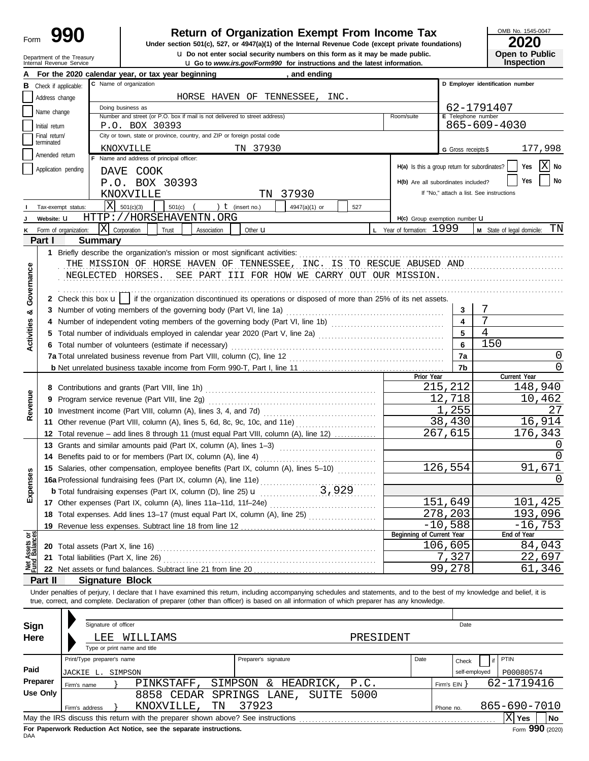# Department of the Treasury<br>Internal Revenue Service

# **Return of Organization Exempt From Income Tax**<br>section 501(c), 527, or 4947(a)(1) of the Internal Revenue Code (except private foundations)<br>**2020**

**u** Go to *www.irs.gov/Form990* for instructions and the latest information. u **Do not enter social security numbers on this form as it may be made public. Open to Public Under section 501(c), 527, or 4947(a)(1) of the Internal Revenue Code (except private foundations)**

OMB No. 1545-0047

**Inspection**

|                                |                             |                                                                          | and ending<br>For the 2020 calendar year, or tax year beginning                                                                                                                                                                                                                                                          |                                               |                         |                                          |  |  |  |  |  |  |  |  |
|--------------------------------|-----------------------------|--------------------------------------------------------------------------|--------------------------------------------------------------------------------------------------------------------------------------------------------------------------------------------------------------------------------------------------------------------------------------------------------------------------|-----------------------------------------------|-------------------------|------------------------------------------|--|--|--|--|--|--|--|--|
| в                              |                             | Check if applicable:                                                     | C Name of organization                                                                                                                                                                                                                                                                                                   |                                               |                         | D Employer identification number         |  |  |  |  |  |  |  |  |
|                                | Address change              |                                                                          | HORSE HAVEN OF TENNESSEE, INC.                                                                                                                                                                                                                                                                                           |                                               |                         |                                          |  |  |  |  |  |  |  |  |
|                                | Name change                 |                                                                          | Doing business as<br>62-1791407                                                                                                                                                                                                                                                                                          |                                               |                         |                                          |  |  |  |  |  |  |  |  |
|                                |                             |                                                                          | Number and street (or P.O. box if mail is not delivered to street address)<br>Room/suite                                                                                                                                                                                                                                 | E Telephone number                            |                         |                                          |  |  |  |  |  |  |  |  |
|                                | Initial return              |                                                                          | 865-609-4030<br>P.O. BOX 30393                                                                                                                                                                                                                                                                                           |                                               |                         |                                          |  |  |  |  |  |  |  |  |
|                                | Final return/<br>terminated | City or town, state or province, country, and ZIP or foreign postal code |                                                                                                                                                                                                                                                                                                                          |                                               |                         |                                          |  |  |  |  |  |  |  |  |
|                                | Amended return              |                                                                          | TN 37930<br>KNOXVILLE                                                                                                                                                                                                                                                                                                    |                                               | G Gross receipts \$     | 177,998                                  |  |  |  |  |  |  |  |  |
|                                |                             |                                                                          | F Name and address of principal officer:                                                                                                                                                                                                                                                                                 | H(a) Is this a group return for subordinates? |                         | Χ<br>No<br>Yes                           |  |  |  |  |  |  |  |  |
|                                |                             | Application pending                                                      | DAVE COOK                                                                                                                                                                                                                                                                                                                |                                               |                         |                                          |  |  |  |  |  |  |  |  |
|                                |                             |                                                                          | P.O. BOX 30393                                                                                                                                                                                                                                                                                                           | H(b) Are all subordinates included?           |                         | No<br>Yes                                |  |  |  |  |  |  |  |  |
|                                |                             |                                                                          | 37930<br>KNOXVILLE<br>TN                                                                                                                                                                                                                                                                                                 |                                               |                         | If "No," attach a list. See instructions |  |  |  |  |  |  |  |  |
|                                |                             | Tax-exempt status:                                                       | ΙX<br>501(c)(3)<br>501(c)<br>) $t$ (insert no.)<br>4947(a)(1) or<br>527                                                                                                                                                                                                                                                  |                                               |                         |                                          |  |  |  |  |  |  |  |  |
|                                | Website: U                  |                                                                          | HTTP://HORSEHAVENTN.ORG                                                                                                                                                                                                                                                                                                  | H(c) Group exemption number LI                |                         |                                          |  |  |  |  |  |  |  |  |
|                                |                             | Form of organization:                                                    | $ \mathrm{X} $<br>Corporation<br>Trust<br>Association<br>Other <b>u</b>                                                                                                                                                                                                                                                  | L Year of formation: 1999                     |                         | TN<br>M State of legal domicile:         |  |  |  |  |  |  |  |  |
|                                | Part I                      |                                                                          | <b>Summary</b>                                                                                                                                                                                                                                                                                                           |                                               |                         |                                          |  |  |  |  |  |  |  |  |
|                                |                             |                                                                          | 1 Briefly describe the organization's mission or most significant activities:                                                                                                                                                                                                                                            |                                               |                         |                                          |  |  |  |  |  |  |  |  |
|                                |                             |                                                                          | THE MISSION OF HORSE HAVEN OF TENNESSEE, INC. IS TO RESCUE ABUSED AND                                                                                                                                                                                                                                                    |                                               |                         |                                          |  |  |  |  |  |  |  |  |
|                                |                             |                                                                          | NEGLECTED HORSES. SEE PART III FOR HOW WE CARRY OUT OUR MISSION.                                                                                                                                                                                                                                                         |                                               |                         |                                          |  |  |  |  |  |  |  |  |
| Governance                     |                             |                                                                          |                                                                                                                                                                                                                                                                                                                          |                                               |                         |                                          |  |  |  |  |  |  |  |  |
|                                |                             |                                                                          | 2 Check this box $\mathbf{u}$   if the organization discontinued its operations or disposed of more than 25% of its net assets.                                                                                                                                                                                          |                                               |                         |                                          |  |  |  |  |  |  |  |  |
| ಯ                              |                             |                                                                          |                                                                                                                                                                                                                                                                                                                          |                                               | 3                       | 7                                        |  |  |  |  |  |  |  |  |
|                                |                             |                                                                          | Number of independent voting members of the governing body (Part VI, line 1b) [11] [11] Number of independent voting members of the governing body (Part VI, line 1b)                                                                                                                                                    |                                               | $\overline{\mathbf{4}}$ |                                          |  |  |  |  |  |  |  |  |
| <b>Activities</b>              |                             |                                                                          | 5 Total number of individuals employed in calendar year 2020 (Part V, line 2a) [[[[[[[[[[[[[[[[[[[[[[[[[[[[[[[                                                                                                                                                                                                           |                                               | 5                       | $\overline{4}$                           |  |  |  |  |  |  |  |  |
|                                |                             |                                                                          | 6 Total number of volunteers (estimate if necessary)                                                                                                                                                                                                                                                                     |                                               | 6                       | 150                                      |  |  |  |  |  |  |  |  |
|                                |                             |                                                                          | 7a Total unrelated business revenue from Part VIII, column (C), line 12                                                                                                                                                                                                                                                  |                                               | 7a                      | $\Omega$                                 |  |  |  |  |  |  |  |  |
|                                |                             |                                                                          |                                                                                                                                                                                                                                                                                                                          |                                               | 7b                      | $\Omega$                                 |  |  |  |  |  |  |  |  |
|                                |                             |                                                                          |                                                                                                                                                                                                                                                                                                                          | Prior Year                                    |                         | Current Year                             |  |  |  |  |  |  |  |  |
|                                |                             |                                                                          |                                                                                                                                                                                                                                                                                                                          |                                               | 215,212                 | 148,940                                  |  |  |  |  |  |  |  |  |
|                                |                             |                                                                          | 9 Program service revenue (Part VIII, line 2g)                                                                                                                                                                                                                                                                           |                                               | 12,718                  | 10,462                                   |  |  |  |  |  |  |  |  |
| Revenue                        |                             |                                                                          |                                                                                                                                                                                                                                                                                                                          |                                               | 1,255                   | 27                                       |  |  |  |  |  |  |  |  |
|                                |                             |                                                                          | 11 Other revenue (Part VIII, column (A), lines 5, 6d, 8c, 9c, 10c, and 11e)                                                                                                                                                                                                                                              |                                               | 38,430                  | 16,914                                   |  |  |  |  |  |  |  |  |
|                                |                             |                                                                          | 12 Total revenue - add lines 8 through 11 (must equal Part VIII, column (A), line 12)                                                                                                                                                                                                                                    |                                               | 267,615                 | 176,343                                  |  |  |  |  |  |  |  |  |
|                                |                             |                                                                          | 13 Grants and similar amounts paid (Part IX, column (A), lines 1-3)                                                                                                                                                                                                                                                      |                                               |                         | $\left( \right)$                         |  |  |  |  |  |  |  |  |
|                                |                             |                                                                          |                                                                                                                                                                                                                                                                                                                          |                                               |                         | $\Omega$                                 |  |  |  |  |  |  |  |  |
|                                |                             |                                                                          | 15 Salaries, other compensation, employee benefits (Part IX, column (A), lines 5-10)                                                                                                                                                                                                                                     |                                               | 126,554                 | 91,671                                   |  |  |  |  |  |  |  |  |
|                                |                             |                                                                          |                                                                                                                                                                                                                                                                                                                          |                                               |                         | $\left( \right)$                         |  |  |  |  |  |  |  |  |
| xpenses                        |                             |                                                                          |                                                                                                                                                                                                                                                                                                                          |                                               |                         |                                          |  |  |  |  |  |  |  |  |
| ш                              |                             |                                                                          | 17 Other expenses (Part IX, column (A), lines 11a-11d, 11f-24e)                                                                                                                                                                                                                                                          |                                               | 151,649                 | 101,425                                  |  |  |  |  |  |  |  |  |
|                                |                             |                                                                          | 18 Total expenses. Add lines 13-17 (must equal Part IX, column (A), line 25)                                                                                                                                                                                                                                             |                                               | 278,203                 | 193,096                                  |  |  |  |  |  |  |  |  |
|                                |                             |                                                                          | 19 Revenue less expenses. Subtract line 18 from line 12                                                                                                                                                                                                                                                                  |                                               | $-10,588$               | $-16,753$                                |  |  |  |  |  |  |  |  |
| Net Assets or<br>Fund Balances |                             |                                                                          |                                                                                                                                                                                                                                                                                                                          | Beginning of Current Year                     |                         | End of Year                              |  |  |  |  |  |  |  |  |
|                                |                             |                                                                          | 20 Total assets (Part X, line 16)                                                                                                                                                                                                                                                                                        |                                               | 106,605                 | 84,043                                   |  |  |  |  |  |  |  |  |
|                                | 21                          |                                                                          | Total liabilities (Part X, line 26)                                                                                                                                                                                                                                                                                      |                                               | 7,327                   | 22,697                                   |  |  |  |  |  |  |  |  |
|                                |                             |                                                                          | 22 Net assets or fund balances. Subtract line 21 from line 20                                                                                                                                                                                                                                                            |                                               | 99,278                  | 61,346                                   |  |  |  |  |  |  |  |  |
|                                | Part II                     |                                                                          | <b>Signature Block</b>                                                                                                                                                                                                                                                                                                   |                                               |                         |                                          |  |  |  |  |  |  |  |  |
|                                |                             |                                                                          | Under penalties of perjury, I declare that I have examined this return, including accompanying schedules and statements, and to the best of my knowledge and belief, it is<br>true, correct, and complete. Declaration of preparer (other than officer) is based on all information of which preparer has any knowledge. |                                               |                         |                                          |  |  |  |  |  |  |  |  |
|                                |                             |                                                                          |                                                                                                                                                                                                                                                                                                                          |                                               |                         |                                          |  |  |  |  |  |  |  |  |
|                                |                             |                                                                          |                                                                                                                                                                                                                                                                                                                          |                                               |                         |                                          |  |  |  |  |  |  |  |  |
| Sign                           |                             |                                                                          | Signature of officer                                                                                                                                                                                                                                                                                                     |                                               | Date                    |                                          |  |  |  |  |  |  |  |  |
| Here                           |                             |                                                                          | LEE<br>PRESIDENT<br>WILLIAMS                                                                                                                                                                                                                                                                                             |                                               |                         |                                          |  |  |  |  |  |  |  |  |
|                                |                             |                                                                          | Type or print name and title                                                                                                                                                                                                                                                                                             |                                               |                         |                                          |  |  |  |  |  |  |  |  |
|                                |                             |                                                                          | Print/Type preparer's name<br>Preparer's signature                                                                                                                                                                                                                                                                       | Date                                          | Check                   | <b>PTIN</b>                              |  |  |  |  |  |  |  |  |
| Paid                           |                             |                                                                          | JACKIE L. SIMPSON                                                                                                                                                                                                                                                                                                        |                                               | self-employed           | P00080574                                |  |  |  |  |  |  |  |  |
|                                | Preparer                    | Firm's name                                                              | SIMPSON & HEADRICK, P.C.<br>PINKSTAFF,                                                                                                                                                                                                                                                                                   |                                               | Firm's $EIN$ }          | 62-1719416                               |  |  |  |  |  |  |  |  |
|                                | <b>Use Only</b>             |                                                                          | 8858 CEDAR SPRINGS LANE, SUITE<br>5000                                                                                                                                                                                                                                                                                   |                                               |                         |                                          |  |  |  |  |  |  |  |  |
|                                |                             | Firm's address                                                           | 37923<br>TN<br>KNOXVILLE,                                                                                                                                                                                                                                                                                                |                                               | Phone no.               | 865-690-7010                             |  |  |  |  |  |  |  |  |
|                                |                             |                                                                          |                                                                                                                                                                                                                                                                                                                          |                                               |                         | $\overline{\mathrm{X}}$ Yes<br><b>No</b> |  |  |  |  |  |  |  |  |

| Sign<br>Here | Signature of officer<br>LEE             |         | WILLIAMS<br>Type or print name and title                                           |    |                      |          |           | PRESIDENT |      |            | Date                   |              |           |    |
|--------------|-----------------------------------------|---------|------------------------------------------------------------------------------------|----|----------------------|----------|-----------|-----------|------|------------|------------------------|--------------|-----------|----|
| Paid         | Print/Type preparer's name<br>JACKIE L. | SIMPSON |                                                                                    |    | Preparer's signature |          |           |           | Date |            | Check<br>self-employed | PTIN         | P00080574 |    |
| Preparer     | Firm's name                             |         | <b>PINKSTAFF</b>                                                                   |    | SIMPSON              | $\delta$ | HEADRICK, | P.C.      |      | Firm's EIN |                        | 62-1719416   |           |    |
| Use Only     |                                         |         | 8858 CEDAR SPRINGS LANE, SUITE 5000<br>KNOXVILLE,                                  | TN | 37923                |          |           |           |      |            |                        | 865-690-7010 |           |    |
|              | Firm's address                          |         |                                                                                    |    |                      |          |           |           |      | Phone no.  |                        |              |           |    |
|              |                                         |         | May the IRS discuss this return with the preparer shown above? See instructions    |    |                      |          |           |           |      |            |                        |              | Yes       | No |
|              |                                         |         | End Engineering Engineering Art Modern Constitution of the Commission Constitution |    |                      |          |           |           |      |            |                        |              | 000.      |    |

For Paperwork Reduction Act Notice, see the separate instructions.<br>DAA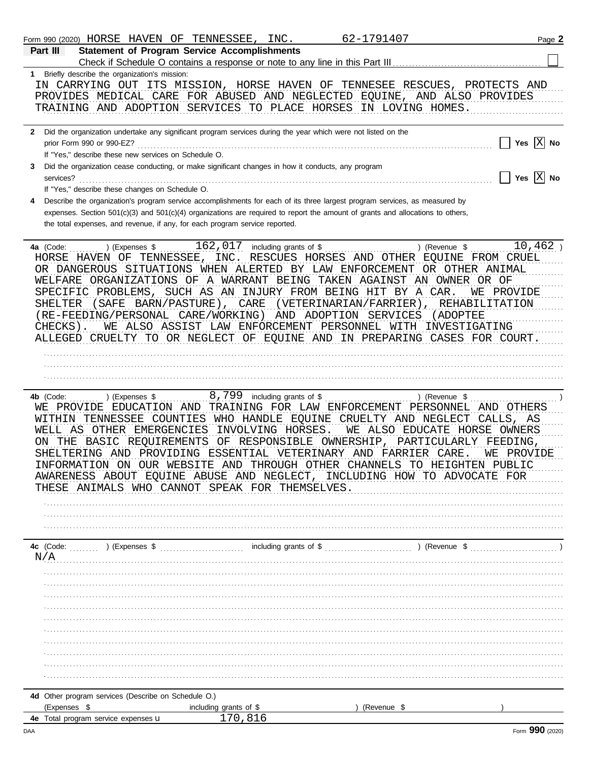|     | Form 990 (2020) HORSE HAVEN OF TENNESSEE, INC.                                                                                                                                                                                                                                                                                                                                                                                                                                                                                                      |                        |                                  | 62-1791407                                                                             | Page 2                                                                                             |
|-----|-----------------------------------------------------------------------------------------------------------------------------------------------------------------------------------------------------------------------------------------------------------------------------------------------------------------------------------------------------------------------------------------------------------------------------------------------------------------------------------------------------------------------------------------------------|------------------------|----------------------------------|----------------------------------------------------------------------------------------|----------------------------------------------------------------------------------------------------|
|     | <b>Statement of Program Service Accomplishments</b><br>Part III                                                                                                                                                                                                                                                                                                                                                                                                                                                                                     |                        |                                  |                                                                                        |                                                                                                    |
|     | 1 Briefly describe the organization's mission:<br>IN CARRYING OUT ITS MISSION, HORSE HAVEN OF TENNESEE RESCUES, PROTECTS AND<br>PROVIDES MEDICAL CARE FOR ABUSED AND NEGLECTED EQUINE, AND ALSO PROVIDES<br>TRAINING AND ADOPTION SERVICES TO PLACE HORSES IN LOVING HOMES.                                                                                                                                                                                                                                                                         |                        |                                  |                                                                                        |                                                                                                    |
|     | 2 Did the organization undertake any significant program services during the year which were not listed on the<br>prior Form 990 or 990-EZ?<br>If "Yes," describe these new services on Schedule O.                                                                                                                                                                                                                                                                                                                                                 |                        |                                  |                                                                                        | Yes $X$ No                                                                                         |
| 3   | Did the organization cease conducting, or make significant changes in how it conducts, any program<br>services?<br>If "Yes," describe these changes on Schedule O.                                                                                                                                                                                                                                                                                                                                                                                  |                        |                                  |                                                                                        | Yes $\overline{X}$ No                                                                              |
| 4   | Describe the organization's program service accomplishments for each of its three largest program services, as measured by<br>expenses. Section $501(c)(3)$ and $501(c)(4)$ organizations are required to report the amount of grants and allocations to others,<br>the total expenses, and revenue, if any, for each program service reported.                                                                                                                                                                                                     |                        |                                  |                                                                                        |                                                                                                    |
|     | 4a (Code:<br>) (Expenses \$<br>HORSE HAVEN OF TENNESSEE, INC. RESCUES HORSES AND OTHER EQUINE FROM CRUEL<br>OR DANGEROUS SITUATIONS WHEN ALERTED BY LAW ENFORCEMENT OR OTHER ANIMAL<br>WELFARE ORGANIZATIONS OF A WARRANT BEING TAKEN AGAINST AN OWNER OR OF<br>SPECIFIC PROBLEMS, SUCH AS AN INJURY FROM BEING HIT BY A CAR.<br>(SAFE BARN/PASTURE), CARE<br>SHELTER<br>(RE-FEEDING/PERSONAL CARE/WORKING) AND ADOPTION SERVICES<br>CHECKS).<br>ALLEGED CRUELTY TO OR NEGLECT OF EQUINE AND IN PREPARING CASES FOR COURT.                          |                        | $162,017$ including grants of \$ | (VETERINARIAN/FARRIER),<br>WE ALSO ASSIST LAW ENFORCEMENT PERSONNEL WITH INVESTIGATING | $10,462$ )<br>) (Revenue \$<br>WE PROVIDE<br>REHABILITATION<br>(ADOPTEE                            |
|     | 4b (Code:<br>) (Expenses \$<br>WE PROVIDE EDUCATION AND TRAINING FOR LAW ENFORCEMENT PERSONNEL<br>WITHIN TENNESSEE COUNTIES WHO HANDLE EQUINE CRUELTY AND NEGLECT<br>WELL AS OTHER EMERGENCIES INVOLVING HORSES.<br>ON THE BASIC REQUIREMENTS OF RESPONSIBLE OWNERSHIP,<br>SHELTERING AND PROVIDING ESSENTIAL VETERINARY AND FARRIER CARE.<br>INFORMATION ON OUR WEBSITE AND THROUGH OTHER CHANNELS TO HEIGHTEN PUBLIC<br>AWARENESS ABOUT EQUINE ABUSE AND NEGLECT, INCLUDING HOW TO ADVOCATE FOR<br>THESE ANIMALS WHO CANNOT SPEAK FOR THEMSELVES. |                        | 8,799 including grants of \$     | PARTICULARLY                                                                           | ) (Revenue \$<br>AND OTHERS<br>CALLS, AS<br>WE ALSO EDUCATE HORSE OWNERS<br>FEEDING,<br>WE PROVIDE |
|     | N/A                                                                                                                                                                                                                                                                                                                                                                                                                                                                                                                                                 |                        |                                  |                                                                                        |                                                                                                    |
|     |                                                                                                                                                                                                                                                                                                                                                                                                                                                                                                                                                     |                        |                                  |                                                                                        |                                                                                                    |
|     |                                                                                                                                                                                                                                                                                                                                                                                                                                                                                                                                                     |                        |                                  |                                                                                        |                                                                                                    |
|     |                                                                                                                                                                                                                                                                                                                                                                                                                                                                                                                                                     |                        |                                  |                                                                                        |                                                                                                    |
|     |                                                                                                                                                                                                                                                                                                                                                                                                                                                                                                                                                     |                        |                                  |                                                                                        |                                                                                                    |
|     | 4d Other program services (Describe on Schedule O.)<br>(Expenses \$                                                                                                                                                                                                                                                                                                                                                                                                                                                                                 | including grants of \$ |                                  | ) (Revenue \$                                                                          |                                                                                                    |
|     | 4e Total program service expenses u                                                                                                                                                                                                                                                                                                                                                                                                                                                                                                                 |                        | 170,816                          |                                                                                        |                                                                                                    |
| DAA |                                                                                                                                                                                                                                                                                                                                                                                                                                                                                                                                                     |                        |                                  |                                                                                        | Form 990 (2020)                                                                                    |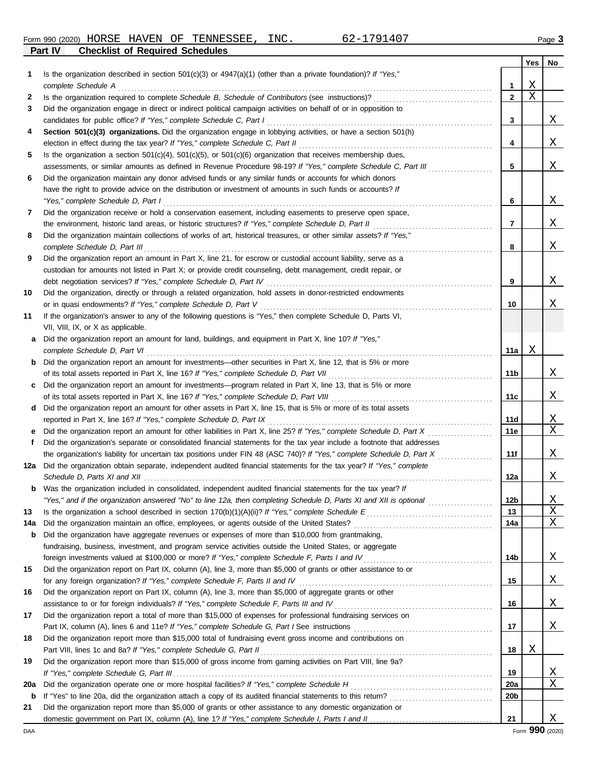**Part IV Checklist of Required Schedules**

|     |                                                                                                                         |                 | Yes | No |
|-----|-------------------------------------------------------------------------------------------------------------------------|-----------------|-----|----|
| 1   | Is the organization described in section $501(c)(3)$ or $4947(a)(1)$ (other than a private foundation)? If "Yes,"       |                 |     |    |
|     |                                                                                                                         | 1               | Χ   |    |
| 2   |                                                                                                                         | $\overline{2}$  | Χ   |    |
| 3   | Did the organization engage in direct or indirect political campaign activities on behalf of or in opposition to        |                 |     |    |
|     |                                                                                                                         | 3               |     | X  |
| 4   | Section 501(c)(3) organizations. Did the organization engage in lobbying activities, or have a section 501(h)           |                 |     |    |
|     |                                                                                                                         | 4               |     | Χ  |
| 5   | Is the organization a section $501(c)(4)$ , $501(c)(5)$ , or $501(c)(6)$ organization that receives membership dues,    |                 |     |    |
|     | assessments, or similar amounts as defined in Revenue Procedure 98-19? If "Yes," complete Schedule C, Part III          | 5               |     | Χ  |
| 6   | Did the organization maintain any donor advised funds or any similar funds or accounts for which donors                 |                 |     |    |
|     | have the right to provide advice on the distribution or investment of amounts in such funds or accounts? If             |                 |     |    |
|     | "Yes," complete Schedule D, Part I                                                                                      | 6               |     | Χ  |
| 7   | Did the organization receive or hold a conservation easement, including easements to preserve open space,               |                 |     |    |
|     | the environment, historic land areas, or historic structures? If "Yes," complete Schedule D, Part II                    | 7               |     | Χ  |
| 8   | Did the organization maintain collections of works of art, historical treasures, or other similar assets? If "Yes,"     |                 |     |    |
|     | complete Schedule D, Part III                                                                                           | 8               |     | Χ  |
| 9   | Did the organization report an amount in Part X, line 21, for escrow or custodial account liability, serve as a         |                 |     |    |
|     | custodian for amounts not listed in Part X; or provide credit counseling, debt management, credit repair, or            |                 |     |    |
|     |                                                                                                                         | 9               |     | Χ  |
| 10  | Did the organization, directly or through a related organization, hold assets in donor-restricted endowments            |                 |     |    |
|     |                                                                                                                         | 10              |     | Χ  |
| 11  | If the organization's answer to any of the following questions is "Yes," then complete Schedule D, Parts VI,            |                 |     |    |
|     | VII, VIII, IX, or X as applicable.                                                                                      |                 |     |    |
| a   | Did the organization report an amount for land, buildings, and equipment in Part X, line 10? If "Yes,"                  |                 |     |    |
|     | complete Schedule D, Part VI et al. et al. et al. et al. et al. et al. et al. et al. et al. et al. et al. et a          | 11a             | Χ   |    |
|     | <b>b</b> Did the organization report an amount for investments—other securities in Part X, line 12, that is 5% or more  |                 |     |    |
|     |                                                                                                                         | 11b             |     | Χ  |
|     | c Did the organization report an amount for investments—program related in Part X, line 13, that is 5% or more          |                 |     |    |
|     | d Did the organization report an amount for other assets in Part X, line 15, that is 5% or more of its total assets     | 11c             |     | Χ  |
|     |                                                                                                                         | 11d             |     | Χ  |
| е   |                                                                                                                         | 11e             |     | X  |
| f   | Did the organization's separate or consolidated financial statements for the tax year include a footnote that addresses |                 |     |    |
|     |                                                                                                                         | 11f             |     | Χ  |
| 12a | Did the organization obtain separate, independent audited financial statements for the tax year? If "Yes," complete     |                 |     |    |
|     |                                                                                                                         | 12a             |     | Χ  |
| b   | Was the organization included in consolidated, independent audited financial statements for the tax year? If            |                 |     |    |
|     | "Yes," and if the organization answered "No" to line 12a, then completing Schedule D, Parts XI and XII is optional      | 12 <sub>b</sub> |     | Χ  |
| 13  |                                                                                                                         | 13              |     | X  |
| 14a |                                                                                                                         | 14a             |     | Χ  |
| b   | Did the organization have aggregate revenues or expenses of more than \$10,000 from grantmaking,                        |                 |     |    |
|     | fundraising, business, investment, and program service activities outside the United States, or aggregate               |                 |     |    |
|     |                                                                                                                         | 14b             |     | Χ  |
| 15  | Did the organization report on Part IX, column (A), line 3, more than \$5,000 of grants or other assistance to or       |                 |     |    |
|     | for any foreign organization? If "Yes," complete Schedule F, Parts II and IV [[[[[[[[[[[[[[[[[[[[[[[[[[[[[[[[[          | 15              |     | Χ  |
| 16  | Did the organization report on Part IX, column (A), line 3, more than \$5,000 of aggregate grants or other              |                 |     |    |
|     |                                                                                                                         | 16              |     | Χ  |
| 17  | Did the organization report a total of more than \$15,000 of expenses for professional fundraising services on          |                 |     |    |
|     |                                                                                                                         | 17              |     | Χ  |
| 18  | Did the organization report more than \$15,000 total of fundraising event gross income and contributions on             |                 |     |    |
|     |                                                                                                                         | 18              | Χ   |    |
| 19  | Did the organization report more than \$15,000 of gross income from gaming activities on Part VIII, line 9a?            |                 |     |    |
|     |                                                                                                                         | 19              |     | Χ  |
| 20a |                                                                                                                         | <b>20a</b>      |     | Χ  |
| b   |                                                                                                                         | 20 <sub>b</sub> |     |    |
| 21  | Did the organization report more than \$5,000 of grants or other assistance to any domestic organization or             |                 |     |    |
|     |                                                                                                                         | 21              |     | Χ  |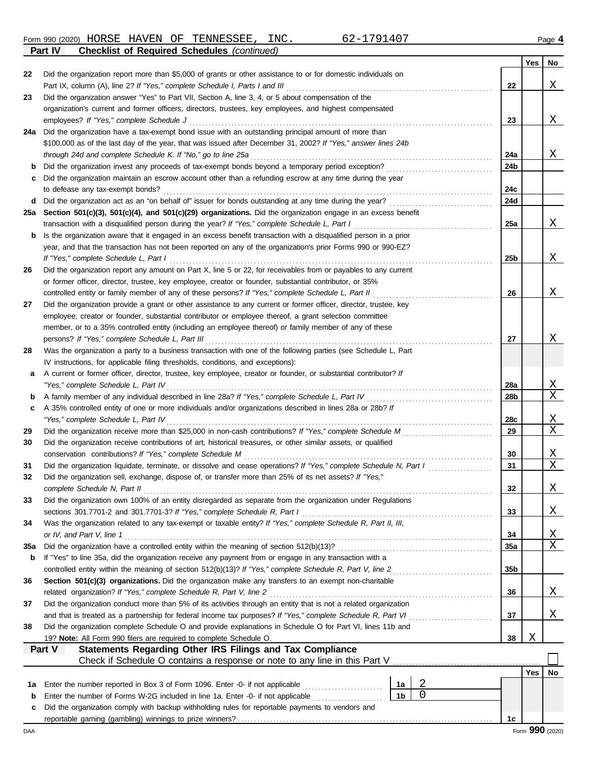Form 990 (2020) HORSE HAVEN OF TENNESSEE, INC. 62-1791407 Page **4 Part IV Checklist of Required Schedules** *(continued)* HORSE HAVEN OF TENNESSEE, INC. 62-1791407

|     |                                                                                                                                                                                                                   |                 | Yes        | No          |
|-----|-------------------------------------------------------------------------------------------------------------------------------------------------------------------------------------------------------------------|-----------------|------------|-------------|
| 22  | Did the organization report more than \$5,000 of grants or other assistance to or for domestic individuals on                                                                                                     |                 |            |             |
|     |                                                                                                                                                                                                                   | 22              |            | Χ           |
| 23  | Did the organization answer "Yes" to Part VII, Section A, line 3, 4, or 5 about compensation of the                                                                                                               |                 |            |             |
|     | organization's current and former officers, directors, trustees, key employees, and highest compensated                                                                                                           |                 |            |             |
|     |                                                                                                                                                                                                                   | 23              |            | Χ           |
| 24a | Did the organization have a tax-exempt bond issue with an outstanding principal amount of more than                                                                                                               |                 |            |             |
|     | \$100,000 as of the last day of the year, that was issued after December 31, 2002? If "Yes," answer lines 24b                                                                                                     |                 |            |             |
|     | through 24d and complete Schedule K. If "No," go to line 25a                                                                                                                                                      | 24a             |            | X           |
| b   | Did the organization invest any proceeds of tax-exempt bonds beyond a temporary period exception?                                                                                                                 | 24b             |            |             |
| c   | Did the organization maintain an escrow account other than a refunding escrow at any time during the year                                                                                                         |                 |            |             |
|     |                                                                                                                                                                                                                   | 24c             |            |             |
| d   |                                                                                                                                                                                                                   | 24d             |            |             |
| 25a | Section 501(c)(3), 501(c)(4), and 501(c)(29) organizations. Did the organization engage in an excess benefit                                                                                                      | 25a             |            | Χ           |
| b   | transaction with a disqualified person during the year? If "Yes," complete Schedule L, Part I<br>Is the organization aware that it engaged in an excess benefit transaction with a disqualified person in a prior |                 |            |             |
|     | year, and that the transaction has not been reported on any of the organization's prior Forms 990 or 990-EZ?                                                                                                      |                 |            |             |
|     | If "Yes," complete Schedule L, Part I                                                                                                                                                                             | 25b             |            | Χ           |
| 26  | Did the organization report any amount on Part X, line 5 or 22, for receivables from or payables to any current                                                                                                   |                 |            |             |
|     | or former officer, director, trustee, key employee, creator or founder, substantial contributor, or 35%                                                                                                           |                 |            |             |
|     | controlled entity or family member of any of these persons? If "Yes," complete Schedule L, Part II                                                                                                                | 26              |            | Χ           |
| 27  | Did the organization provide a grant or other assistance to any current or former officer, director, trustee, key                                                                                                 |                 |            |             |
|     | employee, creator or founder, substantial contributor or employee thereof, a grant selection committee                                                                                                            |                 |            |             |
|     | member, or to a 35% controlled entity (including an employee thereof) or family member of any of these                                                                                                            |                 |            |             |
|     |                                                                                                                                                                                                                   | 27              |            | Χ           |
| 28  | Was the organization a party to a business transaction with one of the following parties (see Schedule L, Part                                                                                                    |                 |            |             |
|     | IV instructions, for applicable filing thresholds, conditions, and exceptions):                                                                                                                                   |                 |            |             |
| а   | A current or former officer, director, trustee, key employee, creator or founder, or substantial contributor? If                                                                                                  |                 |            |             |
|     | "Yes," complete Schedule L, Part IV                                                                                                                                                                               | <b>28a</b>      |            | X           |
| b   |                                                                                                                                                                                                                   | 28b             |            | $\mathbf X$ |
| c   | A 35% controlled entity of one or more individuals and/or organizations described in lines 28a or 28b? If                                                                                                         |                 |            |             |
|     | "Yes," complete Schedule L, Part IV                                                                                                                                                                               | 28c             |            | Χ           |
| 29  |                                                                                                                                                                                                                   | 29              |            | Χ           |
| 30  | Did the organization receive contributions of art, historical treasures, or other similar assets, or qualified                                                                                                    |                 |            |             |
|     |                                                                                                                                                                                                                   | 30              |            | X           |
| 31  | Did the organization liquidate, terminate, or dissolve and cease operations? If "Yes," complete Schedule N, Part I                                                                                                | 31              |            | $\mathbf X$ |
| 32  | Did the organization sell, exchange, dispose of, or transfer more than 25% of its net assets? If "Yes,"                                                                                                           |                 |            |             |
|     | complete Schedule N, Part II                                                                                                                                                                                      | 32              |            | Χ           |
| 33  | Did the organization own 100% of an entity disregarded as separate from the organization under Regulations                                                                                                        | 33              |            | Χ           |
| 34  | Was the organization related to any tax-exempt or taxable entity? If "Yes," complete Schedule R, Part II, III,                                                                                                    |                 |            |             |
|     |                                                                                                                                                                                                                   | 34              |            | Χ           |
| 35a |                                                                                                                                                                                                                   | 35a             |            | Χ           |
| b   | If "Yes" to line 35a, did the organization receive any payment from or engage in any transaction with a                                                                                                           |                 |            |             |
|     |                                                                                                                                                                                                                   | 35 <sub>b</sub> |            |             |
| 36  | Section 501(c)(3) organizations. Did the organization make any transfers to an exempt non-charitable                                                                                                              |                 |            |             |
|     | related organization? If "Yes," complete Schedule R, Part V, line 2                                                                                                                                               | 36              |            | Χ           |
| 37  | Did the organization conduct more than 5% of its activities through an entity that is not a related organization                                                                                                  |                 |            |             |
|     |                                                                                                                                                                                                                   | 37              |            | Χ           |
| 38  | Did the organization complete Schedule O and provide explanations in Schedule O for Part VI, lines 11b and                                                                                                        |                 |            |             |
|     | 19? Note: All Form 990 filers are required to complete Schedule O.                                                                                                                                                | 38              | Χ          |             |
|     | Statements Regarding Other IRS Filings and Tax Compliance<br>Part V                                                                                                                                               |                 |            |             |
|     |                                                                                                                                                                                                                   |                 |            |             |
|     |                                                                                                                                                                                                                   |                 | <b>Yes</b> | No          |
| 1а  | 2<br>Enter the number reported in Box 3 of Form 1096. Enter -0- if not applicable<br>1a                                                                                                                           |                 |            |             |
| b   | 0<br>1 <sub>b</sub><br>Enter the number of Forms W-2G included in line 1a. Enter -0- if not applicable <i>[[[[[[[[[[[[[[[[[[[[]]]]]</i>                                                                           |                 |            |             |
| c   | Did the organization comply with backup withholding rules for reportable payments to vendors and                                                                                                                  |                 |            |             |
|     |                                                                                                                                                                                                                   | 1 <sub>c</sub>  |            |             |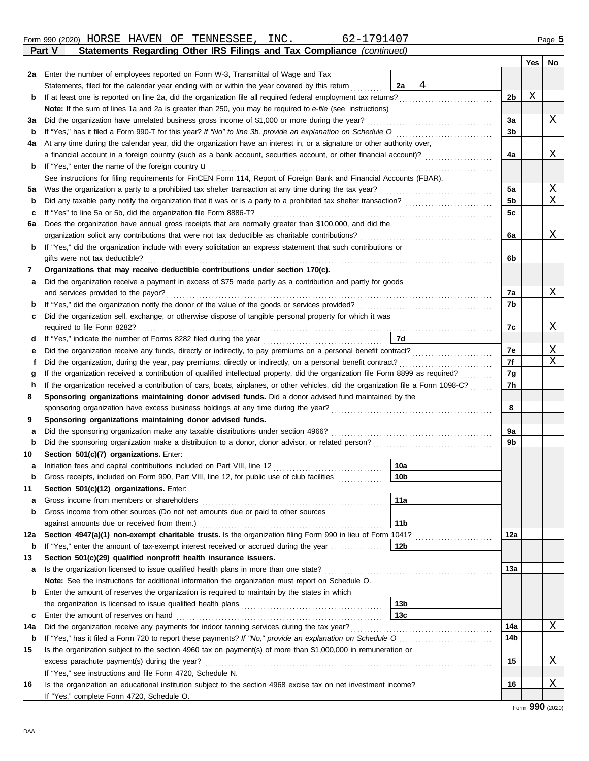|                                                                                                                                         | atomonto riogaranig othor more rango ana rax oomphanoo                                                                  |                 |   |          | <b>Yes</b> | No |  |  |  |  |
|-----------------------------------------------------------------------------------------------------------------------------------------|-------------------------------------------------------------------------------------------------------------------------|-----------------|---|----------|------------|----|--|--|--|--|
|                                                                                                                                         | 2a Enter the number of employees reported on Form W-3, Transmittal of Wage and Tax                                      |                 |   |          |            |    |  |  |  |  |
|                                                                                                                                         | Statements, filed for the calendar year ending with or within the year covered by this return                           | 2a              | 4 |          |            |    |  |  |  |  |
| b                                                                                                                                       | If at least one is reported on line 2a, did the organization file all required federal employment tax returns?          |                 |   | 2b       | Χ          |    |  |  |  |  |
|                                                                                                                                         | Note: If the sum of lines 1a and 2a is greater than 250, you may be required to e-file (see instructions)               |                 |   |          |            |    |  |  |  |  |
| За                                                                                                                                      | Did the organization have unrelated business gross income of \$1,000 or more during the year?                           |                 |   | 3a       |            | X  |  |  |  |  |
| b                                                                                                                                       |                                                                                                                         |                 |   | 3b       |            |    |  |  |  |  |
| 4a                                                                                                                                      | At any time during the calendar year, did the organization have an interest in, or a signature or other authority over, |                 |   |          |            |    |  |  |  |  |
|                                                                                                                                         | a financial account in a foreign country (such as a bank account, securities account, or other financial account)?      |                 |   | 4a       |            | X  |  |  |  |  |
| b                                                                                                                                       | If "Yes," enter the name of the foreign country <b>u</b>                                                                |                 |   |          |            |    |  |  |  |  |
|                                                                                                                                         | See instructions for filing requirements for FinCEN Form 114, Report of Foreign Bank and Financial Accounts (FBAR).     |                 |   |          |            |    |  |  |  |  |
| 5а                                                                                                                                      | Was the organization a party to a prohibited tax shelter transaction at any time during the tax year?                   |                 |   | 5a       |            | Χ  |  |  |  |  |
| b                                                                                                                                       |                                                                                                                         |                 |   | 5b       |            | X  |  |  |  |  |
| c                                                                                                                                       | If "Yes" to line 5a or 5b, did the organization file Form 8886-T?                                                       |                 |   | 5c       |            |    |  |  |  |  |
| 6а                                                                                                                                      | Does the organization have annual gross receipts that are normally greater than \$100,000, and did the                  |                 |   |          |            |    |  |  |  |  |
|                                                                                                                                         | organization solicit any contributions that were not tax deductible as charitable contributions?                        |                 |   | 6a       |            | X  |  |  |  |  |
| b                                                                                                                                       | If "Yes," did the organization include with every solicitation an express statement that such contributions or          |                 |   |          |            |    |  |  |  |  |
|                                                                                                                                         | gifts were not tax deductible?                                                                                          |                 |   | 6b       |            |    |  |  |  |  |
| 7                                                                                                                                       | Organizations that may receive deductible contributions under section 170(c).                                           |                 |   |          |            |    |  |  |  |  |
| а                                                                                                                                       | Did the organization receive a payment in excess of \$75 made partly as a contribution and partly for goods             |                 |   |          |            |    |  |  |  |  |
|                                                                                                                                         | and services provided to the payor?                                                                                     |                 |   | 7а       |            | X  |  |  |  |  |
| b                                                                                                                                       |                                                                                                                         |                 |   | 7b       |            |    |  |  |  |  |
| c                                                                                                                                       | Did the organization sell, exchange, or otherwise dispose of tangible personal property for which it was                |                 |   |          |            |    |  |  |  |  |
|                                                                                                                                         |                                                                                                                         |                 |   | 7с       |            | Χ  |  |  |  |  |
| d                                                                                                                                       |                                                                                                                         | <b>7d</b>       |   | 7e       |            | Χ  |  |  |  |  |
| е                                                                                                                                       | Did the organization receive any funds, directly or indirectly, to pay premiums on a personal benefit contract?         |                 |   |          |            |    |  |  |  |  |
|                                                                                                                                         | Did the organization, during the year, pay premiums, directly or indirectly, on a personal benefit contract?<br>f       |                 |   |          |            |    |  |  |  |  |
|                                                                                                                                         | g                                                                                                                       |                 |   |          |            |    |  |  |  |  |
| If the organization received a contribution of cars, boats, airplanes, or other vehicles, did the organization file a Form 1098-C?<br>h |                                                                                                                         |                 |   |          |            |    |  |  |  |  |
| 8                                                                                                                                       | Sponsoring organizations maintaining donor advised funds. Did a donor advised fund maintained by the                    |                 |   |          |            |    |  |  |  |  |
|                                                                                                                                         | sponsoring organization have excess business holdings at any time during the year?                                      |                 |   | 8        |            |    |  |  |  |  |
| 9                                                                                                                                       | Sponsoring organizations maintaining donor advised funds.                                                               |                 |   |          |            |    |  |  |  |  |
| а                                                                                                                                       | Did the sponsoring organization make any taxable distributions under section 4966?                                      |                 |   | 9a<br>9b |            |    |  |  |  |  |
| b<br>10                                                                                                                                 | Section 501(c)(7) organizations. Enter:                                                                                 |                 |   |          |            |    |  |  |  |  |
|                                                                                                                                         | Initiation fees and capital contributions included on Part VIII, line 12                                                | 10a             |   |          |            |    |  |  |  |  |
| а<br>b                                                                                                                                  | Gross receipts, included on Form 990, Part VIII, line 12, for public use of club facilities                             | 10 <sub>b</sub> |   |          |            |    |  |  |  |  |
| 11                                                                                                                                      | Section 501(c)(12) organizations. Enter:                                                                                |                 |   |          |            |    |  |  |  |  |
| а                                                                                                                                       | Gross income from members or shareholders                                                                               | 11a             |   |          |            |    |  |  |  |  |
| b                                                                                                                                       | Gross income from other sources (Do not net amounts due or paid to other sources                                        |                 |   |          |            |    |  |  |  |  |
|                                                                                                                                         | against amounts due or received from them.)                                                                             | 11b             |   |          |            |    |  |  |  |  |
| 12a                                                                                                                                     | Section 4947(a)(1) non-exempt charitable trusts. Is the organization filing Form 990 in lieu of Form 1041?              |                 |   | 12a      |            |    |  |  |  |  |
| b                                                                                                                                       | If "Yes," enter the amount of tax-exempt interest received or accrued during the year                                   | 12b             |   |          |            |    |  |  |  |  |
| 13                                                                                                                                      | Section 501(c)(29) qualified nonprofit health insurance issuers.                                                        |                 |   |          |            |    |  |  |  |  |
| а                                                                                                                                       | Is the organization licensed to issue qualified health plans in more than one state?                                    |                 |   | 13а      |            |    |  |  |  |  |
|                                                                                                                                         | Note: See the instructions for additional information the organization must report on Schedule O.                       |                 |   |          |            |    |  |  |  |  |
| b                                                                                                                                       | Enter the amount of reserves the organization is required to maintain by the states in which                            |                 |   |          |            |    |  |  |  |  |
|                                                                                                                                         |                                                                                                                         | 13 <sub>b</sub> |   |          |            |    |  |  |  |  |
| c                                                                                                                                       | Enter the amount of reserves on hand                                                                                    | 13c             |   |          |            |    |  |  |  |  |
| 14a                                                                                                                                     |                                                                                                                         |                 |   | 14a      |            | Χ  |  |  |  |  |
| b                                                                                                                                       |                                                                                                                         |                 |   | 14b      |            |    |  |  |  |  |
| 15                                                                                                                                      | Is the organization subject to the section 4960 tax on payment(s) of more than \$1,000,000 in remuneration or           |                 |   |          |            |    |  |  |  |  |
|                                                                                                                                         | excess parachute payment(s) during the year?                                                                            |                 |   | 15       |            | X  |  |  |  |  |
|                                                                                                                                         | If "Yes," see instructions and file Form 4720, Schedule N.                                                              |                 |   |          |            |    |  |  |  |  |
| 16                                                                                                                                      | Is the organization an educational institution subject to the section 4968 excise tax on net investment income?         |                 |   | 16       |            | X  |  |  |  |  |
|                                                                                                                                         | If "Yes," complete Form 4720, Schedule O.                                                                               |                 |   |          |            |    |  |  |  |  |

### **Part V Statements Regarding Other IRS Filings and Tax Compliance** *(continued)* Form 990 (2020) Page **5** HORSE HAVEN OF TENNESSEE, INC. 62-1791407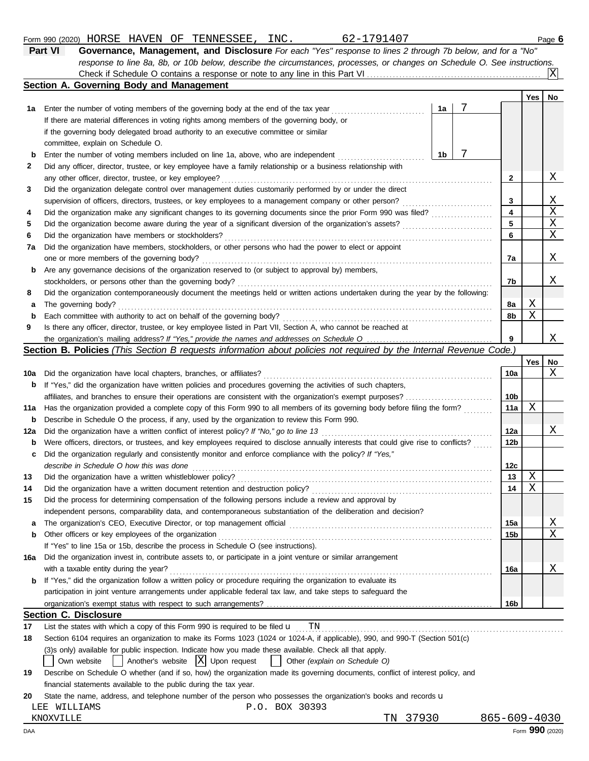|     | 62-1791407<br>Form 990 (2020) HORSE HAVEN OF TENNESSEE, INC.                                                                        |    |   |     |     | Page 6 |
|-----|-------------------------------------------------------------------------------------------------------------------------------------|----|---|-----|-----|--------|
|     | Governance, Management, and Disclosure For each "Yes" response to lines 2 through 7b below, and for a "No"<br>Part VI               |    |   |     |     |        |
|     | response to line 8a, 8b, or 10b below, describe the circumstances, processes, or changes on Schedule O. See instructions.           |    |   |     |     |        |
|     |                                                                                                                                     |    |   |     |     | ΙXΙ    |
|     | Section A. Governing Body and Management                                                                                            |    |   |     |     |        |
|     |                                                                                                                                     |    |   |     | Yes | No     |
| 1а  | Enter the number of voting members of the governing body at the end of the tax year                                                 | 1a | 7 |     |     |        |
|     | If there are material differences in voting rights among members of the governing body, or                                          |    |   |     |     |        |
|     | if the governing body delegated broad authority to an executive committee or similar                                                |    |   |     |     |        |
|     | committee, explain on Schedule O.                                                                                                   |    |   |     |     |        |
| b   | Enter the number of voting members included on line 1a, above, who are independent                                                  | 1b | 7 |     |     |        |
| 2   | Did any officer, director, trustee, or key employee have a family relationship or a business relationship with                      |    |   |     |     |        |
|     | any other officer, director, trustee, or key employee?                                                                              |    |   | 2   |     | X      |
| 3   | Did the organization delegate control over management duties customarily performed by or under the direct                           |    |   |     |     |        |
|     | supervision of officers, directors, trustees, or key employees to a management company or other person?                             |    |   | 3   |     | X      |
| 4   | Did the organization make any significant changes to its governing documents since the prior Form 990 was filed?                    |    |   | 4   |     | Χ      |
| 5   | Did the organization become aware during the year of a significant diversion of the organization's assets?                          |    |   | 5   |     | X      |
| 6   | Did the organization have members or stockholders?                                                                                  |    |   | 6   |     | Χ      |
| 7a  | Did the organization have members, stockholders, or other persons who had the power to elect or appoint                             |    |   |     |     |        |
|     | one or more members of the governing body?                                                                                          |    |   | 7a  |     | Χ      |
| b   | Are any governance decisions of the organization reserved to (or subject to approval by) members,                                   |    |   |     |     |        |
|     | stockholders, or persons other than the governing body?                                                                             |    |   | 7b  |     | Χ      |
| 8   | Did the organization contemporaneously document the meetings held or written actions undertaken during the year by the following:   |    |   |     |     |        |
| а   | The governing body?                                                                                                                 |    |   | 8a  | Χ   |        |
| b   | Each committee with authority to act on behalf of the governing body?                                                               |    |   | 8b  | Χ   |        |
| 9   | Is there any officer, director, trustee, or key employee listed in Part VII, Section A, who cannot be reached at                    |    |   |     |     |        |
|     |                                                                                                                                     |    |   | 9   |     | Χ      |
|     | Section B. Policies (This Section B requests information about policies not required by the Internal Revenue Code.,                 |    |   |     |     |        |
|     |                                                                                                                                     |    |   |     | Yes | No     |
| 10a | Did the organization have local chapters, branches, or affiliates?                                                                  |    |   | 10a |     | Χ      |
|     | <b>b</b> If "Yes," did the organization have written policies and procedures governing the activities of such chapters,             |    |   |     |     |        |
|     |                                                                                                                                     |    |   | 10b |     |        |
| 11a | Has the organization provided a complete copy of this Form 990 to all members of its governing body before filing the form?         |    |   | 11a | Χ   |        |
| b   | Describe in Schedule O the process, if any, used by the organization to review this Form 990.                                       |    |   |     |     |        |
| 12a | Did the organization have a written conflict of interest policy? If "No," go to line 13                                             |    |   | 12a |     | Χ      |
| b   | Were officers, directors, or trustees, and key employees required to disclose annually interests that could give rise to conflicts? |    |   | 12b |     |        |
| c   | Did the organization regularly and consistently monitor and enforce compliance with the policy? If "Yes,"                           |    |   |     |     |        |
|     | describe in Schedule O how this was done                                                                                            |    |   | 12c |     |        |
| 13  | Did the organization have a written whistleblower policy?                                                                           |    |   | 13  | Χ   |        |
| 14  | Did the organization have a written document retention and destruction policy?                                                      |    |   | 14  | Χ   |        |
| 15  | Did the process for determining compensation of the following persons include a review and approval by                              |    |   |     |     |        |
|     | independent persons, comparability data, and contemporaneous substantiation of the deliberation and decision?                       |    |   |     |     |        |
| a   |                                                                                                                                     |    |   | 15a |     | Χ      |
| b   | Other officers or key employees of the organization                                                                                 |    |   | 15b |     | X      |

|    | 16a Did the organization invest in, contribute assets to, or participate in a joint venture or similar arrangement           |     |  |  |
|----|------------------------------------------------------------------------------------------------------------------------------|-----|--|--|
|    | with a taxable entity during the year?                                                                                       | 16a |  |  |
|    | <b>b</b> If "Yes," did the organization follow a written policy or procedure requiring the organization to evaluate its      |     |  |  |
|    | participation in joint venture arrangements under applicable federal tax law, and take steps to safeguard the                |     |  |  |
|    |                                                                                                                              | 16b |  |  |
|    | <b>Section C. Disclosure</b>                                                                                                 |     |  |  |
| 17 | TN<br>List the states with which a copy of this Form 990 is required to be filed $\mathbf u$                                 |     |  |  |
| 18 | Section 6104 requires an organization to make its Forms 1023 (1024 or 1024-A, if applicable), 990, and 990-T (Section 501(c) |     |  |  |

## (3)s only) available for public inspection. Indicate how you made these available. Check all that apply.

If "Yes" to line 15a or 15b, describe the process in Schedule O (see instructions).

|  | Own website |  | Another's website $ X $ Upon request |  |  |  | Other (explain on Schedule O) |
|--|-------------|--|--------------------------------------|--|--|--|-------------------------------|
|--|-------------|--|--------------------------------------|--|--|--|-------------------------------|

| 19 | Describe on Schedule O whether (and if so, how) the organization made its governing documents, conflict of interest policy, and |
|----|---------------------------------------------------------------------------------------------------------------------------------|
|    | financial statements available to the public during the tax year.                                                               |
|    |                                                                                                                                 |

20 State the name, address, and telephone number of the person who possesses the organization's books and records u

|  | LEE WILLIAMS |  |  | P.O. BOX 30393 |
|--|--------------|--|--|----------------|
|--|--------------|--|--|----------------|

KNOXVILLE TN 37930 865-609-4030<br>AA Form **990** (2020)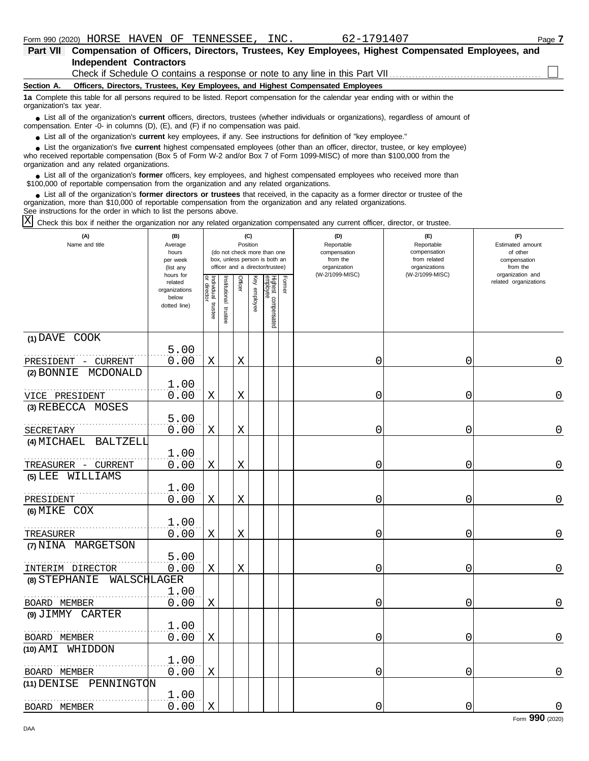| Part VII                 | Compensation of Officers, Directors, Trustees, Key Employees, Highest Compensated Employees, and                                                                                                                                                                                                           |  |  |  |  |  |  |  |  |
|--------------------------|------------------------------------------------------------------------------------------------------------------------------------------------------------------------------------------------------------------------------------------------------------------------------------------------------------|--|--|--|--|--|--|--|--|
|                          | <b>Independent Contractors</b>                                                                                                                                                                                                                                                                             |  |  |  |  |  |  |  |  |
|                          | Check if Schedule O contains a response or note to any line in this Part VII                                                                                                                                                                                                                               |  |  |  |  |  |  |  |  |
| Section A.               | Officers, Directors, Trustees, Key Employees, and Highest Compensated Employees                                                                                                                                                                                                                            |  |  |  |  |  |  |  |  |
| organization's tax year. | 1a Complete this table for all persons required to be listed. Report compensation for the calendar year ending with or within the                                                                                                                                                                          |  |  |  |  |  |  |  |  |
|                          | • List all of the organization's <b>current</b> officers, directors, trustees (whether individuals or organizations), regardless of amount of<br>compensation. Enter -0- in columns $(D)$ , $(E)$ , and $(F)$ if no compensation was paid.                                                                 |  |  |  |  |  |  |  |  |
|                          | • List all of the organization's current key employees, if any. See instructions for definition of "key employee."                                                                                                                                                                                         |  |  |  |  |  |  |  |  |
|                          | • List the organization's five current highest compensated employees (other than an officer, director, trustee, or key employee)<br>who received reportable compensation (Box 5 of Form W-2 and/or Box 7 of Form 1099-MISC) of more than \$100,000 from the<br>organization and any related organizations. |  |  |  |  |  |  |  |  |

■ List all of the organization's **former** officers, key employees, and highest compensated employees who received more than<br> **•** 00.000 of reportable compensation from the examization and any related examizations \$100,000 of reportable compensation from the organization and any related organizations.

■ List all of the organization's **former directors or trustees** that received, in the capacity as a former director or trustee of the property is a former director or trustee of the property of the organization and any re organization, more than \$10,000 of reportable compensation from the organization and any related organizations. See instructions for the order in which to list the persons above.

Check this box if neither the organization nor any related organization compensated any current officer, director, or trustee. X

| (A)<br>Name and title                            | (B)<br>Average<br>hours<br>per week<br>(list any               |                                   |                         | Position    | (C)          | (do not check more than one<br>box, unless person is both an<br>officer and a director/trustee) |        | (D)<br>Reportable<br>compensation<br>from the<br>organization | (E)<br>Reportable<br>compensation<br>from related<br>organizations | (F)<br>Estimated amount<br>of other<br>compensation<br>from the |
|--------------------------------------------------|----------------------------------------------------------------|-----------------------------------|-------------------------|-------------|--------------|-------------------------------------------------------------------------------------------------|--------|---------------------------------------------------------------|--------------------------------------------------------------------|-----------------------------------------------------------------|
|                                                  | hours for<br>related<br>organizations<br>below<br>dotted line) | Individual trustee<br>or director | nstitutional<br>trustee | Officer     | Key employee | Highest compensated<br>employee                                                                 | Former | (W-2/1099-MISC)                                               | (W-2/1099-MISC)                                                    | organization and<br>related organizations                       |
| (1) DAVE COOK                                    | 5.00                                                           |                                   |                         |             |              |                                                                                                 |        |                                                               |                                                                    |                                                                 |
| PRESIDENT - CURRENT<br>MCDONALD<br>(2) BONNIE    | 0.00                                                           | $\mathbf X$                       |                         | $\mathbf X$ |              |                                                                                                 |        | 0                                                             | 0                                                                  | 0                                                               |
|                                                  | 1.00                                                           |                                   |                         |             |              |                                                                                                 |        |                                                               |                                                                    |                                                                 |
| VICE PRESIDENT                                   | 0.00                                                           | Χ                                 |                         | Χ           |              |                                                                                                 |        | 0                                                             | 0                                                                  | $\mathbf 0$                                                     |
| (3) REBECCA MOSES                                |                                                                |                                   |                         |             |              |                                                                                                 |        |                                                               |                                                                    |                                                                 |
| SECRETARY                                        | 5.00<br>0.00                                                   | X                                 |                         | X           |              |                                                                                                 |        | 0                                                             | 0                                                                  | 0                                                               |
| (4) MICHAEL<br><b>BALTZELL</b>                   | 1.00                                                           |                                   |                         |             |              |                                                                                                 |        |                                                               |                                                                    |                                                                 |
| TREASURER - CURRENT                              | 0.00                                                           | $\mathbf X$                       |                         | X           |              |                                                                                                 |        | 0                                                             | 0                                                                  | $\mathbf 0$                                                     |
| (5) LEE WILLIAMS                                 |                                                                |                                   |                         |             |              |                                                                                                 |        |                                                               |                                                                    |                                                                 |
| PRESIDENT                                        | 1.00<br>0.00                                                   | Χ                                 |                         | Χ           |              |                                                                                                 |        | 0                                                             | 0                                                                  | 0                                                               |
| (6) MIKE COX                                     |                                                                |                                   |                         |             |              |                                                                                                 |        |                                                               |                                                                    |                                                                 |
| TREASURER                                        | 1.00<br>0.00                                                   | X                                 |                         | X           |              |                                                                                                 |        | 0                                                             | 0                                                                  | 0                                                               |
| (7) NINA MARGETSON                               |                                                                |                                   |                         |             |              |                                                                                                 |        |                                                               |                                                                    |                                                                 |
|                                                  | 5.00                                                           |                                   |                         |             |              |                                                                                                 |        |                                                               |                                                                    |                                                                 |
| INTERIM DIRECTOR<br>(8) STEPHANIE<br>WALSCHLAGER | 0.00                                                           | $\mathbf X$                       |                         | $\mathbf X$ |              |                                                                                                 |        | 0                                                             | 0                                                                  | $\mathbf 0$                                                     |
| BOARD MEMBER                                     | 1.00<br>0.00                                                   | Χ                                 |                         |             |              |                                                                                                 |        | 0                                                             | 0                                                                  | $\mathbf 0$                                                     |
| (9) JIMMY CARTER                                 |                                                                |                                   |                         |             |              |                                                                                                 |        |                                                               |                                                                    |                                                                 |
|                                                  | 1.00                                                           |                                   |                         |             |              |                                                                                                 |        |                                                               |                                                                    |                                                                 |
| BOARD MEMBER                                     | 0.00                                                           | X                                 |                         |             |              |                                                                                                 |        | 0                                                             | 0                                                                  | 0                                                               |
| (10) AMI WHIDDON                                 |                                                                |                                   |                         |             |              |                                                                                                 |        |                                                               |                                                                    |                                                                 |
| BOARD MEMBER                                     | 1.00<br>0.00                                                   | $\mathbf X$                       |                         |             |              |                                                                                                 |        | 0                                                             | 0                                                                  | $\mathbf 0$                                                     |
| PENNINGTON<br>(11) DENISE                        |                                                                |                                   |                         |             |              |                                                                                                 |        |                                                               |                                                                    |                                                                 |
| BOARD MEMBER                                     | 1.00<br>0.00                                                   | $\mathbf X$                       |                         |             |              |                                                                                                 |        | 0                                                             | 0                                                                  | $\mathbf 0$                                                     |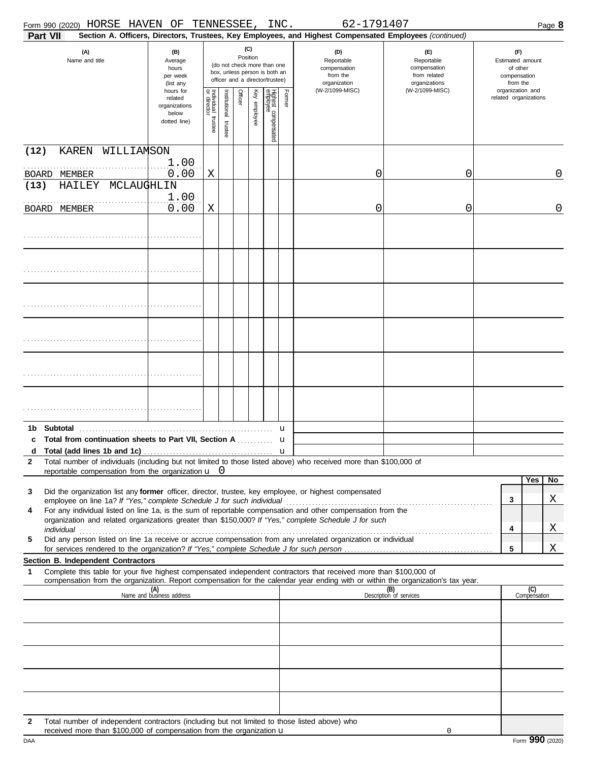| Form 990 (2020) HORSE HAVEN OF TENNESSEE, INC.                                                                                                                                                                                                                                                                                                       |                                                                |                         |                       |                                                                                                                    |              |                                 |        | 62-1791407                                                                                             |                                                                    |                                                                 |                     | Page 8      |
|------------------------------------------------------------------------------------------------------------------------------------------------------------------------------------------------------------------------------------------------------------------------------------------------------------------------------------------------------|----------------------------------------------------------------|-------------------------|-----------------------|--------------------------------------------------------------------------------------------------------------------|--------------|---------------------------------|--------|--------------------------------------------------------------------------------------------------------|--------------------------------------------------------------------|-----------------------------------------------------------------|---------------------|-------------|
| Part VII                                                                                                                                                                                                                                                                                                                                             |                                                                |                         |                       |                                                                                                                    |              |                                 |        | Section A. Officers, Directors, Trustees, Key Employees, and Highest Compensated Employees (continued) |                                                                    |                                                                 |                     |             |
| (A)<br>Name and title                                                                                                                                                                                                                                                                                                                                | (B)<br>Average<br>hours<br>per week<br>(list any               |                         |                       | (C)<br>Position<br>(do not check more than one<br>box, unless person is both an<br>officer and a director/trustee) |              |                                 |        | (D)<br>Reportable<br>compensation<br>from the<br>organization                                          | (E)<br>Reportable<br>compensation<br>from related<br>organizations | (F)<br>Estimated amount<br>of other<br>compensation<br>from the |                     |             |
|                                                                                                                                                                                                                                                                                                                                                      | hours for<br>related<br>organizations<br>below<br>dotted line) | Individual 1<br>trustee | Institutional trustee | Officer                                                                                                            | Key employee | Highest compensated<br>employee | Former | (W-2/1099-MISC)                                                                                        | (W-2/1099-MISC)                                                    | organization and<br>related organizations                       |                     |             |
| (12)<br><b>KAREN</b><br>WILLIAMSON                                                                                                                                                                                                                                                                                                                   | 1.00                                                           |                         |                       |                                                                                                                    |              |                                 |        |                                                                                                        |                                                                    |                                                                 |                     |             |
| BOARD MEMBER<br>HAILEY<br>MCLAUGHLIN<br>(13)                                                                                                                                                                                                                                                                                                         | 0.00                                                           | X                       |                       |                                                                                                                    |              |                                 |        | 0                                                                                                      | 0                                                                  |                                                                 |                     | 0           |
|                                                                                                                                                                                                                                                                                                                                                      | 1.00                                                           |                         |                       |                                                                                                                    |              |                                 |        |                                                                                                        |                                                                    |                                                                 |                     |             |
| BOARD MEMBER                                                                                                                                                                                                                                                                                                                                         | 0.00                                                           | Χ                       |                       |                                                                                                                    |              |                                 |        | 0                                                                                                      | 0                                                                  |                                                                 |                     | $\mathbf 0$ |
|                                                                                                                                                                                                                                                                                                                                                      |                                                                |                         |                       |                                                                                                                    |              |                                 |        |                                                                                                        |                                                                    |                                                                 |                     |             |
|                                                                                                                                                                                                                                                                                                                                                      |                                                                |                         |                       |                                                                                                                    |              |                                 |        |                                                                                                        |                                                                    |                                                                 |                     |             |
|                                                                                                                                                                                                                                                                                                                                                      |                                                                |                         |                       |                                                                                                                    |              |                                 |        |                                                                                                        |                                                                    |                                                                 |                     |             |
|                                                                                                                                                                                                                                                                                                                                                      |                                                                |                         |                       |                                                                                                                    |              |                                 |        |                                                                                                        |                                                                    |                                                                 |                     |             |
|                                                                                                                                                                                                                                                                                                                                                      |                                                                |                         |                       |                                                                                                                    |              |                                 |        |                                                                                                        |                                                                    |                                                                 |                     |             |
|                                                                                                                                                                                                                                                                                                                                                      |                                                                |                         |                       |                                                                                                                    |              |                                 |        |                                                                                                        |                                                                    |                                                                 |                     |             |
| с<br>Total number of individuals (including but not limited to those listed above) who received more than \$100,000 of<br>$\mathbf{2}$                                                                                                                                                                                                               |                                                                |                         |                       | . <b>. . u</b>                                                                                                     |              |                                 |        |                                                                                                        |                                                                    |                                                                 |                     |             |
| reportable compensation from the organization $\mathbf{u}$ 0                                                                                                                                                                                                                                                                                         |                                                                |                         |                       |                                                                                                                    |              |                                 |        |                                                                                                        |                                                                    |                                                                 | Yes                 | <b>No</b>   |
| Did the organization list any former officer, director, trustee, key employee, or highest compensated<br>3                                                                                                                                                                                                                                           |                                                                |                         |                       |                                                                                                                    |              |                                 |        |                                                                                                        |                                                                    | 3                                                               |                     | Χ           |
| For any individual listed on line 1a, is the sum of reportable compensation and other compensation from the<br>4<br>organization and related organizations greater than \$150,000? If "Yes," complete Schedule J for such                                                                                                                            |                                                                |                         |                       |                                                                                                                    |              |                                 |        |                                                                                                        |                                                                    | 4                                                               |                     | Χ           |
| individual with a construction of the construction of the construction of the construction of the construction of the construction of the construction of the construction of the construction of the construction of the cons<br>Did any person listed on line 1a receive or accrue compensation from any unrelated organization or individual<br>5 |                                                                |                         |                       |                                                                                                                    |              |                                 |        |                                                                                                        |                                                                    |                                                                 |                     |             |
|                                                                                                                                                                                                                                                                                                                                                      |                                                                |                         |                       |                                                                                                                    |              |                                 |        |                                                                                                        |                                                                    | 5                                                               |                     | Χ           |
| Section B. Independent Contractors<br>Complete this table for your five highest compensated independent contractors that received more than \$100,000 of<br>1<br>compensation from the organization. Report compensation for the calendar year ending with or within the organization's tax year.                                                    |                                                                |                         |                       |                                                                                                                    |              |                                 |        |                                                                                                        |                                                                    |                                                                 |                     |             |
|                                                                                                                                                                                                                                                                                                                                                      | (A)<br>Name and business address                               |                         |                       |                                                                                                                    |              |                                 |        |                                                                                                        | (B)<br>Description of services                                     |                                                                 | (C)<br>Compensation |             |
|                                                                                                                                                                                                                                                                                                                                                      |                                                                |                         |                       |                                                                                                                    |              |                                 |        |                                                                                                        |                                                                    |                                                                 |                     |             |
|                                                                                                                                                                                                                                                                                                                                                      |                                                                |                         |                       |                                                                                                                    |              |                                 |        |                                                                                                        |                                                                    |                                                                 |                     |             |
|                                                                                                                                                                                                                                                                                                                                                      |                                                                |                         |                       |                                                                                                                    |              |                                 |        |                                                                                                        |                                                                    |                                                                 |                     |             |
|                                                                                                                                                                                                                                                                                                                                                      |                                                                |                         |                       |                                                                                                                    |              |                                 |        |                                                                                                        |                                                                    |                                                                 |                     |             |
|                                                                                                                                                                                                                                                                                                                                                      |                                                                |                         |                       |                                                                                                                    |              |                                 |        |                                                                                                        |                                                                    |                                                                 |                     |             |
| Total number of independent contractors (including but not limited to those listed above) who<br>2<br>received more than \$100,000 of compensation from the organization u                                                                                                                                                                           |                                                                |                         |                       |                                                                                                                    |              |                                 |        |                                                                                                        | 0                                                                  |                                                                 |                     |             |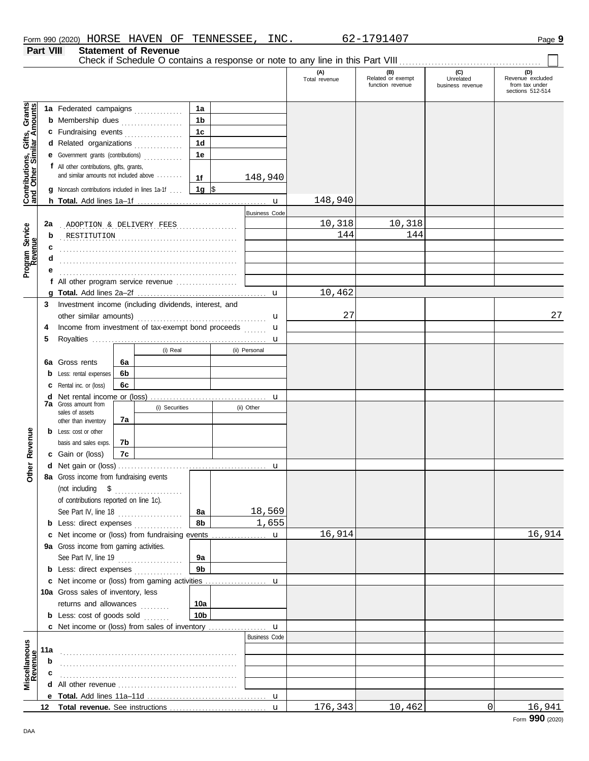**Part VIII Statement of Revenue**

Check if Schedule O contains a response or note to any line in this Part VIII . . . . . . . . . . . . . . . . . . . . . . . . . . . . . . . . . . . . . . . . . . . .

#### (B) (C) (D)<br>Related or exempt business revenue from tax under<br>function revenue business revenue from tax under **(A) (B) (C) (D)** Total revenue Related or exempt Unrelated Revenue excluded sections 512-514 Contributions, Gifts, Grants **Contributions, Gifts, Grants and Other Similar Amounts 1a 1a** Federated campaigns ............... **1b b** Membership dues **.................**... **1c c** Fundraising events . . . . . . . . . . . . . . . **1d d** Related organizations . . . . . . . . . . . . . **1e e** Government grants (contributions) . . . . . . . . . . . . **f** All other contributions, gifts, grants, and similar amounts not included above ........ 148,940 **1f 1g g** Noncash contributions included in lines 1a-1f . . . .  $\frac{\$}{\$}$ 148,940 u **h Total.** Add lines 1a–1f . . . . . . . . . . . . . . . . . . . . . . . . . . . . . . . . . . . . . . . . **Business Cod** . . . . . . . . . . . . . . . . . . . . . . . . . . . . . . . . . . . . . . . . . . . . . . . . . . . . . . . **2a** ADOPTION & DELIVERY FEES 10,318 10,318 Program Service<br>Revenue **Program Service** . . . . . . . . . . . . . . . . . . . . . . . . . . . . . . . . . . . . . . . . . . . . . . . . . . . . . . . RESTITUTION 144 144 **b c** . . . . . . . . . . . . . . . . . . . . . . . . . . . . . . . . . . . . . . . . . . . . . . . . . . . . . . . **d** . . . . . . . . . . . . . . . . . . . . . . . . . . . . . . . . . . . . . . . . . . . . . . . . . . . . . . . **e** . . . . . . . . . . . . . . . . . . . . . . . . . . . . . . . . . . . . . . . . . . . . . . . . . . . . . . . **f** All other program service revenue . . . . . . . . . . . . . . . . . . . 10,462 **g Total.** Add lines 2a–2f . . . . . . . . . . . . . . . . . . . . . . . . . . . . . . . . . . . . . . . . u **3** Investment income (including dividends, interest, and 27 27 other similar amounts) . . . . . . . . . . . . . . . . . . . . . . . . . . . . . . . . . . . . . . . . u Income from investment of tax-exempt bond proceeds **4** u **5** Royalties ...... u (i) Real (ii) Personal **6a 6a** Gross rents **6b b** Less: rental expenses **6c c** Rental inc. or (loss) **d** Net rental income or (loss) . . . . . . . . . . . . . . . . . . . . . . . . . . . . . . . . . . . . u **7a** Gross amount from (i) Securities (ii) Other sales of assets **7a** other than inventory Revenue **Other Revenue b** Less: cost or other **7b** basis and sales exps. **7c c** Gain or (loss) **Other d** u Net gain or (loss) . . . . . . . . . . . . . . . . . . . . . . . . . . . . . . . . . . . . . . . . . . . . . . **8a** Gross income from fundraising events (not including \$ . . . . . . . . . . . . . . . . . . . . . of contributions reported on line 1c). 18,569 See Part IV, line 18 . . . . . . . . . . . . . . . . . . . . **8a 8b** 1,655 **b** Less: direct expenses . . . . . . . . . . . . . 16,914 16,914 **c** Net income or (loss) from fundraising events ................. u 9a Gross income from gaming activities. See Part IV, line 19 . . . . . . . . . . . . . . . . . . . . **9a 9b b** Less: direct expenses ............... u Net income or (loss) from gaming activities . . . . . . . . . . . . . . . . . . . **c** 10a Gross sales of inventory, less returns and allowances ......... **10a 10b b** Less:  $cost$  of goods  $sold$  ....... **c** Net income or (loss) from sales of inventory ................. u Business Code **Viscellaneous**<br>Revenue **Miscellaneous 11a b** . . . . . . . . . . . . . . . . . . . . . . . . . . . . . . . . . . . . . . . . . . . . . . . . . . . . . . . **c d** All other revenue . . . . . . . . . . . . . . . . . . . . . . . . . . . . . . . . . . . . . u **e Total.** Add lines 11a–11d . . . . . . . . . . . . . . . . . . . . . . . . . . . . . . . . . . . . . 176,343 10,462 0 16,941 **12 Total revenue.** See instructions u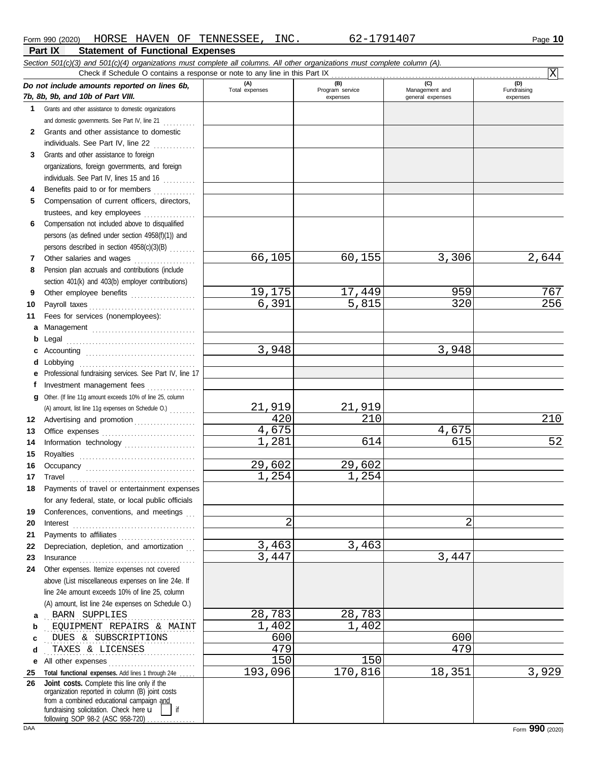|        | Section 501(c)(3) and 501(c)(4) organizations must complete all columns. All other organizations must complete column (A).<br>Check if Schedule O contains a response or note to any line in this Part IX                                                                                                                                                                                                                                                                                                |                       |                                    |                                           | Χ                              |
|--------|----------------------------------------------------------------------------------------------------------------------------------------------------------------------------------------------------------------------------------------------------------------------------------------------------------------------------------------------------------------------------------------------------------------------------------------------------------------------------------------------------------|-----------------------|------------------------------------|-------------------------------------------|--------------------------------|
|        | Do not include amounts reported on lines 6b,<br>7b, 8b, 9b, and 10b of Part VIII.                                                                                                                                                                                                                                                                                                                                                                                                                        | (A)<br>Total expenses | (B)<br>Program service<br>expenses | (C)<br>Management and<br>general expenses | (D)<br>Fundraising<br>expenses |
|        | 1 Grants and other assistance to domestic organizations                                                                                                                                                                                                                                                                                                                                                                                                                                                  |                       |                                    |                                           |                                |
|        | and domestic governments. See Part IV, line 21                                                                                                                                                                                                                                                                                                                                                                                                                                                           |                       |                                    |                                           |                                |
| 2      | Grants and other assistance to domestic                                                                                                                                                                                                                                                                                                                                                                                                                                                                  |                       |                                    |                                           |                                |
|        | individuals. See Part IV, line 22                                                                                                                                                                                                                                                                                                                                                                                                                                                                        |                       |                                    |                                           |                                |
| 3      | Grants and other assistance to foreign                                                                                                                                                                                                                                                                                                                                                                                                                                                                   |                       |                                    |                                           |                                |
|        | organizations, foreign governments, and foreign                                                                                                                                                                                                                                                                                                                                                                                                                                                          |                       |                                    |                                           |                                |
|        | individuals. See Part IV, lines 15 and 16                                                                                                                                                                                                                                                                                                                                                                                                                                                                |                       |                                    |                                           |                                |
| 4      | Benefits paid to or for members<br>.                                                                                                                                                                                                                                                                                                                                                                                                                                                                     |                       |                                    |                                           |                                |
| 5      | Compensation of current officers, directors,                                                                                                                                                                                                                                                                                                                                                                                                                                                             |                       |                                    |                                           |                                |
|        | trustees, and key employees                                                                                                                                                                                                                                                                                                                                                                                                                                                                              |                       |                                    |                                           |                                |
| 6      | Compensation not included above to disqualified                                                                                                                                                                                                                                                                                                                                                                                                                                                          |                       |                                    |                                           |                                |
|        | persons (as defined under section 4958(f)(1)) and                                                                                                                                                                                                                                                                                                                                                                                                                                                        |                       |                                    |                                           |                                |
|        | persons described in section 4958(c)(3)(B)                                                                                                                                                                                                                                                                                                                                                                                                                                                               |                       |                                    |                                           |                                |
| 7      | Other salaries and wages                                                                                                                                                                                                                                                                                                                                                                                                                                                                                 | 66,105                | 60,155                             | 3,306                                     | 2,644                          |
| 8      | Pension plan accruals and contributions (include                                                                                                                                                                                                                                                                                                                                                                                                                                                         |                       |                                    |                                           |                                |
|        | section 401(k) and 403(b) employer contributions)                                                                                                                                                                                                                                                                                                                                                                                                                                                        | 19,175                | 17,449                             | 959                                       | 767                            |
| 9      | Other employee benefits                                                                                                                                                                                                                                                                                                                                                                                                                                                                                  | 6,391                 | 5,815                              | 320                                       | 256                            |
| 10     |                                                                                                                                                                                                                                                                                                                                                                                                                                                                                                          |                       |                                    |                                           |                                |
| 11     | Fees for services (nonemployees):                                                                                                                                                                                                                                                                                                                                                                                                                                                                        |                       |                                    |                                           |                                |
| а      |                                                                                                                                                                                                                                                                                                                                                                                                                                                                                                          |                       |                                    |                                           |                                |
| b<br>c |                                                                                                                                                                                                                                                                                                                                                                                                                                                                                                          | 3,948                 |                                    | 3,948                                     |                                |
| d      | Lobbying                                                                                                                                                                                                                                                                                                                                                                                                                                                                                                 |                       |                                    |                                           |                                |
| е      | Professional fundraising services. See Part IV, line 17                                                                                                                                                                                                                                                                                                                                                                                                                                                  |                       |                                    |                                           |                                |
| f      | Investment management fees                                                                                                                                                                                                                                                                                                                                                                                                                                                                               |                       |                                    |                                           |                                |
| g      | Other. (If line 11g amount exceeds 10% of line 25, column                                                                                                                                                                                                                                                                                                                                                                                                                                                |                       |                                    |                                           |                                |
|        | (A) amount, list line 11g expenses on Schedule O.)                                                                                                                                                                                                                                                                                                                                                                                                                                                       | 21,919                | 21,919                             |                                           |                                |
| 12     | Advertising and promotion [1] [1] [1] Advertising and promotion                                                                                                                                                                                                                                                                                                                                                                                                                                          | 420                   | 210                                |                                           | 210                            |
| 13     |                                                                                                                                                                                                                                                                                                                                                                                                                                                                                                          | 4,675                 |                                    | 4,675                                     |                                |
| 14     |                                                                                                                                                                                                                                                                                                                                                                                                                                                                                                          | 1,281                 | 614                                | 615                                       | 52                             |
| 15     |                                                                                                                                                                                                                                                                                                                                                                                                                                                                                                          |                       |                                    |                                           |                                |
| 16     |                                                                                                                                                                                                                                                                                                                                                                                                                                                                                                          | 29,602                | 29,602                             |                                           |                                |
| 17     | Travel                                                                                                                                                                                                                                                                                                                                                                                                                                                                                                   | 1,254                 | 1,254                              |                                           |                                |
|        | Payments of travel or entertainment expenses                                                                                                                                                                                                                                                                                                                                                                                                                                                             |                       |                                    |                                           |                                |
|        | for any federal, state, or local public officials                                                                                                                                                                                                                                                                                                                                                                                                                                                        |                       |                                    |                                           |                                |
| 19     | Conferences, conventions, and meetings                                                                                                                                                                                                                                                                                                                                                                                                                                                                   |                       |                                    |                                           |                                |
| 20     |                                                                                                                                                                                                                                                                                                                                                                                                                                                                                                          | $\overline{2}$        |                                    | 2                                         |                                |
| 21     | Payments to affiliates                                                                                                                                                                                                                                                                                                                                                                                                                                                                                   |                       |                                    |                                           |                                |
| 22     | Depreciation, depletion, and amortization                                                                                                                                                                                                                                                                                                                                                                                                                                                                | 3,463                 | 3,463                              |                                           |                                |
| 23     | $\begin{minipage}{0.5\textwidth} \centering \begin{tabular}{@{}l@{}} \textbf{Insurance} & \textbf{Insur} & \textbf{Insur} \\ \textbf{Insur} & \textbf{Insur} & \textbf{Insur} \\ \textbf{Insur} & \textbf{Insur} & \textbf{Insur} \\ \textbf{Insur} & \textbf{Insur} \\ \textbf{Insur} & \textbf{Insur} \\ \textbf{Insur} & \textbf{Insur} \\ \textbf{Insur} & \textbf{Insur} \\ \textbf{Insur} & \textbf{Insur} \\ \textbf{Insur} & \textbf{Insur} \\ \textbf{Insur} & \textbf{Insur} \\ \textbf{Insur$ | $\overline{3}$ , 447  |                                    | 3,447                                     |                                |
| 24     | Other expenses. Itemize expenses not covered                                                                                                                                                                                                                                                                                                                                                                                                                                                             |                       |                                    |                                           |                                |
|        | above (List miscellaneous expenses on line 24e. If                                                                                                                                                                                                                                                                                                                                                                                                                                                       |                       |                                    |                                           |                                |
|        | line 24e amount exceeds 10% of line 25, column                                                                                                                                                                                                                                                                                                                                                                                                                                                           |                       |                                    |                                           |                                |
|        | (A) amount, list line 24e expenses on Schedule O.)                                                                                                                                                                                                                                                                                                                                                                                                                                                       |                       |                                    |                                           |                                |
| a      | <b>BARN SUPPLIES</b>                                                                                                                                                                                                                                                                                                                                                                                                                                                                                     | 28,783                | 28,783                             |                                           |                                |
| b      | EQUIPMENT REPAIRS & MAINT                                                                                                                                                                                                                                                                                                                                                                                                                                                                                | 1,402                 | $\overline{1}$ , 402               |                                           |                                |
| c      | DUES & SUBSCRIPTIONS                                                                                                                                                                                                                                                                                                                                                                                                                                                                                     | 600                   |                                    | 600                                       |                                |
| d      | TAXES & LICENSES                                                                                                                                                                                                                                                                                                                                                                                                                                                                                         | 479                   |                                    | 479                                       |                                |
| е      | All other expenses                                                                                                                                                                                                                                                                                                                                                                                                                                                                                       | 150                   | 150                                |                                           |                                |
| 25     | Total functional expenses. Add lines 1 through 24e<br>Joint costs. Complete this line only if the                                                                                                                                                                                                                                                                                                                                                                                                        | 193,096               | 170,816                            | 18,351                                    | 3,929                          |
| 26     | organization reported in column (B) joint costs<br>from a combined educational campaign and<br>fundraising solicitation. Check here u<br>if<br>following SOP 98-2 (ASC 958-720)                                                                                                                                                                                                                                                                                                                          |                       |                                    |                                           |                                |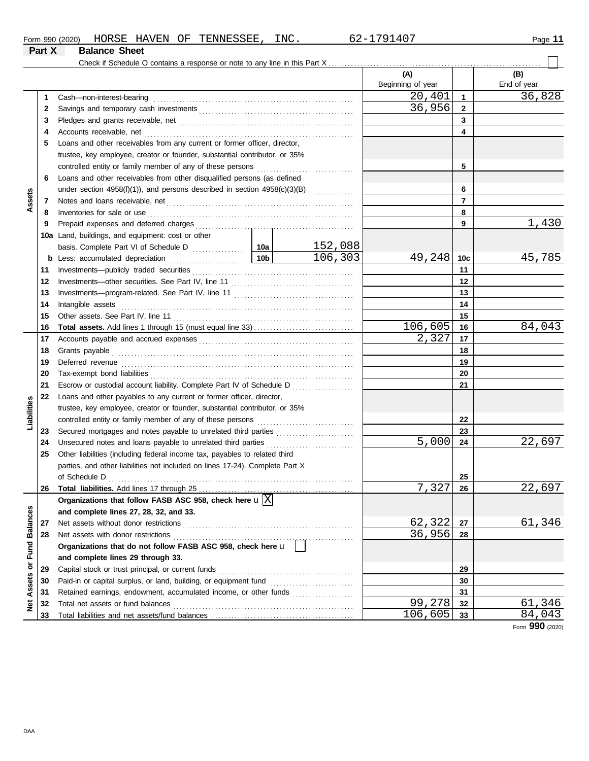| Form 990 (2020) | HORSE                          | <b>HAVEN</b> | ΟF | TENNESSEE | INC. | $.179140$ <sup>-</sup><br>n | Page |
|-----------------|--------------------------------|--------------|----|-----------|------|-----------------------------|------|
| Part X          | <b>Balance</b><br><b>Sheet</b> |              |    |           |      |                             |      |

|                                |    | Check if Schedule O contains a response or note to any line in this Part X   |                |                   |                 |             |
|--------------------------------|----|------------------------------------------------------------------------------|----------------|-------------------|-----------------|-------------|
|                                |    |                                                                              |                | (A)               |                 | (B)         |
|                                |    |                                                                              |                | Beginning of year |                 | End of year |
|                                | 1  |                                                                              |                | 20,401            | 1               | 36,828      |
|                                | 2  |                                                                              |                | 36,956            | $\mathbf{2}$    |             |
|                                | 3  |                                                                              |                |                   | 3               |             |
|                                | 4  |                                                                              |                |                   | 4               |             |
|                                | 5  | Loans and other receivables from any current or former officer, director,    |                |                   |                 |             |
|                                |    | trustee, key employee, creator or founder, substantial contributor, or 35%   |                |                   |                 |             |
|                                |    |                                                                              |                |                   | 5               |             |
|                                | 6  | Loans and other receivables from other disqualified persons (as defined      |                |                   |                 |             |
|                                |    | under section 4958(f)(1)), and persons described in section 4958(c)(3)(B)    |                |                   | 6               |             |
| Assets                         | 7  |                                                                              |                | $\overline{7}$    |                 |             |
|                                | 8  | Inventories for sale or use                                                  |                |                   | 8               |             |
|                                | 9  |                                                                              |                |                   | 9               | 1,430       |
|                                |    | <b>10a</b> Land, buildings, and equipment: cost or other                     |                |                   |                 |             |
|                                |    |                                                                              | <u>152,088</u> |                   |                 |             |
|                                |    |                                                                              | 106,303        | 49,248            | 10 <sub>c</sub> | 45,785      |
|                                | 11 |                                                                              |                |                   | 11              |             |
|                                | 12 |                                                                              |                |                   | 12              |             |
|                                | 13 |                                                                              |                |                   | 13              |             |
|                                | 14 |                                                                              |                |                   | 14              |             |
|                                | 15 |                                                                              |                |                   | 15              |             |
|                                | 16 |                                                                              |                | 106,605           | 16              | 84,043      |
|                                | 17 |                                                                              |                | 2,327             | 17              |             |
|                                | 18 | Grants payable                                                               |                |                   | 18              |             |
|                                | 19 | Deferred revenue                                                             |                | 19                |                 |             |
|                                | 20 |                                                                              |                |                   | 20              |             |
|                                | 21 | Escrow or custodial account liability. Complete Part IV of Schedule D        |                |                   | 21              |             |
|                                |    |                                                                              |                |                   |                 |             |
| Liabilities                    | 22 | Loans and other payables to any current or former officer, director,         |                |                   |                 |             |
|                                |    | trustee, key employee, creator or founder, substantial contributor, or 35%   |                |                   |                 |             |
|                                |    | controlled entity or family member of any of these persons                   |                |                   | 22              |             |
|                                | 23 |                                                                              |                |                   | 23              |             |
|                                | 24 | Unsecured notes and loans payable to unrelated third parties                 |                | 5,000             | 24              | 22,697      |
|                                | 25 | Other liabilities (including federal income tax, payables to related third   |                |                   |                 |             |
|                                |    | parties, and other liabilities not included on lines 17-24). Complete Part X |                |                   |                 |             |
|                                |    |                                                                              |                |                   | 25              |             |
|                                | 26 | Total liabilities. Add lines 17 through 25                                   |                | 7,327             | 26              | 22,697      |
|                                |    | Organizations that follow FASB ASC 958, check here $\mathbf{u} \overline{X}$ |                |                   |                 |             |
|                                |    | and complete lines 27, 28, 32, and 33.                                       |                |                   |                 |             |
|                                | 27 | Net assets without donor restrictions                                        |                | 62,322            | 27              | 61,346      |
|                                | 28 | Net assets with donor restrictions                                           |                | 36,956            | 28              |             |
|                                |    | Organizations that do not follow FASB ASC 958, check here u                  |                |                   |                 |             |
| <b>Assets or Fund Balances</b> |    | and complete lines 29 through 33.                                            |                |                   |                 |             |
|                                | 29 | Capital stock or trust principal, or current funds                           |                |                   | 29              |             |
|                                | 30 | Paid-in or capital surplus, or land, building, or equipment fund             |                |                   | 30              |             |
|                                | 31 | Retained earnings, endowment, accumulated income, or other funds             |                |                   | 31              |             |
| ğ                              | 32 | Total net assets or fund balances                                            |                | 99,278            | 32              | 61,346      |
|                                | 33 |                                                                              |                | 106,605           | 33              | 84,043      |

Form **990** (2020)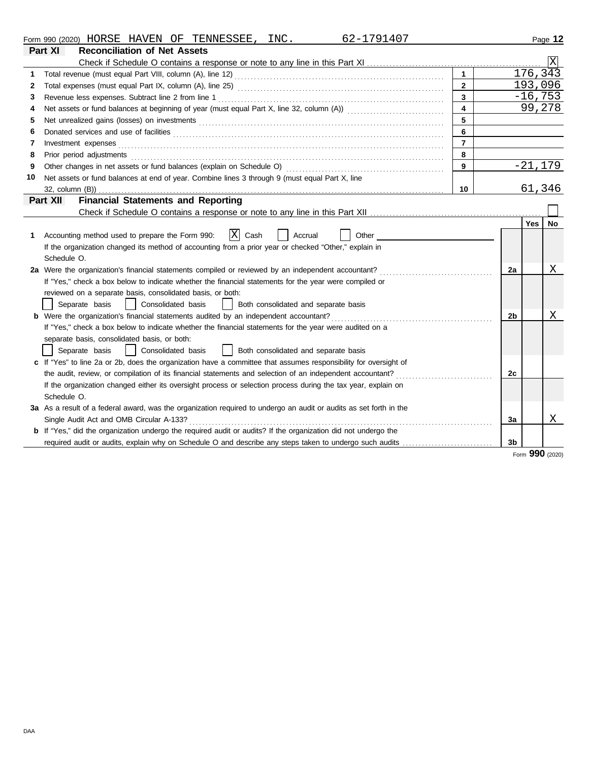| Form,<br>990<br>(2020) | HORSE       | <b>HAVEN</b> | ΟF | TENNESSEE | INC | $. A \cap$<br>്ധ | Page |  |  |  |  |  |
|------------------------|-------------|--------------|----|-----------|-----|------------------|------|--|--|--|--|--|
| $P = 1$                | .<br>$\sim$ |              |    |           |     |                  |      |  |  |  |  |  |

| 1<br>$\mathbf{2}$<br>$\mathbf{2}$<br>3<br>3<br>4<br>4<br>5<br>5<br>6<br>6<br>$\overline{7}$<br>Investment expenses<br>7<br>8<br>Prior period adjustments<br>8<br>9<br>Other changes in net assets or fund balances (explain on Schedule O)<br>9<br>Net assets or fund balances at end of year. Combine lines 3 through 9 (must equal Part X, line<br>10<br>10<br><b>Financial Statements and Reporting</b><br>Part XII<br> X <br>Accounting method used to prepare the Form 990:<br>Cash<br>Accrual<br>Other<br>1<br>If the organization changed its method of accounting from a prior year or checked "Other," explain in<br>Schedule O.<br>2a Were the organization's financial statements compiled or reviewed by an independent accountant?<br>2a<br>If "Yes," check a box below to indicate whether the financial statements for the year were compiled or<br>reviewed on a separate basis, consolidated basis, or both:<br>Separate basis<br>Consolidated basis<br>Both consolidated and separate basis<br>$\mathbf{I}$<br><b>b</b> Were the organization's financial statements audited by an independent accountant?<br>2 <sub>b</sub><br>If "Yes," check a box below to indicate whether the financial statements for the year were audited on a<br>separate basis, consolidated basis, or both:<br>Consolidated basis<br>Both consolidated and separate basis<br>Separate basis<br>$\mathsf{L}$<br>c If "Yes" to line 2a or 2b, does the organization have a committee that assumes responsibility for oversight of<br>the audit, review, or compilation of its financial statements and selection of an independent accountant?<br>2c<br>If the organization changed either its oversight process or selection process during the tax year, explain on |     |                 |
|-------------------------------------------------------------------------------------------------------------------------------------------------------------------------------------------------------------------------------------------------------------------------------------------------------------------------------------------------------------------------------------------------------------------------------------------------------------------------------------------------------------------------------------------------------------------------------------------------------------------------------------------------------------------------------------------------------------------------------------------------------------------------------------------------------------------------------------------------------------------------------------------------------------------------------------------------------------------------------------------------------------------------------------------------------------------------------------------------------------------------------------------------------------------------------------------------------------------------------------------------------------------------------------------------------------------------------------------------------------------------------------------------------------------------------------------------------------------------------------------------------------------------------------------------------------------------------------------------------------------------------------------------------------------------------------------------------------------------------------------------------------------|-----|-----------------|
|                                                                                                                                                                                                                                                                                                                                                                                                                                                                                                                                                                                                                                                                                                                                                                                                                                                                                                                                                                                                                                                                                                                                                                                                                                                                                                                                                                                                                                                                                                                                                                                                                                                                                                                                                                   |     |                 |
|                                                                                                                                                                                                                                                                                                                                                                                                                                                                                                                                                                                                                                                                                                                                                                                                                                                                                                                                                                                                                                                                                                                                                                                                                                                                                                                                                                                                                                                                                                                                                                                                                                                                                                                                                                   |     | 176, 343        |
|                                                                                                                                                                                                                                                                                                                                                                                                                                                                                                                                                                                                                                                                                                                                                                                                                                                                                                                                                                                                                                                                                                                                                                                                                                                                                                                                                                                                                                                                                                                                                                                                                                                                                                                                                                   |     | 193,096         |
|                                                                                                                                                                                                                                                                                                                                                                                                                                                                                                                                                                                                                                                                                                                                                                                                                                                                                                                                                                                                                                                                                                                                                                                                                                                                                                                                                                                                                                                                                                                                                                                                                                                                                                                                                                   |     | $-16,753$       |
|                                                                                                                                                                                                                                                                                                                                                                                                                                                                                                                                                                                                                                                                                                                                                                                                                                                                                                                                                                                                                                                                                                                                                                                                                                                                                                                                                                                                                                                                                                                                                                                                                                                                                                                                                                   |     | 99,278          |
|                                                                                                                                                                                                                                                                                                                                                                                                                                                                                                                                                                                                                                                                                                                                                                                                                                                                                                                                                                                                                                                                                                                                                                                                                                                                                                                                                                                                                                                                                                                                                                                                                                                                                                                                                                   |     |                 |
|                                                                                                                                                                                                                                                                                                                                                                                                                                                                                                                                                                                                                                                                                                                                                                                                                                                                                                                                                                                                                                                                                                                                                                                                                                                                                                                                                                                                                                                                                                                                                                                                                                                                                                                                                                   |     |                 |
|                                                                                                                                                                                                                                                                                                                                                                                                                                                                                                                                                                                                                                                                                                                                                                                                                                                                                                                                                                                                                                                                                                                                                                                                                                                                                                                                                                                                                                                                                                                                                                                                                                                                                                                                                                   |     |                 |
|                                                                                                                                                                                                                                                                                                                                                                                                                                                                                                                                                                                                                                                                                                                                                                                                                                                                                                                                                                                                                                                                                                                                                                                                                                                                                                                                                                                                                                                                                                                                                                                                                                                                                                                                                                   |     |                 |
|                                                                                                                                                                                                                                                                                                                                                                                                                                                                                                                                                                                                                                                                                                                                                                                                                                                                                                                                                                                                                                                                                                                                                                                                                                                                                                                                                                                                                                                                                                                                                                                                                                                                                                                                                                   |     | $-21,179$       |
|                                                                                                                                                                                                                                                                                                                                                                                                                                                                                                                                                                                                                                                                                                                                                                                                                                                                                                                                                                                                                                                                                                                                                                                                                                                                                                                                                                                                                                                                                                                                                                                                                                                                                                                                                                   |     |                 |
|                                                                                                                                                                                                                                                                                                                                                                                                                                                                                                                                                                                                                                                                                                                                                                                                                                                                                                                                                                                                                                                                                                                                                                                                                                                                                                                                                                                                                                                                                                                                                                                                                                                                                                                                                                   |     | 61,346          |
|                                                                                                                                                                                                                                                                                                                                                                                                                                                                                                                                                                                                                                                                                                                                                                                                                                                                                                                                                                                                                                                                                                                                                                                                                                                                                                                                                                                                                                                                                                                                                                                                                                                                                                                                                                   |     |                 |
|                                                                                                                                                                                                                                                                                                                                                                                                                                                                                                                                                                                                                                                                                                                                                                                                                                                                                                                                                                                                                                                                                                                                                                                                                                                                                                                                                                                                                                                                                                                                                                                                                                                                                                                                                                   |     |                 |
|                                                                                                                                                                                                                                                                                                                                                                                                                                                                                                                                                                                                                                                                                                                                                                                                                                                                                                                                                                                                                                                                                                                                                                                                                                                                                                                                                                                                                                                                                                                                                                                                                                                                                                                                                                   | Yes | No.             |
|                                                                                                                                                                                                                                                                                                                                                                                                                                                                                                                                                                                                                                                                                                                                                                                                                                                                                                                                                                                                                                                                                                                                                                                                                                                                                                                                                                                                                                                                                                                                                                                                                                                                                                                                                                   |     |                 |
|                                                                                                                                                                                                                                                                                                                                                                                                                                                                                                                                                                                                                                                                                                                                                                                                                                                                                                                                                                                                                                                                                                                                                                                                                                                                                                                                                                                                                                                                                                                                                                                                                                                                                                                                                                   |     |                 |
|                                                                                                                                                                                                                                                                                                                                                                                                                                                                                                                                                                                                                                                                                                                                                                                                                                                                                                                                                                                                                                                                                                                                                                                                                                                                                                                                                                                                                                                                                                                                                                                                                                                                                                                                                                   |     |                 |
|                                                                                                                                                                                                                                                                                                                                                                                                                                                                                                                                                                                                                                                                                                                                                                                                                                                                                                                                                                                                                                                                                                                                                                                                                                                                                                                                                                                                                                                                                                                                                                                                                                                                                                                                                                   |     | Χ               |
|                                                                                                                                                                                                                                                                                                                                                                                                                                                                                                                                                                                                                                                                                                                                                                                                                                                                                                                                                                                                                                                                                                                                                                                                                                                                                                                                                                                                                                                                                                                                                                                                                                                                                                                                                                   |     |                 |
|                                                                                                                                                                                                                                                                                                                                                                                                                                                                                                                                                                                                                                                                                                                                                                                                                                                                                                                                                                                                                                                                                                                                                                                                                                                                                                                                                                                                                                                                                                                                                                                                                                                                                                                                                                   |     |                 |
|                                                                                                                                                                                                                                                                                                                                                                                                                                                                                                                                                                                                                                                                                                                                                                                                                                                                                                                                                                                                                                                                                                                                                                                                                                                                                                                                                                                                                                                                                                                                                                                                                                                                                                                                                                   |     |                 |
|                                                                                                                                                                                                                                                                                                                                                                                                                                                                                                                                                                                                                                                                                                                                                                                                                                                                                                                                                                                                                                                                                                                                                                                                                                                                                                                                                                                                                                                                                                                                                                                                                                                                                                                                                                   |     | Χ               |
|                                                                                                                                                                                                                                                                                                                                                                                                                                                                                                                                                                                                                                                                                                                                                                                                                                                                                                                                                                                                                                                                                                                                                                                                                                                                                                                                                                                                                                                                                                                                                                                                                                                                                                                                                                   |     |                 |
|                                                                                                                                                                                                                                                                                                                                                                                                                                                                                                                                                                                                                                                                                                                                                                                                                                                                                                                                                                                                                                                                                                                                                                                                                                                                                                                                                                                                                                                                                                                                                                                                                                                                                                                                                                   |     |                 |
|                                                                                                                                                                                                                                                                                                                                                                                                                                                                                                                                                                                                                                                                                                                                                                                                                                                                                                                                                                                                                                                                                                                                                                                                                                                                                                                                                                                                                                                                                                                                                                                                                                                                                                                                                                   |     |                 |
|                                                                                                                                                                                                                                                                                                                                                                                                                                                                                                                                                                                                                                                                                                                                                                                                                                                                                                                                                                                                                                                                                                                                                                                                                                                                                                                                                                                                                                                                                                                                                                                                                                                                                                                                                                   |     |                 |
|                                                                                                                                                                                                                                                                                                                                                                                                                                                                                                                                                                                                                                                                                                                                                                                                                                                                                                                                                                                                                                                                                                                                                                                                                                                                                                                                                                                                                                                                                                                                                                                                                                                                                                                                                                   |     |                 |
|                                                                                                                                                                                                                                                                                                                                                                                                                                                                                                                                                                                                                                                                                                                                                                                                                                                                                                                                                                                                                                                                                                                                                                                                                                                                                                                                                                                                                                                                                                                                                                                                                                                                                                                                                                   |     |                 |
| Schedule O.                                                                                                                                                                                                                                                                                                                                                                                                                                                                                                                                                                                                                                                                                                                                                                                                                                                                                                                                                                                                                                                                                                                                                                                                                                                                                                                                                                                                                                                                                                                                                                                                                                                                                                                                                       |     |                 |
| 3a As a result of a federal award, was the organization required to undergo an audit or audits as set forth in the                                                                                                                                                                                                                                                                                                                                                                                                                                                                                                                                                                                                                                                                                                                                                                                                                                                                                                                                                                                                                                                                                                                                                                                                                                                                                                                                                                                                                                                                                                                                                                                                                                                |     |                 |
| Single Audit Act and OMB Circular A-133?<br>3a                                                                                                                                                                                                                                                                                                                                                                                                                                                                                                                                                                                                                                                                                                                                                                                                                                                                                                                                                                                                                                                                                                                                                                                                                                                                                                                                                                                                                                                                                                                                                                                                                                                                                                                    |     | Χ               |
| <b>b</b> If "Yes," did the organization undergo the required audit or audits? If the organization did not undergo the                                                                                                                                                                                                                                                                                                                                                                                                                                                                                                                                                                                                                                                                                                                                                                                                                                                                                                                                                                                                                                                                                                                                                                                                                                                                                                                                                                                                                                                                                                                                                                                                                                             |     |                 |
| 3b<br>required audit or audits, explain why on Schedule O and describe any steps taken to undergo such audits                                                                                                                                                                                                                                                                                                                                                                                                                                                                                                                                                                                                                                                                                                                                                                                                                                                                                                                                                                                                                                                                                                                                                                                                                                                                                                                                                                                                                                                                                                                                                                                                                                                     |     |                 |
|                                                                                                                                                                                                                                                                                                                                                                                                                                                                                                                                                                                                                                                                                                                                                                                                                                                                                                                                                                                                                                                                                                                                                                                                                                                                                                                                                                                                                                                                                                                                                                                                                                                                                                                                                                   |     | Form 990 (2020) |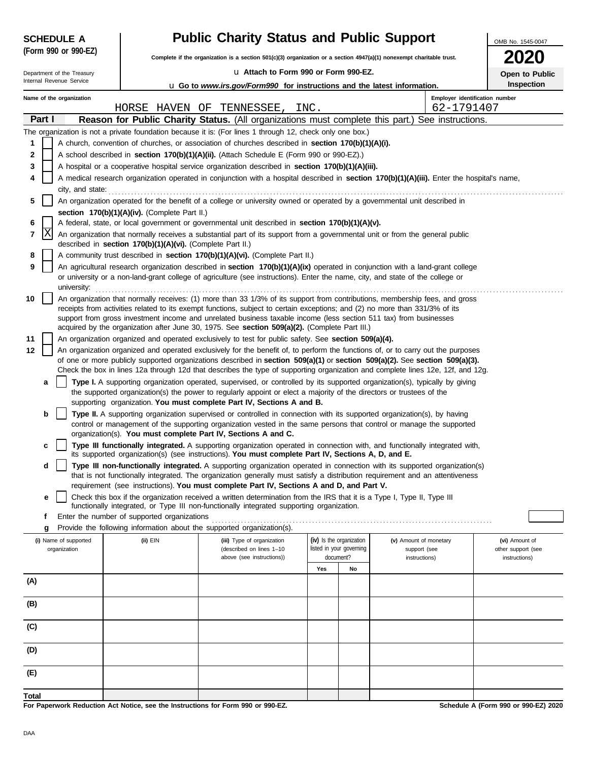| <b>SCHEDULE A</b>          |                                                            | <b>Public Charity Status and Public Support</b>                                                                                                                                                                                                                        |           |                          |                               |                                |                                      |  |  |  |  |  |  |
|----------------------------|------------------------------------------------------------|------------------------------------------------------------------------------------------------------------------------------------------------------------------------------------------------------------------------------------------------------------------------|-----------|--------------------------|-------------------------------|--------------------------------|--------------------------------------|--|--|--|--|--|--|
| (Form 990 or 990-EZ)       |                                                            | Complete if the organization is a section 501(c)(3) organization or a section 4947(a)(1) nonexempt charitable trust.                                                                                                                                                   |           |                          |                               |                                |                                      |  |  |  |  |  |  |
| Department of the Treasury |                                                            | La Attach to Form 990 or Form 990-EZ.                                                                                                                                                                                                                                  |           |                          |                               |                                | Open to Public                       |  |  |  |  |  |  |
| Internal Revenue Service   |                                                            | <b>u</b> Go to www.irs.gov/Form990 for instructions and the latest information.                                                                                                                                                                                        |           |                          |                               |                                | Inspection                           |  |  |  |  |  |  |
| Name of the organization   |                                                            |                                                                                                                                                                                                                                                                        |           |                          |                               | Employer identification number |                                      |  |  |  |  |  |  |
|                            |                                                            | HORSE HAVEN OF TENNESSEE,                                                                                                                                                                                                                                              | INC.      |                          |                               | 62-1791407                     |                                      |  |  |  |  |  |  |
| Part I                     |                                                            | Reason for Public Charity Status. (All organizations must complete this part.) See instructions.                                                                                                                                                                       |           |                          |                               |                                |                                      |  |  |  |  |  |  |
| 1                          |                                                            | The organization is not a private foundation because it is: (For lines 1 through 12, check only one box.)<br>A church, convention of churches, or association of churches described in section 170(b)(1)(A)(i).                                                        |           |                          |                               |                                |                                      |  |  |  |  |  |  |
| 2                          |                                                            | A school described in <b>section 170(b)(1)(A)(ii).</b> (Attach Schedule E (Form 990 or 990-EZ).)                                                                                                                                                                       |           |                          |                               |                                |                                      |  |  |  |  |  |  |
| 3                          |                                                            | A hospital or a cooperative hospital service organization described in section 170(b)(1)(A)(iii).                                                                                                                                                                      |           |                          |                               |                                |                                      |  |  |  |  |  |  |
| 4                          |                                                            | A medical research organization operated in conjunction with a hospital described in section 170(b)(1)(A)(iii). Enter the hospital's name,                                                                                                                             |           |                          |                               |                                |                                      |  |  |  |  |  |  |
| city, and state:           |                                                            |                                                                                                                                                                                                                                                                        |           |                          |                               |                                |                                      |  |  |  |  |  |  |
| 5                          |                                                            | An organization operated for the benefit of a college or university owned or operated by a governmental unit described in                                                                                                                                              |           |                          |                               |                                |                                      |  |  |  |  |  |  |
|                            | section 170(b)(1)(A)(iv). (Complete Part II.)              |                                                                                                                                                                                                                                                                        |           |                          |                               |                                |                                      |  |  |  |  |  |  |
| 6                          |                                                            | A federal, state, or local government or governmental unit described in section 170(b)(1)(A)(v).                                                                                                                                                                       |           |                          |                               |                                |                                      |  |  |  |  |  |  |
| X<br>7                     | described in section 170(b)(1)(A)(vi). (Complete Part II.) | An organization that normally receives a substantial part of its support from a governmental unit or from the general public                                                                                                                                           |           |                          |                               |                                |                                      |  |  |  |  |  |  |
| 8                          |                                                            | A community trust described in section 170(b)(1)(A)(vi). (Complete Part II.)                                                                                                                                                                                           |           |                          |                               |                                |                                      |  |  |  |  |  |  |
| 9                          |                                                            | An agricultural research organization described in section 170(b)(1)(A)(ix) operated in conjunction with a land-grant college                                                                                                                                          |           |                          |                               |                                |                                      |  |  |  |  |  |  |
| university:                |                                                            | or university or a non-land-grant college of agriculture (see instructions). Enter the name, city, and state of the college or                                                                                                                                         |           |                          |                               |                                |                                      |  |  |  |  |  |  |
| 10                         |                                                            | An organization that normally receives: (1) more than 33 1/3% of its support from contributions, membership fees, and gross                                                                                                                                            |           |                          |                               |                                |                                      |  |  |  |  |  |  |
|                            |                                                            | receipts from activities related to its exempt functions, subject to certain exceptions; and (2) no more than 331/3% of its<br>support from gross investment income and unrelated business taxable income (less section 511 tax) from businesses                       |           |                          |                               |                                |                                      |  |  |  |  |  |  |
|                            |                                                            | acquired by the organization after June 30, 1975. See section 509(a)(2). (Complete Part III.)                                                                                                                                                                          |           |                          |                               |                                |                                      |  |  |  |  |  |  |
| 11                         |                                                            | An organization organized and operated exclusively to test for public safety. See section 509(a)(4).                                                                                                                                                                   |           |                          |                               |                                |                                      |  |  |  |  |  |  |
| 12                         |                                                            | An organization organized and operated exclusively for the benefit of, to perform the functions of, or to carry out the purposes                                                                                                                                       |           |                          |                               |                                |                                      |  |  |  |  |  |  |
|                            |                                                            | of one or more publicly supported organizations described in section $509(a)(1)$ or section $509(a)(2)$ . See section $509(a)(3)$ .<br>Check the box in lines 12a through 12d that describes the type of supporting organization and complete lines 12e, 12f, and 12g. |           |                          |                               |                                |                                      |  |  |  |  |  |  |
| a                          |                                                            | Type I. A supporting organization operated, supervised, or controlled by its supported organization(s), typically by giving                                                                                                                                            |           |                          |                               |                                |                                      |  |  |  |  |  |  |
|                            |                                                            | the supported organization(s) the power to regularly appoint or elect a majority of the directors or trustees of the<br>supporting organization. You must complete Part IV, Sections A and B.                                                                          |           |                          |                               |                                |                                      |  |  |  |  |  |  |
| b                          |                                                            | Type II. A supporting organization supervised or controlled in connection with its supported organization(s), by having                                                                                                                                                |           |                          |                               |                                |                                      |  |  |  |  |  |  |
|                            |                                                            | control or management of the supporting organization vested in the same persons that control or manage the supported                                                                                                                                                   |           |                          |                               |                                |                                      |  |  |  |  |  |  |
|                            |                                                            | organization(s). You must complete Part IV, Sections A and C.                                                                                                                                                                                                          |           |                          |                               |                                |                                      |  |  |  |  |  |  |
| c                          |                                                            | Type III functionally integrated. A supporting organization operated in connection with, and functionally integrated with,<br>its supported organization(s) (see instructions). You must complete Part IV, Sections A, D, and E.                                       |           |                          |                               |                                |                                      |  |  |  |  |  |  |
| d                          |                                                            | Type III non-functionally integrated. A supporting organization operated in connection with its supported organization(s)                                                                                                                                              |           |                          |                               |                                |                                      |  |  |  |  |  |  |
|                            |                                                            | that is not functionally integrated. The organization generally must satisfy a distribution requirement and an attentiveness                                                                                                                                           |           |                          |                               |                                |                                      |  |  |  |  |  |  |
|                            |                                                            | requirement (see instructions). You must complete Part IV, Sections A and D, and Part V.                                                                                                                                                                               |           |                          |                               |                                |                                      |  |  |  |  |  |  |
| e                          |                                                            | Check this box if the organization received a written determination from the IRS that it is a Type I, Type II, Type III<br>functionally integrated, or Type III non-functionally integrated supporting organization.                                                   |           |                          |                               |                                |                                      |  |  |  |  |  |  |
| f                          | Enter the number of supported organizations                |                                                                                                                                                                                                                                                                        |           |                          |                               |                                |                                      |  |  |  |  |  |  |
| g                          |                                                            | Provide the following information about the supported organization(s).                                                                                                                                                                                                 |           |                          |                               |                                |                                      |  |  |  |  |  |  |
| (i) Name of supported      | (ii) EIN                                                   | (iii) Type of organization                                                                                                                                                                                                                                             |           | (iv) Is the organization | (v) Amount of monetary        |                                | (vi) Amount of                       |  |  |  |  |  |  |
| organization               |                                                            | (described on lines 1-10<br>above (see instructions))                                                                                                                                                                                                                  | document? | listed in your governing | support (see<br>instructions) |                                | other support (see<br>instructions)  |  |  |  |  |  |  |
|                            |                                                            |                                                                                                                                                                                                                                                                        | Yes       | No                       |                               |                                |                                      |  |  |  |  |  |  |
| (A)                        |                                                            |                                                                                                                                                                                                                                                                        |           |                          |                               |                                |                                      |  |  |  |  |  |  |
|                            |                                                            |                                                                                                                                                                                                                                                                        |           |                          |                               |                                |                                      |  |  |  |  |  |  |
| (B)                        |                                                            |                                                                                                                                                                                                                                                                        |           |                          |                               |                                |                                      |  |  |  |  |  |  |
| (C)                        |                                                            |                                                                                                                                                                                                                                                                        |           |                          |                               |                                |                                      |  |  |  |  |  |  |
| (D)                        |                                                            |                                                                                                                                                                                                                                                                        |           |                          |                               |                                |                                      |  |  |  |  |  |  |
| (E)                        |                                                            |                                                                                                                                                                                                                                                                        |           |                          |                               |                                |                                      |  |  |  |  |  |  |
| Total                      |                                                            |                                                                                                                                                                                                                                                                        |           |                          |                               |                                |                                      |  |  |  |  |  |  |
|                            |                                                            | For Paperwork Reduction Act Notice, see the Instructions for Form 990 or 990-EZ.                                                                                                                                                                                       |           |                          |                               |                                | Schedule A (Form 990 or 990-EZ) 2020 |  |  |  |  |  |  |

**For Paperwork Reduction Act Notice, see the Instructions for Form 990 or 990-EZ.**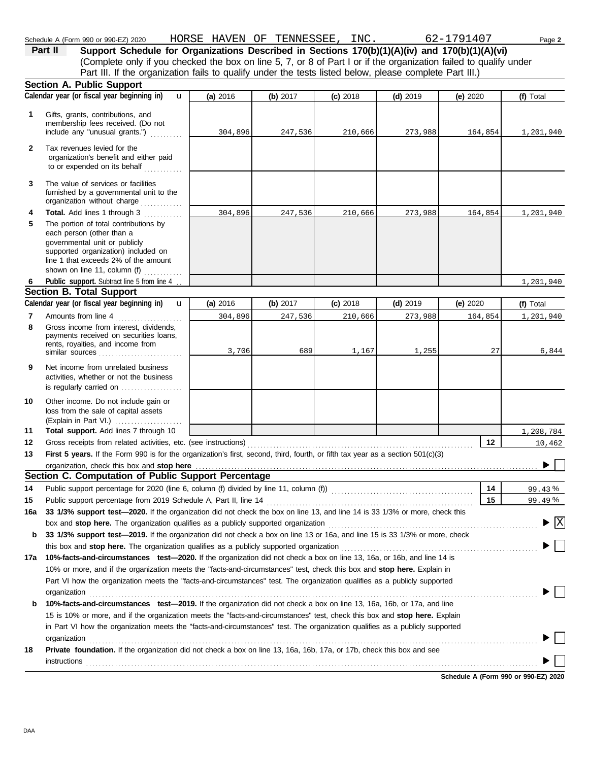|              | Schedule A (Form 990 or 990-EZ) 2020                                                                                                                                                                                                                       | HORSE HAVEN OF TENNESSEE, INC. 62-1791407 |                                     |            |            |          | Page 2                                   |
|--------------|------------------------------------------------------------------------------------------------------------------------------------------------------------------------------------------------------------------------------------------------------------|-------------------------------------------|-------------------------------------|------------|------------|----------|------------------------------------------|
|              | Support Schedule for Organizations Described in Sections 170(b)(1)(A)(iv) and 170(b)(1)(A)(vi)<br>Part II                                                                                                                                                  |                                           |                                     |            |            |          |                                          |
|              | (Complete only if you checked the box on line 5, 7, or 8 of Part I or if the organization failed to qualify under                                                                                                                                          |                                           |                                     |            |            |          |                                          |
|              | Part III. If the organization fails to qualify under the tests listed below, please complete Part III.)                                                                                                                                                    |                                           |                                     |            |            |          |                                          |
|              | Section A. Public Support                                                                                                                                                                                                                                  |                                           |                                     |            |            |          |                                          |
|              | Calendar year (or fiscal year beginning in)<br>$\mathbf{u}$                                                                                                                                                                                                | (a) 2016                                  | (b) 2017                            | $(c)$ 2018 | $(d)$ 2019 | (e) 2020 | (f) Total                                |
| 1            | Gifts, grants, contributions, and<br>membership fees received. (Do not<br>include any "unusual grants.")                                                                                                                                                   | 304,896                                   | 247,536                             | 210,666    | 273,988    | 164,854  | 1,201,940                                |
| $\mathbf{2}$ | Tax revenues levied for the<br>organization's benefit and either paid<br>to or expended on its behalf                                                                                                                                                      |                                           |                                     |            |            |          |                                          |
| 3            | The value of services or facilities<br>furnished by a governmental unit to the<br>organization without charge                                                                                                                                              |                                           |                                     |            |            |          |                                          |
| 4            | Total. Add lines 1 through 3                                                                                                                                                                                                                               | 304,896                                   | 247,536                             | 210,666    | 273,988    | 164,854  | 1,201,940                                |
| 5            | The portion of total contributions by<br>each person (other than a<br>governmental unit or publicly<br>supported organization) included on<br>line 1 that exceeds 2% of the amount<br>shown on line 11, column (f) $\ldots$                                |                                           |                                     |            |            |          |                                          |
| 6            | Public support. Subtract line 5 from line 4                                                                                                                                                                                                                |                                           |                                     |            |            |          | 1,201,940                                |
|              | Section B. Total Support                                                                                                                                                                                                                                   |                                           |                                     |            |            |          |                                          |
|              | Calendar year (or fiscal year beginning in)<br>$\mathbf{u}$                                                                                                                                                                                                | (a) 2016                                  | (b) 2017                            | $(c)$ 2018 | $(d)$ 2019 | (e) 2020 | (f) Total                                |
| 7            | Amounts from line 4                                                                                                                                                                                                                                        | 304,896                                   | 247,536                             | 210,666    | 273,988    | 164,854  | 1,201,940                                |
| 8            | Gross income from interest, dividends,<br>payments received on securities loans,<br>rents, royalties, and income from<br>similar sources $\ldots, \ldots, \ldots, \ldots, \ldots, \ldots$                                                                  | 3,706                                     | 689                                 | 1,167      | 1,255      | 27       | 6,844                                    |
| 9            | Net income from unrelated business<br>activities, whether or not the business<br>is regularly carried on $\ldots$ , $\ldots$                                                                                                                               |                                           |                                     |            |            |          |                                          |
| 10           | Other income. Do not include gain or<br>loss from the sale of capital assets<br>(Explain in Part VI.)                                                                                                                                                      |                                           |                                     |            |            |          |                                          |
| 11           | Total support. Add lines 7 through 10                                                                                                                                                                                                                      |                                           |                                     |            |            |          | 1,208,784                                |
| 12           |                                                                                                                                                                                                                                                            |                                           | the contract of the contract of the |            |            | 12       | 10,462                                   |
| 13           | First 5 years. If the Form 990 is for the organization's first, second, third, fourth, or fifth tax year as a section 501(c)(3)                                                                                                                            |                                           |                                     |            |            |          |                                          |
|              |                                                                                                                                                                                                                                                            |                                           |                                     |            |            |          |                                          |
|              | organization, check this box and stop here manufactured and stop here contained a series of the computation of Public Support Percentage and Section C. Computation of Public Support Percentage                                                           |                                           |                                     |            |            |          |                                          |
| 14           | Public support percentage for 2020 (line 6, column (f) divided by line 11, column (f)) [[[[[[[[[[[[[[[[[[[[[[                                                                                                                                              |                                           |                                     |            |            | 14       | 99.43%                                   |
| 15           |                                                                                                                                                                                                                                                            |                                           |                                     |            |            | 15       | 99.49%                                   |
| 16a          | 33 1/3% support test-2020. If the organization did not check the box on line 13, and line 14 is 33 1/3% or more, check this                                                                                                                                |                                           |                                     |            |            |          |                                          |
|              |                                                                                                                                                                                                                                                            |                                           |                                     |            |            |          | $\blacktriangleright$ $\boxed{\text{X}}$ |
| b            | 33 1/3% support test-2019. If the organization did not check a box on line 13 or 16a, and line 15 is 33 1/3% or more, check                                                                                                                                |                                           |                                     |            |            |          |                                          |
|              |                                                                                                                                                                                                                                                            |                                           |                                     |            |            |          |                                          |
| 17a          | 10%-facts-and-circumstances test-2020. If the organization did not check a box on line 13, 16a, or 16b, and line 14 is                                                                                                                                     |                                           |                                     |            |            |          |                                          |
|              | 10% or more, and if the organization meets the "facts-and-circumstances" test, check this box and stop here. Explain in                                                                                                                                    |                                           |                                     |            |            |          |                                          |
|              | Part VI how the organization meets the "facts-and-circumstances" test. The organization qualifies as a publicly supported                                                                                                                                  |                                           |                                     |            |            |          |                                          |
| b            | organization<br>10%-facts-and-circumstances test-2019. If the organization did not check a box on line 13, 16a, 16b, or 17a, and line                                                                                                                      |                                           |                                     |            |            |          |                                          |
|              | 15 is 10% or more, and if the organization meets the "facts-and-circumstances" test, check this box and stop here. Explain<br>in Part VI how the organization meets the "facts-and-circumstances" test. The organization qualifies as a publicly supported |                                           |                                     |            |            |          |                                          |

**18 Private foundation.** If the organization did not check a box on line 13, 16a, 16b, 17a, or 17b, check this box and see organization www.community.com/www.community.com/www.community.com/www.community.com/www.community.com/www.community.com/www.community.com/www.community.com/www.community.com/www.community.com/www.community.com/www.communi instructions . . . . . . . . . . . . . . . . . . . . . . . . . . . . . . . . . . . . . . . . . . . . . . . . . . . . . . . . . . . . . . . . . . . . . . . . . . . . . . . . . . . . . . . . . . . . . . . . . . . . . . . . . . . . . . . . . . . . . . . . . . . . . . . . . . . . . . . . . . . .

**Schedule A (Form 990 or 990-EZ) 2020**

 $\blacktriangleright \Box$ 

 $\blacktriangleright \Box$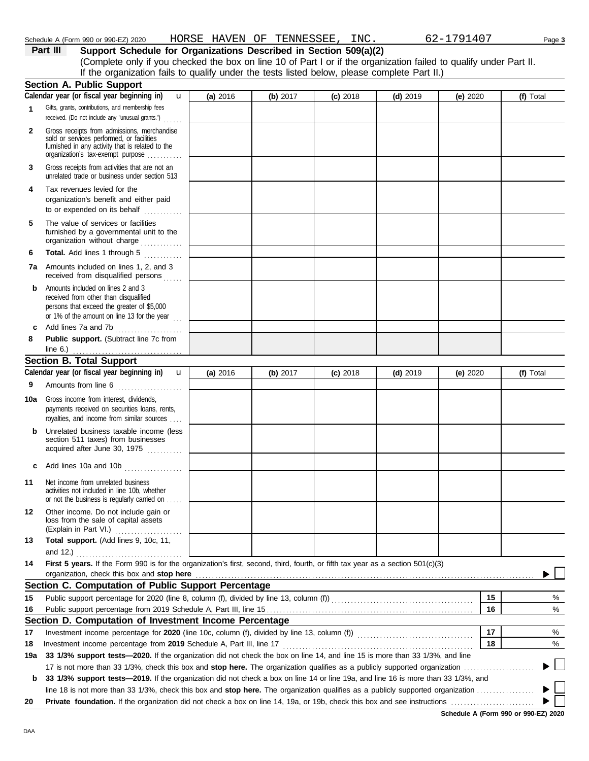| 3   | Gross receipts from activities that are not an<br>unrelated trade or business under section 513                                                                         |          |            |            |            |                                      |    |           |        |
|-----|-------------------------------------------------------------------------------------------------------------------------------------------------------------------------|----------|------------|------------|------------|--------------------------------------|----|-----------|--------|
| 4   | Tax revenues levied for the<br>organization's benefit and either paid<br>to or expended on its behalf                                                                   |          |            |            |            |                                      |    |           |        |
| 5   | The value of services or facilities<br>furnished by a governmental unit to the<br>organization without charge                                                           |          |            |            |            |                                      |    |           |        |
| 6   | Total. Add lines 1 through 5                                                                                                                                            |          |            |            |            |                                      |    |           |        |
|     | <b>7a</b> Amounts included on lines 1, 2, and 3<br>received from disqualified persons                                                                                   |          |            |            |            |                                      |    |           |        |
| b   | Amounts included on lines 2 and 3<br>received from other than disqualified<br>persons that exceed the greater of \$5,000<br>or 1% of the amount on line 13 for the year |          |            |            |            |                                      |    |           |        |
| C   | Add lines 7a and 7b                                                                                                                                                     |          |            |            |            |                                      |    |           |        |
| 8   | Public support. (Subtract line 7c from                                                                                                                                  |          |            |            |            |                                      |    |           |        |
|     | <b>Section B. Total Support</b>                                                                                                                                         |          |            |            |            |                                      |    |           |        |
|     | Calendar year (or fiscal year beginning in)<br>$\mathbf{u}$                                                                                                             | (a) 2016 | (b) $2017$ | $(c)$ 2018 | $(d)$ 2019 | (e) $2020$                           |    | (f) Total |        |
| 9   | Amounts from line 6                                                                                                                                                     |          |            |            |            |                                      |    |           |        |
| 10a | Gross income from interest, dividends,<br>payments received on securities loans, rents,                                                                                 |          |            |            |            |                                      |    |           |        |
|     | royalties, and income from similar sources                                                                                                                              |          |            |            |            |                                      |    |           |        |
| b   | Unrelated business taxable income (less<br>section 511 taxes) from businesses<br>acquired after June 30, 1975                                                           |          |            |            |            |                                      |    |           |        |
|     | c Add lines 10a and 10b $\ldots$                                                                                                                                        |          |            |            |            |                                      |    |           |        |
| 11  | Net income from unrelated business<br>activities not included in line 10b, whether<br>or not the business is regularly carried on                                       |          |            |            |            |                                      |    |           |        |
| 12  | Other income. Do not include gain or<br>loss from the sale of capital assets<br>(Explain in Part VI.)                                                                   |          |            |            |            |                                      |    |           |        |
| 13  | Total support. (Add lines 9, 10c, 11,                                                                                                                                   |          |            |            |            |                                      |    |           |        |
| 14  | First 5 years. If the Form 990 is for the organization's first, second, third, fourth, or fifth tax year as a section 501(c)(3)                                         |          |            |            |            |                                      |    |           |        |
|     |                                                                                                                                                                         |          |            |            |            |                                      |    |           |        |
|     | Section C. Computation of Public Support Percentage                                                                                                                     |          |            |            |            |                                      |    |           |        |
| 15  |                                                                                                                                                                         |          |            |            |            |                                      | 15 |           | %      |
| 16  |                                                                                                                                                                         |          |            |            |            |                                      | 16 |           | $\%$   |
|     | Section D. Computation of Investment Income Percentage                                                                                                                  |          |            |            |            |                                      |    |           |        |
| 17  |                                                                                                                                                                         |          |            |            |            |                                      | 17 |           | %      |
| 18  | Investment income percentage from 2019 Schedule A, Part III, line 17                                                                                                    |          |            |            |            |                                      | 18 |           | %      |
| 19a | 33 1/3% support tests-2020. If the organization did not check the box on line 14, and line 15 is more than 33 1/3%, and line                                            |          |            |            |            |                                      |    |           |        |
|     | 17 is not more than 33 1/3%, check this box and stop here. The organization qualifies as a publicly supported organization <i>committion</i>                            |          |            |            |            |                                      |    |           | $\Box$ |
| b   | 33 1/3% support tests—2019. If the organization did not check a box on line 14 or line 19a, and line 16 is more than 33 1/3%, and                                       |          |            |            |            |                                      |    |           |        |
|     |                                                                                                                                                                         |          |            |            |            |                                      |    |           |        |
| 20  |                                                                                                                                                                         |          |            |            |            |                                      |    |           |        |
|     |                                                                                                                                                                         |          |            |            |            | Schedule A (Form 990 or 990-EZ) 2020 |    |           |        |
|     |                                                                                                                                                                         |          |            |            |            |                                      |    |           |        |

u

If the organization fails to qualify under the tests listed below, please complete Part II.)

**1**

Gifts, grants, contributions, and membership fees received. (Do not include any "unusual grants.") . . . . . .

**Section A. Public Support**

**Calendar year (or fiscal year beginning in)** 

Gross receipts from admissions, merchandise sold or services performed, or facilities furnished in any activity that is related to the

organization's tax-exempt purpose ...........

**2**

DAA

(Complete only if you checked the box on line 10 of Part I or if the organization failed to qualify under Part II.

**(a)** 2016 **(b)** 2017 **(c)** 2018 **(d)** 2019 **(e)** 2020 **(f)** Total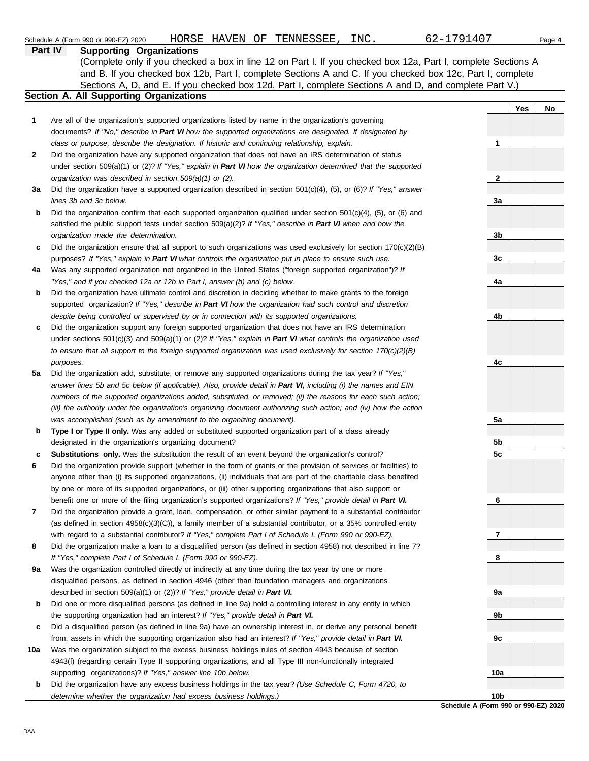|              | 62-1791407<br>HORSE HAVEN OF TENNESSEE,<br>INC.<br>Schedule A (Form 990 or 990-EZ) 2020                                                                                                                                                 |                 |     | Page 4 |
|--------------|-----------------------------------------------------------------------------------------------------------------------------------------------------------------------------------------------------------------------------------------|-----------------|-----|--------|
|              | <b>Supporting Organizations</b><br>Part IV                                                                                                                                                                                              |                 |     |        |
|              | (Complete only if you checked a box in line 12 on Part I. If you checked box 12a, Part I, complete Sections A                                                                                                                           |                 |     |        |
|              | and B. If you checked box 12b, Part I, complete Sections A and C. If you checked box 12c, Part I, complete                                                                                                                              |                 |     |        |
|              | Sections A, D, and E. If you checked box 12d, Part I, complete Sections A and D, and complete Part V.)                                                                                                                                  |                 |     |        |
|              | Section A. All Supporting Organizations                                                                                                                                                                                                 |                 |     |        |
|              |                                                                                                                                                                                                                                         |                 | Yes | No     |
| 1            | Are all of the organization's supported organizations listed by name in the organization's governing                                                                                                                                    |                 |     |        |
|              | documents? If "No," describe in Part VI how the supported organizations are designated. If designated by                                                                                                                                |                 |     |        |
|              | class or purpose, describe the designation. If historic and continuing relationship, explain.                                                                                                                                           | 1               |     |        |
| $\mathbf{2}$ | Did the organization have any supported organization that does not have an IRS determination of status                                                                                                                                  |                 |     |        |
|              | under section 509(a)(1) or (2)? If "Yes," explain in Part VI how the organization determined that the supported                                                                                                                         |                 |     |        |
|              | organization was described in section 509(a)(1) or (2).                                                                                                                                                                                 | 2               |     |        |
| За           | Did the organization have a supported organization described in section $501(c)(4)$ , $(5)$ , or $(6)$ ? If "Yes," answer                                                                                                               |                 |     |        |
|              | lines 3b and 3c below.                                                                                                                                                                                                                  | 3a              |     |        |
| b            | Did the organization confirm that each supported organization qualified under section $501(c)(4)$ , (5), or (6) and                                                                                                                     |                 |     |        |
|              | satisfied the public support tests under section 509(a)(2)? If "Yes," describe in Part VI when and how the                                                                                                                              |                 |     |        |
|              | organization made the determination.                                                                                                                                                                                                    | 3 <sub>b</sub>  |     |        |
| c            | Did the organization ensure that all support to such organizations was used exclusively for section $170(c)(2)(B)$                                                                                                                      |                 |     |        |
|              | purposes? If "Yes," explain in Part VI what controls the organization put in place to ensure such use.                                                                                                                                  | 3c              |     |        |
| 4a           | Was any supported organization not organized in the United States ("foreign supported organization")? If                                                                                                                                |                 |     |        |
|              | "Yes," and if you checked 12a or 12b in Part I, answer (b) and (c) below.                                                                                                                                                               | 4a              |     |        |
| b            | Did the organization have ultimate control and discretion in deciding whether to make grants to the foreign                                                                                                                             |                 |     |        |
|              | supported organization? If "Yes," describe in Part VI how the organization had such control and discretion                                                                                                                              |                 |     |        |
|              | despite being controlled or supervised by or in connection with its supported organizations.                                                                                                                                            | 4b              |     |        |
| c            | Did the organization support any foreign supported organization that does not have an IRS determination                                                                                                                                 |                 |     |        |
|              | under sections $501(c)(3)$ and $509(a)(1)$ or (2)? If "Yes," explain in Part VI what controls the organization used<br>to ensure that all support to the foreign supported organization was used exclusively for section $170(c)(2)(B)$ |                 |     |        |
|              | purposes.                                                                                                                                                                                                                               | 4c              |     |        |
| 5a           | Did the organization add, substitute, or remove any supported organizations during the tax year? If "Yes,"                                                                                                                              |                 |     |        |
|              | answer lines 5b and 5c below (if applicable). Also, provide detail in Part VI, including (i) the names and EIN                                                                                                                          |                 |     |        |
|              | numbers of the supported organizations added, substituted, or removed; (ii) the reasons for each such action;                                                                                                                           |                 |     |        |
|              | (iii) the authority under the organization's organizing document authorizing such action; and (iv) how the action                                                                                                                       |                 |     |        |
|              | was accomplished (such as by amendment to the organizing document).                                                                                                                                                                     | 5a              |     |        |
| b            | Type I or Type II only. Was any added or substituted supported organization part of a class already                                                                                                                                     |                 |     |        |
|              | designated in the organization's organizing document?                                                                                                                                                                                   | 5b              |     |        |
| c            | <b>Substitutions only.</b> Was the substitution the result of an event beyond the organization's control?                                                                                                                               | 5c              |     |        |
|              | Did the organization provide support (whether in the form of grants or the provision of services or facilities) to                                                                                                                      |                 |     |        |
|              | anyone other than (i) its supported organizations, (ii) individuals that are part of the charitable class benefited                                                                                                                     |                 |     |        |
|              | by one or more of its supported organizations, or (iii) other supporting organizations that also support or                                                                                                                             |                 |     |        |
|              | benefit one or more of the filing organization's supported organizations? If "Yes," provide detail in Part VI.                                                                                                                          | 6               |     |        |
| 7            | Did the organization provide a grant, loan, compensation, or other similar payment to a substantial contributor                                                                                                                         |                 |     |        |
|              | (as defined in section $4958(c)(3)(C)$ ), a family member of a substantial contributor, or a 35% controlled entity                                                                                                                      |                 |     |        |
|              | with regard to a substantial contributor? If "Yes," complete Part I of Schedule L (Form 990 or 990-EZ).                                                                                                                                 | 7               |     |        |
| 8            | Did the organization make a loan to a disqualified person (as defined in section 4958) not described in line 7?                                                                                                                         |                 |     |        |
|              | If "Yes," complete Part I of Schedule L (Form 990 or 990-EZ).                                                                                                                                                                           | 8               |     |        |
| 9а           | Was the organization controlled directly or indirectly at any time during the tax year by one or more                                                                                                                                   |                 |     |        |
|              | disqualified persons, as defined in section 4946 (other than foundation managers and organizations                                                                                                                                      |                 |     |        |
|              | described in section 509(a)(1) or (2))? If "Yes," provide detail in Part VI.                                                                                                                                                            | 9a              |     |        |
| b            | Did one or more disqualified persons (as defined in line 9a) hold a controlling interest in any entity in which                                                                                                                         |                 |     |        |
|              | the supporting organization had an interest? If "Yes," provide detail in Part VI.                                                                                                                                                       | 9b              |     |        |
| c            | Did a disqualified person (as defined in line 9a) have an ownership interest in, or derive any personal benefit                                                                                                                         |                 |     |        |
|              | from, assets in which the supporting organization also had an interest? If "Yes," provide detail in Part VI.                                                                                                                            | 9c              |     |        |
| 10a          | Was the organization subject to the excess business holdings rules of section 4943 because of section                                                                                                                                   |                 |     |        |
|              | 4943(f) (regarding certain Type II supporting organizations, and all Type III non-functionally integrated                                                                                                                               |                 |     |        |
|              | supporting organizations)? If "Yes," answer line 10b below.                                                                                                                                                                             | 10a             |     |        |
| b            | Did the organization have any excess business holdings in the tax year? (Use Schedule C, Form 4720, to                                                                                                                                  |                 |     |        |
|              | determine whether the organization had excess business holdings.)                                                                                                                                                                       | 10 <sub>b</sub> |     |        |

**Schedule A (Form 990 or 990-EZ) 2020**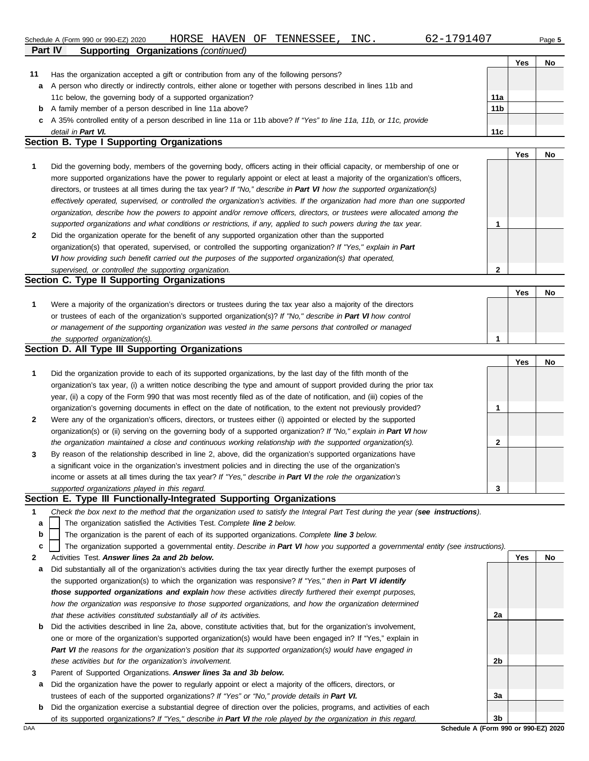#### Schedule A (Form 990 or 990-EZ) 2020 HORSE HAVEN OF TENNESSEE, INC<sub>-</sub> 62-1791407 Page 5 HORSE HAVEN

| $2 - 1791407$ |
|---------------|
|---------------|

**Yes No**

|     |                                                                                                                      |                 | Yes | No |
|-----|----------------------------------------------------------------------------------------------------------------------|-----------------|-----|----|
| -11 | Has the organization accepted a gift or contribution from any of the following persons?                              |                 |     |    |
| a   | A person who directly or indirectly controls, either alone or together with persons described in lines 11b and       |                 |     |    |
|     | 11c below, the governing body of a supported organization?                                                           | 11a             |     |    |
| b   | A family member of a person described in line 11a above?                                                             | 11 <sub>b</sub> |     |    |
|     | c A 35% controlled entity of a person described in line 11a or 11b above? If "Yes" to line 11a, 11b, or 11c, provide |                 |     |    |
|     | detail in Part VI.                                                                                                   | 11c             |     |    |

#### **Section B. Type I Supporting Organizations**

**Part IV Supporting Organizations** *(continued)*

|              |                                                                                                                                                                                                                                                             |   | 1 GS | <b>IVU</b> |
|--------------|-------------------------------------------------------------------------------------------------------------------------------------------------------------------------------------------------------------------------------------------------------------|---|------|------------|
|              | Did the governing body, members of the governing body, officers acting in their official capacity, or membership of one or<br>more supported organizations have the power to regularly appoint or elect at least a majority of the organization's officers, |   |      |            |
|              | directors, or trustees at all times during the tax year? If "No," describe in Part VI how the supported organization(s)                                                                                                                                     |   |      |            |
|              | effectively operated, supervised, or controlled the organization's activities. If the organization had more than one supported                                                                                                                              |   |      |            |
|              | organization, describe how the powers to appoint and/or remove officers, directors, or trustees were allocated among the                                                                                                                                    |   |      |            |
|              | supported organizations and what conditions or restrictions, if any, applied to such powers during the tax year.                                                                                                                                            |   |      |            |
| $\mathbf{2}$ | Did the organization operate for the benefit of any supported organization other than the supported                                                                                                                                                         |   |      |            |
|              | organization(s) that operated, supervised, or controlled the supporting organization? If "Yes," explain in Part                                                                                                                                             |   |      |            |
|              | VI how providing such benefit carried out the purposes of the supported organization(s) that operated,                                                                                                                                                      |   |      |            |
|              | supervised, or controlled the supporting organization.                                                                                                                                                                                                      | ົ |      |            |

#### **Section C. Type II Supporting Organizations** Were a majority of the organization's directors or trustees during the tax year also a majority of the directors or trustees of each of the organization's supported organization(s)? *If "No," describe in Part VI how control* **1** *or management of the supporting organization was vested in the same persons that controlled or managed the supported organization(s).* **Yes No 1**

#### **Section D. All Type III Supporting Organizations**

|              |                                                                                                                        |   | Yes | No |
|--------------|------------------------------------------------------------------------------------------------------------------------|---|-----|----|
| $\mathbf 1$  | Did the organization provide to each of its supported organizations, by the last day of the fifth month of the         |   |     |    |
|              | organization's tax year, (i) a written notice describing the type and amount of support provided during the prior tax  |   |     |    |
|              | year, (ii) a copy of the Form 990 that was most recently filed as of the date of notification, and (iii) copies of the |   |     |    |
|              | organization's governing documents in effect on the date of notification, to the extent not previously provided?       |   |     |    |
| $\mathbf{2}$ | Were any of the organization's officers, directors, or trustees either (i) appointed or elected by the supported       |   |     |    |
|              | organization(s) or (ii) serving on the governing body of a supported organization? If "No," explain in Part VI how     |   |     |    |
|              | the organization maintained a close and continuous working relationship with the supported organization(s).            | 2 |     |    |
| $\mathbf{3}$ | By reason of the relationship described in line 2, above, did the organization's supported organizations have          |   |     |    |
|              | a significant voice in the organization's investment policies and in directing the use of the organization's           |   |     |    |
|              | income or assets at all times during the tax year? If "Yes," describe in Part VI the role the organization's           |   |     |    |
|              | supported organizations played in this regard.                                                                         | 3 |     |    |

#### **Section E. Type III Functionally-Integrated Supporting Organizations**

|  | Check the box next to the method that the organization used to satisfy the Integral Part Test during the year (see instructions). |  |  |  |  |
|--|-----------------------------------------------------------------------------------------------------------------------------------|--|--|--|--|
|--|-----------------------------------------------------------------------------------------------------------------------------------|--|--|--|--|

- The organization satisfied the Activities Test. *Complete line 2 below.* **a**
- The organization is the parent of each of its supported organizations. *Complete line 3 below.* **b**

The organization supported a governmental entity. *Describe in Part VI how you supported a governmental entity (see instructions).* **c**

- **2** Activities Test. *Answer lines 2a and 2b below.*
- **a** Did substantially all of the organization's activities during the tax year directly further the exempt purposes of the supported organization(s) to which the organization was responsive? *If "Yes," then in Part VI identify those supported organizations and explain how these activities directly furthered their exempt purposes,*  how the organization was responsive to those supported organizations, and how the organization determined *that these activities constituted substantially all of its activities.*
- **b** Did the activities described in line 2a, above, constitute activities that, but for the organization's involvement, one or more of the organization's supported organization(s) would have been engaged in? If "Yes," explain in *Part VI the reasons for the organization's position that its supported organization(s) would have engaged in these activities but for the organization's involvement.*
- **3** Parent of Supported Organizations. *Answer lines 3a and 3b below.*
- **a** Did the organization have the power to regularly appoint or elect a majority of the officers, directors, or trustees of each of the supported organizations? *If "Yes" or "No," provide details in Part VI.*
- DAA **Schedule A (Form 990 or 990-EZ) 2020 b** Did the organization exercise a substantial degree of direction over the policies, programs, and activities of each of its supported organizations? *If "Yes," describe in Part VI the role played by the organization in this regard.*

**2a 2b 3a 3b**

**Yes No**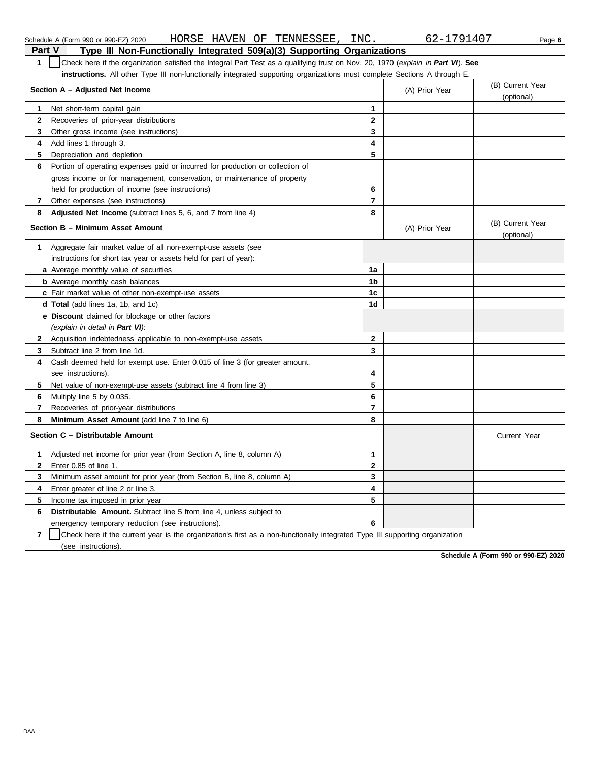| Part V<br>Type III Non-Functionally Integrated 509(a)(3) Supporting Organizations                                                     |                |                |                                |  |  |  |
|---------------------------------------------------------------------------------------------------------------------------------------|----------------|----------------|--------------------------------|--|--|--|
| 1<br>Check here if the organization satisfied the Integral Part Test as a qualifying trust on Nov. 20, 1970 (explain in Part VI). See |                |                |                                |  |  |  |
| <b>instructions.</b> All other Type III non-functionally integrated supporting organizations must complete Sections A through E.      |                |                |                                |  |  |  |
| Section A - Adjusted Net Income                                                                                                       |                | (A) Prior Year | (B) Current Year               |  |  |  |
|                                                                                                                                       |                |                | (optional)                     |  |  |  |
| Net short-term capital gain<br>1                                                                                                      | $\mathbf{1}$   |                |                                |  |  |  |
| $\mathbf{2}$<br>Recoveries of prior-year distributions                                                                                | $\mathbf{2}$   |                |                                |  |  |  |
| 3<br>Other gross income (see instructions)                                                                                            | 3              |                |                                |  |  |  |
| 4<br>Add lines 1 through 3.                                                                                                           | 4              |                |                                |  |  |  |
| 5<br>Depreciation and depletion                                                                                                       | 5              |                |                                |  |  |  |
| 6<br>Portion of operating expenses paid or incurred for production or collection of                                                   |                |                |                                |  |  |  |
| gross income or for management, conservation, or maintenance of property                                                              |                |                |                                |  |  |  |
| held for production of income (see instructions)                                                                                      | 6              |                |                                |  |  |  |
| 7<br>Other expenses (see instructions)                                                                                                | $\overline{7}$ |                |                                |  |  |  |
| 8<br><b>Adjusted Net Income</b> (subtract lines 5, 6, and 7 from line 4)                                                              | 8              |                |                                |  |  |  |
| Section B - Minimum Asset Amount                                                                                                      |                | (A) Prior Year | (B) Current Year<br>(optional) |  |  |  |
| Aggregate fair market value of all non-exempt-use assets (see<br>1                                                                    |                |                |                                |  |  |  |
| instructions for short tax year or assets held for part of year):                                                                     |                |                |                                |  |  |  |
| <b>a</b> Average monthly value of securities                                                                                          | 1a             |                |                                |  |  |  |
| <b>b</b> Average monthly cash balances                                                                                                | 1b             |                |                                |  |  |  |
| c Fair market value of other non-exempt-use assets                                                                                    | 1c             |                |                                |  |  |  |
| d Total (add lines 1a, 1b, and 1c)                                                                                                    | 1d             |                |                                |  |  |  |
| e Discount claimed for blockage or other factors                                                                                      |                |                |                                |  |  |  |
| (explain in detail in Part VI):                                                                                                       |                |                |                                |  |  |  |
| $\mathbf{2}$<br>Acquisition indebtedness applicable to non-exempt-use assets                                                          | $\mathbf 2$    |                |                                |  |  |  |
| 3<br>Subtract line 2 from line 1d.                                                                                                    | 3              |                |                                |  |  |  |
| Cash deemed held for exempt use. Enter 0.015 of line 3 (for greater amount,<br>4                                                      |                |                |                                |  |  |  |
| see instructions).                                                                                                                    | 4              |                |                                |  |  |  |
| 5.<br>Net value of non-exempt-use assets (subtract line 4 from line 3)                                                                | 5              |                |                                |  |  |  |
| 6<br>Multiply line 5 by 0.035.                                                                                                        | 6              |                |                                |  |  |  |
| 7<br>Recoveries of prior-year distributions                                                                                           | $\overline{7}$ |                |                                |  |  |  |
| 8<br><b>Minimum Asset Amount</b> (add line 7 to line 6)                                                                               | 8              |                |                                |  |  |  |
| Section C - Distributable Amount                                                                                                      |                |                | <b>Current Year</b>            |  |  |  |
| 1.<br>Adjusted net income for prior year (from Section A, line 8, column A)                                                           | $\mathbf{1}$   |                |                                |  |  |  |
| 2<br>Enter 0.85 of line 1.                                                                                                            | $\mathbf 2$    |                |                                |  |  |  |
| 3<br>Minimum asset amount for prior year (from Section B, line 8, column A)                                                           | 3              |                |                                |  |  |  |
| 4<br>Enter greater of line 2 or line 3.                                                                                               | 4              |                |                                |  |  |  |
| 5<br>Income tax imposed in prior year                                                                                                 | 5              |                |                                |  |  |  |
| 6<br><b>Distributable Amount.</b> Subtract line 5 from line 4, unless subject to                                                      |                |                |                                |  |  |  |
| emergency temporary reduction (see instructions).                                                                                     | 6              |                |                                |  |  |  |
| 7<br>Check here if the current year is the organization's first as a non-functionally integrated Type III supporting organization     |                |                |                                |  |  |  |

Schedule A (Form 990 or 990-EZ) 2020 Page **6** HORSE HAVEN OF TENNESSEE, INC. 62-1791407

(see instructions).

**Schedule A (Form 990 or 990-EZ) 2020**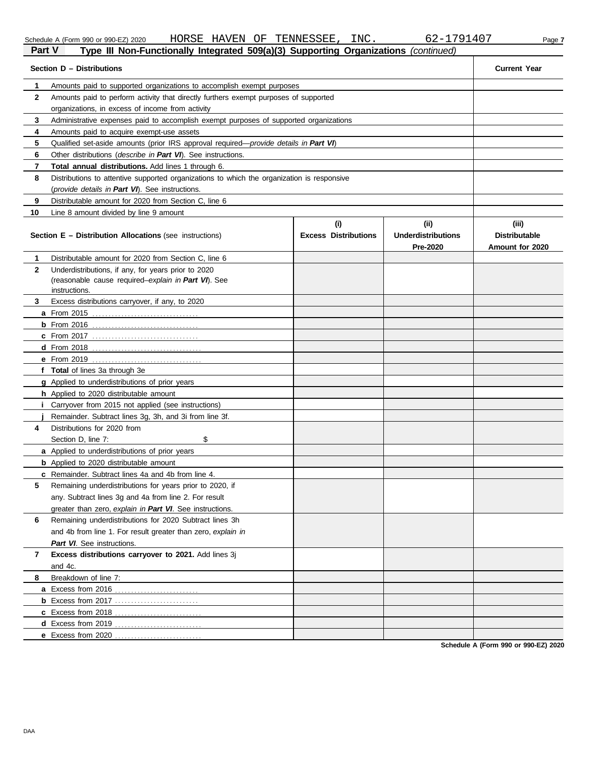|     |  | chedule A (Form 990 or 990-EZ) 2 |  |  |  |
|-----|--|----------------------------------|--|--|--|
| - - |  |                                  |  |  |  |

Schedule A (Form 990 or 990-EZ) 2020 HORSE HAVEN OF TENNESSEE, INC. 62-1791407 Page 7 **Part V Type III Non-Functionally Integrated 509(a)(3) Supporting Organizations** *(continued)*

| Section D - Distributions | <b>Current Year</b>                                                                                                         |                                    |                                               |                                                  |  |  |  |  |  |
|---------------------------|-----------------------------------------------------------------------------------------------------------------------------|------------------------------------|-----------------------------------------------|--------------------------------------------------|--|--|--|--|--|
| 1                         | Amounts paid to supported organizations to accomplish exempt purposes                                                       |                                    |                                               |                                                  |  |  |  |  |  |
| 2                         | Amounts paid to perform activity that directly furthers exempt purposes of supported                                        |                                    |                                               |                                                  |  |  |  |  |  |
|                           | organizations, in excess of income from activity                                                                            |                                    |                                               |                                                  |  |  |  |  |  |
| 3                         | Administrative expenses paid to accomplish exempt purposes of supported organizations                                       |                                    |                                               |                                                  |  |  |  |  |  |
| 4                         | Amounts paid to acquire exempt-use assets                                                                                   |                                    |                                               |                                                  |  |  |  |  |  |
| 5                         | Qualified set-aside amounts (prior IRS approval required—provide details in Part VI)                                        |                                    |                                               |                                                  |  |  |  |  |  |
| 6                         | Other distributions ( <i>describe in Part VI</i> ). See instructions.                                                       |                                    |                                               |                                                  |  |  |  |  |  |
| 7                         | Total annual distributions. Add lines 1 through 6.                                                                          |                                    |                                               |                                                  |  |  |  |  |  |
| 8                         | Distributions to attentive supported organizations to which the organization is responsive                                  |                                    |                                               |                                                  |  |  |  |  |  |
|                           | (provide details in Part VI). See instructions.                                                                             |                                    |                                               |                                                  |  |  |  |  |  |
| 9                         | Distributable amount for 2020 from Section C, line 6                                                                        |                                    |                                               |                                                  |  |  |  |  |  |
| 10                        | Line 8 amount divided by line 9 amount                                                                                      |                                    |                                               |                                                  |  |  |  |  |  |
|                           | <b>Section E - Distribution Allocations (see instructions)</b>                                                              | (i)<br><b>Excess Distributions</b> | (ii)<br><b>Underdistributions</b><br>Pre-2020 | (iii)<br><b>Distributable</b><br>Amount for 2020 |  |  |  |  |  |
| 1                         | Distributable amount for 2020 from Section C, line 6                                                                        |                                    |                                               |                                                  |  |  |  |  |  |
| $\mathbf{2}$              | Underdistributions, if any, for years prior to 2020<br>(reasonable cause required-explain in Part VI). See<br>instructions. |                                    |                                               |                                                  |  |  |  |  |  |
| 3                         | Excess distributions carryover, if any, to 2020                                                                             |                                    |                                               |                                                  |  |  |  |  |  |
|                           |                                                                                                                             |                                    |                                               |                                                  |  |  |  |  |  |
|                           |                                                                                                                             |                                    |                                               |                                                  |  |  |  |  |  |
|                           |                                                                                                                             |                                    |                                               |                                                  |  |  |  |  |  |
|                           |                                                                                                                             |                                    |                                               |                                                  |  |  |  |  |  |
|                           |                                                                                                                             |                                    |                                               |                                                  |  |  |  |  |  |
|                           | f Total of lines 3a through 3e                                                                                              |                                    |                                               |                                                  |  |  |  |  |  |
|                           | <b>g</b> Applied to underdistributions of prior years                                                                       |                                    |                                               |                                                  |  |  |  |  |  |
|                           | h Applied to 2020 distributable amount                                                                                      |                                    |                                               |                                                  |  |  |  |  |  |
|                           | Carryover from 2015 not applied (see instructions)                                                                          |                                    |                                               |                                                  |  |  |  |  |  |
|                           | Remainder. Subtract lines 3g, 3h, and 3i from line 3f.                                                                      |                                    |                                               |                                                  |  |  |  |  |  |
| 4                         | Distributions for 2020 from                                                                                                 |                                    |                                               |                                                  |  |  |  |  |  |
|                           | \$<br>Section D. line 7:                                                                                                    |                                    |                                               |                                                  |  |  |  |  |  |
|                           | a Applied to underdistributions of prior years                                                                              |                                    |                                               |                                                  |  |  |  |  |  |
|                           | <b>b</b> Applied to 2020 distributable amount                                                                               |                                    |                                               |                                                  |  |  |  |  |  |
|                           | c Remainder. Subtract lines 4a and 4b from line 4.                                                                          |                                    |                                               |                                                  |  |  |  |  |  |
|                           | Remaining underdistributions for years prior to 2020, if                                                                    |                                    |                                               |                                                  |  |  |  |  |  |
|                           | any. Subtract lines 3g and 4a from line 2. For result                                                                       |                                    |                                               |                                                  |  |  |  |  |  |
|                           | greater than zero, explain in Part VI. See instructions.                                                                    |                                    |                                               |                                                  |  |  |  |  |  |
| 6                         | Remaining underdistributions for 2020 Subtract lines 3h                                                                     |                                    |                                               |                                                  |  |  |  |  |  |
|                           | and 4b from line 1. For result greater than zero, explain in                                                                |                                    |                                               |                                                  |  |  |  |  |  |
|                           | Part VI. See instructions.                                                                                                  |                                    |                                               |                                                  |  |  |  |  |  |
| 7                         | Excess distributions carryover to 2021. Add lines 3j                                                                        |                                    |                                               |                                                  |  |  |  |  |  |
|                           | and 4c.                                                                                                                     |                                    |                                               |                                                  |  |  |  |  |  |
| 8                         | Breakdown of line 7:                                                                                                        |                                    |                                               |                                                  |  |  |  |  |  |
|                           |                                                                                                                             |                                    |                                               |                                                  |  |  |  |  |  |
|                           |                                                                                                                             |                                    |                                               |                                                  |  |  |  |  |  |
|                           |                                                                                                                             |                                    |                                               |                                                  |  |  |  |  |  |
|                           |                                                                                                                             |                                    |                                               |                                                  |  |  |  |  |  |
|                           |                                                                                                                             |                                    |                                               |                                                  |  |  |  |  |  |

**Schedule A (Form 990 or 990-EZ) 2020**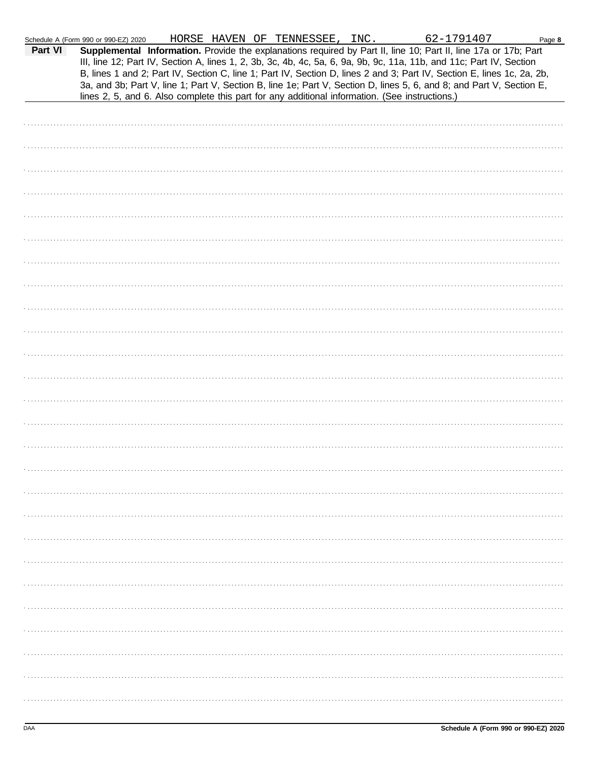| Part VI | Schedule A (Form 990 or 990-EZ) 2020<br>lines 2, 5, and 6. Also complete this part for any additional information. (See instructions.) |  |  | HORSE HAVEN OF TENNESSEE, INC. | 62-1791407<br>Supplemental Information. Provide the explanations required by Part II, line 10; Part II, line 17a or 17b; Part<br>III, line 12; Part IV, Section A, lines 1, 2, 3b, 3c, 4b, 4c, 5a, 6, 9a, 9b, 9c, 11a, 11b, and 11c; Part IV, Section<br>B, lines 1 and 2; Part IV, Section C, line 1; Part IV, Section D, lines 2 and 3; Part IV, Section E, lines 1c, 2a, 2b,<br>3a, and 3b; Part V, line 1; Part V, Section B, line 1e; Part V, Section D, lines 5, 6, and 8; and Part V, Section E, | Page 8 |
|---------|----------------------------------------------------------------------------------------------------------------------------------------|--|--|--------------------------------|---------------------------------------------------------------------------------------------------------------------------------------------------------------------------------------------------------------------------------------------------------------------------------------------------------------------------------------------------------------------------------------------------------------------------------------------------------------------------------------------------------|--------|
|         |                                                                                                                                        |  |  |                                |                                                                                                                                                                                                                                                                                                                                                                                                                                                                                                         |        |
|         |                                                                                                                                        |  |  |                                |                                                                                                                                                                                                                                                                                                                                                                                                                                                                                                         |        |
|         |                                                                                                                                        |  |  |                                |                                                                                                                                                                                                                                                                                                                                                                                                                                                                                                         |        |
|         |                                                                                                                                        |  |  |                                |                                                                                                                                                                                                                                                                                                                                                                                                                                                                                                         |        |
|         |                                                                                                                                        |  |  |                                |                                                                                                                                                                                                                                                                                                                                                                                                                                                                                                         |        |
|         |                                                                                                                                        |  |  |                                |                                                                                                                                                                                                                                                                                                                                                                                                                                                                                                         |        |
|         |                                                                                                                                        |  |  |                                |                                                                                                                                                                                                                                                                                                                                                                                                                                                                                                         |        |
|         |                                                                                                                                        |  |  |                                |                                                                                                                                                                                                                                                                                                                                                                                                                                                                                                         |        |
|         |                                                                                                                                        |  |  |                                |                                                                                                                                                                                                                                                                                                                                                                                                                                                                                                         |        |
|         |                                                                                                                                        |  |  |                                |                                                                                                                                                                                                                                                                                                                                                                                                                                                                                                         |        |
|         |                                                                                                                                        |  |  |                                |                                                                                                                                                                                                                                                                                                                                                                                                                                                                                                         |        |
|         |                                                                                                                                        |  |  |                                |                                                                                                                                                                                                                                                                                                                                                                                                                                                                                                         |        |
|         |                                                                                                                                        |  |  |                                |                                                                                                                                                                                                                                                                                                                                                                                                                                                                                                         |        |
|         |                                                                                                                                        |  |  |                                |                                                                                                                                                                                                                                                                                                                                                                                                                                                                                                         |        |
|         |                                                                                                                                        |  |  |                                |                                                                                                                                                                                                                                                                                                                                                                                                                                                                                                         |        |
|         |                                                                                                                                        |  |  |                                |                                                                                                                                                                                                                                                                                                                                                                                                                                                                                                         |        |
|         |                                                                                                                                        |  |  |                                |                                                                                                                                                                                                                                                                                                                                                                                                                                                                                                         |        |
|         |                                                                                                                                        |  |  |                                |                                                                                                                                                                                                                                                                                                                                                                                                                                                                                                         |        |
|         |                                                                                                                                        |  |  |                                |                                                                                                                                                                                                                                                                                                                                                                                                                                                                                                         |        |
|         |                                                                                                                                        |  |  |                                |                                                                                                                                                                                                                                                                                                                                                                                                                                                                                                         |        |
|         |                                                                                                                                        |  |  |                                |                                                                                                                                                                                                                                                                                                                                                                                                                                                                                                         |        |
|         |                                                                                                                                        |  |  |                                |                                                                                                                                                                                                                                                                                                                                                                                                                                                                                                         |        |
|         |                                                                                                                                        |  |  |                                |                                                                                                                                                                                                                                                                                                                                                                                                                                                                                                         |        |
|         |                                                                                                                                        |  |  |                                |                                                                                                                                                                                                                                                                                                                                                                                                                                                                                                         |        |
|         |                                                                                                                                        |  |  |                                |                                                                                                                                                                                                                                                                                                                                                                                                                                                                                                         |        |
|         |                                                                                                                                        |  |  |                                |                                                                                                                                                                                                                                                                                                                                                                                                                                                                                                         |        |
|         |                                                                                                                                        |  |  |                                |                                                                                                                                                                                                                                                                                                                                                                                                                                                                                                         |        |
|         |                                                                                                                                        |  |  |                                |                                                                                                                                                                                                                                                                                                                                                                                                                                                                                                         |        |
|         |                                                                                                                                        |  |  |                                |                                                                                                                                                                                                                                                                                                                                                                                                                                                                                                         |        |
|         |                                                                                                                                        |  |  |                                |                                                                                                                                                                                                                                                                                                                                                                                                                                                                                                         |        |
|         |                                                                                                                                        |  |  |                                |                                                                                                                                                                                                                                                                                                                                                                                                                                                                                                         |        |
|         |                                                                                                                                        |  |  |                                |                                                                                                                                                                                                                                                                                                                                                                                                                                                                                                         |        |
|         |                                                                                                                                        |  |  |                                |                                                                                                                                                                                                                                                                                                                                                                                                                                                                                                         |        |
|         |                                                                                                                                        |  |  |                                |                                                                                                                                                                                                                                                                                                                                                                                                                                                                                                         |        |
|         |                                                                                                                                        |  |  |                                |                                                                                                                                                                                                                                                                                                                                                                                                                                                                                                         |        |
|         |                                                                                                                                        |  |  |                                |                                                                                                                                                                                                                                                                                                                                                                                                                                                                                                         |        |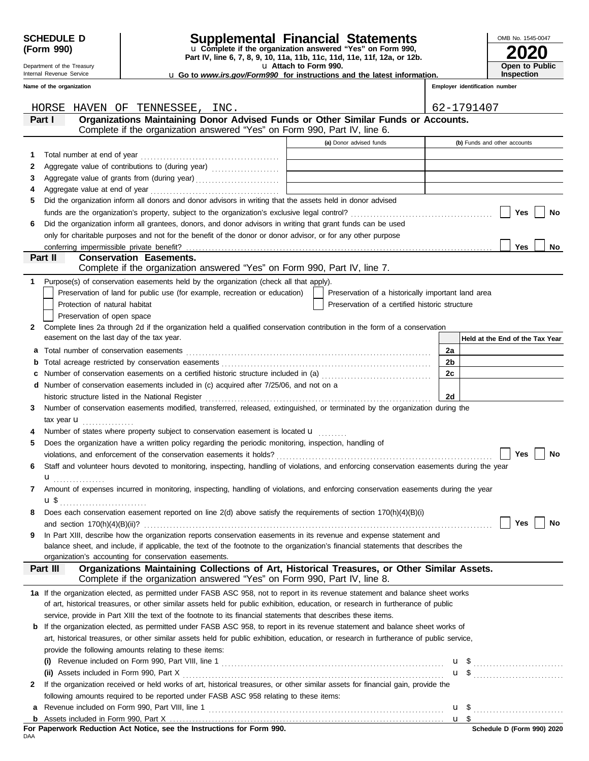| <b>SCHEDULE D</b> |  |
|-------------------|--|
| (Form 990)        |  |

## **SCHEDULE D Supplemental Financial Statements**

**Part IV, line 6, 7, 8, 9, 10, 11a, 11b, 11c, 11d, 11e, 11f, 12a, or 12b.** u **Complete if the organization answered "Yes" on Form 990,**

u **Attach to Form 990.** 

| OMB No. 1545-0047 |  |
|-------------------|--|
| <b>2020</b>       |  |
| Open to Public    |  |
| Inspection        |  |

**Employer identification number**

u **Go to** *www.irs.gov/Form990* **for instructions and the latest information.**

Internal Revenue Service **Name of the organization**

Department of the Treasury

|     | HORSE HAVEN OF TENNESSEE, INC.                                                                                                                                                             |                                                    |                | 62-1791407                      |
|-----|--------------------------------------------------------------------------------------------------------------------------------------------------------------------------------------------|----------------------------------------------------|----------------|---------------------------------|
|     | Organizations Maintaining Donor Advised Funds or Other Similar Funds or Accounts.<br>Part I                                                                                                |                                                    |                |                                 |
|     | Complete if the organization answered "Yes" on Form 990, Part IV, line 6.                                                                                                                  |                                                    |                |                                 |
|     |                                                                                                                                                                                            | (a) Donor advised funds                            |                | (b) Funds and other accounts    |
| 1.  |                                                                                                                                                                                            |                                                    |                |                                 |
| 2   |                                                                                                                                                                                            |                                                    |                |                                 |
| 3   |                                                                                                                                                                                            |                                                    |                |                                 |
| 4   |                                                                                                                                                                                            |                                                    |                |                                 |
| 5   | Did the organization inform all donors and donor advisors in writing that the assets held in donor advised                                                                                 |                                                    |                |                                 |
|     |                                                                                                                                                                                            |                                                    |                | Yes<br>No                       |
| 6   | Did the organization inform all grantees, donors, and donor advisors in writing that grant funds can be used                                                                               |                                                    |                |                                 |
|     | only for charitable purposes and not for the benefit of the donor or donor advisor, or for any other purpose                                                                               |                                                    |                |                                 |
|     | conferring impermissible private benefit?                                                                                                                                                  |                                                    |                | Yes<br>No                       |
|     | Part II<br><b>Conservation Easements.</b>                                                                                                                                                  |                                                    |                |                                 |
|     | Complete if the organization answered "Yes" on Form 990, Part IV, line 7.                                                                                                                  |                                                    |                |                                 |
| 1.  | Purpose(s) of conservation easements held by the organization (check all that apply).                                                                                                      |                                                    |                |                                 |
|     | Preservation of land for public use (for example, recreation or education)                                                                                                                 | Preservation of a historically important land area |                |                                 |
|     | Protection of natural habitat                                                                                                                                                              | Preservation of a certified historic structure     |                |                                 |
|     | Preservation of open space                                                                                                                                                                 |                                                    |                |                                 |
| 2   | Complete lines 2a through 2d if the organization held a qualified conservation contribution in the form of a conservation                                                                  |                                                    |                |                                 |
|     | easement on the last day of the tax year.                                                                                                                                                  |                                                    |                | Held at the End of the Tax Year |
| а   |                                                                                                                                                                                            |                                                    | 2a             |                                 |
| b   |                                                                                                                                                                                            |                                                    | 2b             |                                 |
| c   | Number of conservation easements on a certified historic structure included in (a) [11] Number of conservation easements on a certified historic structure included in (a)                 |                                                    | 2c             |                                 |
|     |                                                                                                                                                                                            |                                                    |                |                                 |
| d   | Number of conservation easements included in (c) acquired after 7/25/06, and not on a                                                                                                      |                                                    | 2d             |                                 |
|     | historic structure listed in the National Register [1, 2003] Martin March 2014 (1, 2014] March 2014 (1, 2014)                                                                              |                                                    |                |                                 |
| 3   | Number of conservation easements modified, transferred, released, extinguished, or terminated by the organization during the                                                               |                                                    |                |                                 |
|     | tax year $\mathbf u$                                                                                                                                                                       |                                                    |                |                                 |
|     | Number of states where property subject to conservation easement is located <b>u</b>                                                                                                       |                                                    |                |                                 |
| 5   | Does the organization have a written policy regarding the periodic monitoring, inspection, handling of                                                                                     |                                                    |                |                                 |
|     |                                                                                                                                                                                            |                                                    |                | Yes<br>No                       |
| 6   | Staff and volunteer hours devoted to monitoring, inspecting, handling of violations, and enforcing conservation easements during the year                                                  |                                                    |                |                                 |
|     | u <sub></sub> .                                                                                                                                                                            |                                                    |                |                                 |
| 7   | Amount of expenses incurred in monitoring, inspecting, handling of violations, and enforcing conservation easements during the year                                                        |                                                    |                |                                 |
|     | $\mathbf{u}$ \$                                                                                                                                                                            |                                                    |                |                                 |
|     | Does each conservation easement reported on line 2(d) above satisfy the requirements of section 170(h)(4)(B)(i)                                                                            |                                                    |                |                                 |
|     |                                                                                                                                                                                            |                                                    |                | Yes<br>No                       |
| 9   | In Part XIII, describe how the organization reports conservation easements in its revenue and expense statement and                                                                        |                                                    |                |                                 |
|     | balance sheet, and include, if applicable, the text of the footnote to the organization's financial statements that describes the<br>organization's accounting for conservation easements. |                                                    |                |                                 |
|     | Organizations Maintaining Collections of Art, Historical Treasures, or Other Similar Assets.<br>Part III                                                                                   |                                                    |                |                                 |
|     | Complete if the organization answered "Yes" on Form 990, Part IV, line 8.                                                                                                                  |                                                    |                |                                 |
|     |                                                                                                                                                                                            |                                                    |                |                                 |
|     | 1a If the organization elected, as permitted under FASB ASC 958, not to report in its revenue statement and balance sheet works                                                            |                                                    |                |                                 |
|     | of art, historical treasures, or other similar assets held for public exhibition, education, or research in furtherance of public                                                          |                                                    |                |                                 |
|     | service, provide in Part XIII the text of the footnote to its financial statements that describes these items.                                                                             |                                                    |                |                                 |
| b   | If the organization elected, as permitted under FASB ASC 958, to report in its revenue statement and balance sheet works of                                                                |                                                    |                |                                 |
|     | art, historical treasures, or other similar assets held for public exhibition, education, or research in furtherance of public service,                                                    |                                                    |                |                                 |
|     | provide the following amounts relating to these items:                                                                                                                                     |                                                    |                |                                 |
|     |                                                                                                                                                                                            |                                                    |                |                                 |
|     |                                                                                                                                                                                            |                                                    |                | $\mathbf{u}$ \$                 |
| 2   | If the organization received or held works of art, historical treasures, or other similar assets for financial gain, provide the                                                           |                                                    |                |                                 |
|     | following amounts required to be reported under FASB ASC 958 relating to these items:                                                                                                      |                                                    |                |                                 |
| а   |                                                                                                                                                                                            |                                                    |                |                                 |
| b   |                                                                                                                                                                                            |                                                    | u <sub>5</sub> |                                 |
| DAA | For Paperwork Reduction Act Notice, see the Instructions for Form 990.                                                                                                                     |                                                    |                | Schedule D (Form 990) 2020      |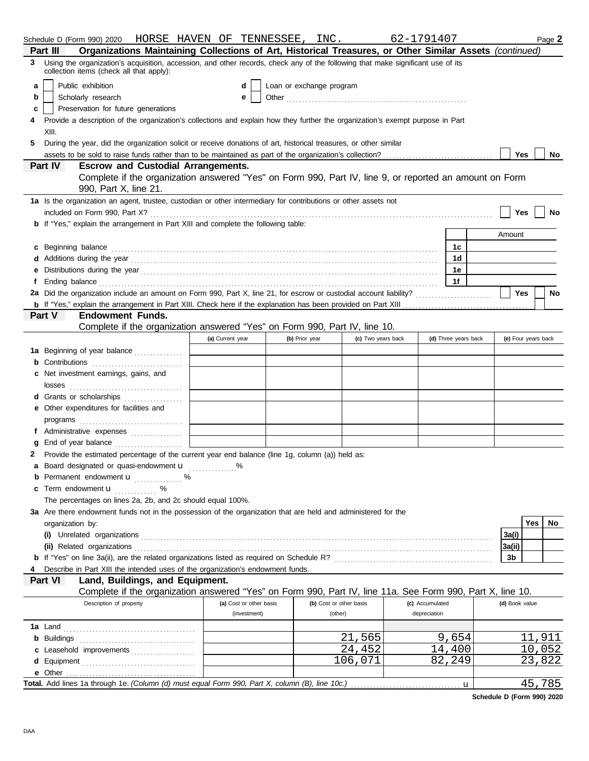|    | Schedule D (Form 990) 2020   HORSE HAVEN OF TENNESSEE ,  INC .                                                                                                                                                                      |                         |                |                          | 62-1791407         |                      |                | Page 2              |
|----|-------------------------------------------------------------------------------------------------------------------------------------------------------------------------------------------------------------------------------------|-------------------------|----------------|--------------------------|--------------------|----------------------|----------------|---------------------|
|    | Organizations Maintaining Collections of Art, Historical Treasures, or Other Similar Assets (continued)<br>Part III                                                                                                                 |                         |                |                          |                    |                      |                |                     |
| 3  | Using the organization's acquisition, accession, and other records, check any of the following that make significant use of its<br>collection items (check all that apply):                                                         |                         |                |                          |                    |                      |                |                     |
| a  | Public exhibition                                                                                                                                                                                                                   | d                       |                | Loan or exchange program |                    |                      |                |                     |
| b  | Scholarly research                                                                                                                                                                                                                  | е                       |                |                          |                    |                      |                |                     |
| c  | Preservation for future generations                                                                                                                                                                                                 |                         |                |                          |                    |                      |                |                     |
| 4  | Provide a description of the organization's collections and explain how they further the organization's exempt purpose in Part                                                                                                      |                         |                |                          |                    |                      |                |                     |
|    | XIII.                                                                                                                                                                                                                               |                         |                |                          |                    |                      |                |                     |
| 5. | During the year, did the organization solicit or receive donations of art, historical treasures, or other similar                                                                                                                   |                         |                |                          |                    |                      |                |                     |
|    |                                                                                                                                                                                                                                     |                         |                |                          |                    |                      | Yes            | No                  |
|    | <b>Escrow and Custodial Arrangements.</b><br><b>Part IV</b>                                                                                                                                                                         |                         |                |                          |                    |                      |                |                     |
|    | Complete if the organization answered "Yes" on Form 990, Part IV, line 9, or reported an amount on Form                                                                                                                             |                         |                |                          |                    |                      |                |                     |
|    | 990, Part X, line 21.<br>1a Is the organization an agent, trustee, custodian or other intermediary for contributions or other assets not                                                                                            |                         |                |                          |                    |                      |                |                     |
|    |                                                                                                                                                                                                                                     |                         |                |                          |                    |                      | Yes            | No                  |
|    | <b>b</b> If "Yes," explain the arrangement in Part XIII and complete the following table:                                                                                                                                           |                         |                |                          |                    |                      |                |                     |
|    |                                                                                                                                                                                                                                     |                         |                |                          |                    |                      | Amount         |                     |
|    | <b>c</b> Beginning balance                                                                                                                                                                                                          |                         |                |                          |                    | 1с                   |                |                     |
|    |                                                                                                                                                                                                                                     |                         |                |                          |                    | 1d                   |                |                     |
|    |                                                                                                                                                                                                                                     |                         |                |                          |                    | 1е                   |                |                     |
|    |                                                                                                                                                                                                                                     |                         |                |                          |                    | 1f                   |                |                     |
|    | Ending balance <b>constructs</b> and constructs and constructs and constructs and constructs and constructs and constructs and constructs and constructs and constructs and constructs and constructs and constructs and constructs |                         |                |                          |                    |                      | Yes            | No                  |
|    |                                                                                                                                                                                                                                     |                         |                |                          |                    |                      |                |                     |
|    | <b>Endowment Funds.</b><br>Part V                                                                                                                                                                                                   |                         |                |                          |                    |                      |                |                     |
|    | Complete if the organization answered "Yes" on Form 990, Part IV, line 10.                                                                                                                                                          |                         |                |                          |                    |                      |                |                     |
|    |                                                                                                                                                                                                                                     | (a) Current year        | (b) Prior year |                          | (c) Two years back | (d) Three years back |                | (e) Four years back |
|    |                                                                                                                                                                                                                                     |                         |                |                          |                    |                      |                |                     |
|    | 1a Beginning of year balance                                                                                                                                                                                                        |                         |                |                          |                    |                      |                |                     |
|    | <b>b</b> Contributions <b>contributions</b>                                                                                                                                                                                         |                         |                |                          |                    |                      |                |                     |
|    | c Net investment earnings, gains, and                                                                                                                                                                                               |                         |                |                          |                    |                      |                |                     |
|    |                                                                                                                                                                                                                                     |                         |                |                          |                    |                      |                |                     |
|    | d Grants or scholarships                                                                                                                                                                                                            |                         |                |                          |                    |                      |                |                     |
|    | e Other expenditures for facilities and                                                                                                                                                                                             |                         |                |                          |                    |                      |                |                     |
|    |                                                                                                                                                                                                                                     |                         |                |                          |                    |                      |                |                     |
|    | f Administrative expenses                                                                                                                                                                                                           |                         |                |                          |                    |                      |                |                     |
|    |                                                                                                                                                                                                                                     |                         |                |                          |                    |                      |                |                     |
| 2  | Provide the estimated percentage of the current year end balance (line 1g, column (a)) held as:                                                                                                                                     |                         |                |                          |                    |                      |                |                     |
|    | a Board designated or quasi-endowment u                                                                                                                                                                                             |                         |                |                          |                    |                      |                |                     |
|    | <b>b</b> Permanent endowment <b>u</b> %                                                                                                                                                                                             |                         |                |                          |                    |                      |                |                     |
|    | c Term endowment <b>u</b> %                                                                                                                                                                                                         |                         |                |                          |                    |                      |                |                     |
|    | The percentages on lines 2a, 2b, and 2c should equal 100%.                                                                                                                                                                          |                         |                |                          |                    |                      |                |                     |
|    | 3a Are there endowment funds not in the possession of the organization that are held and administered for the                                                                                                                       |                         |                |                          |                    |                      |                |                     |
|    | organization by:                                                                                                                                                                                                                    |                         |                |                          |                    |                      |                | Yes<br>No.          |
|    |                                                                                                                                                                                                                                     |                         |                |                          |                    |                      | 3a(i)          |                     |
|    |                                                                                                                                                                                                                                     |                         |                |                          |                    |                      | 3a(ii)         |                     |
|    |                                                                                                                                                                                                                                     |                         |                |                          |                    |                      | 3b             |                     |
|    | Describe in Part XIII the intended uses of the organization's endowment funds.                                                                                                                                                      |                         |                |                          |                    |                      |                |                     |
|    | Land, Buildings, and Equipment.<br>Part VI                                                                                                                                                                                          |                         |                |                          |                    |                      |                |                     |
|    | Complete if the organization answered "Yes" on Form 990, Part IV, line 11a. See Form 990, Part X, line 10.                                                                                                                          |                         |                |                          |                    |                      |                |                     |
|    | Description of property                                                                                                                                                                                                             | (a) Cost or other basis |                | (b) Cost or other basis  | (c) Accumulated    |                      | (d) Book value |                     |
|    |                                                                                                                                                                                                                                     | (investment)            |                | (other)                  | depreciation       |                      |                |                     |
|    |                                                                                                                                                                                                                                     |                         |                |                          |                    |                      |                |                     |
|    |                                                                                                                                                                                                                                     |                         |                | 21,565                   |                    | 9,654                |                | 11,911              |
|    | c Leasehold improvements                                                                                                                                                                                                            |                         |                | 24,452                   |                    | 14,400               |                | 10,052              |
|    |                                                                                                                                                                                                                                     |                         |                | 106,071                  |                    | 82,249               |                | 23,822              |
|    |                                                                                                                                                                                                                                     |                         |                |                          |                    |                      |                |                     |
|    | Total. Add lines 1a through 1e. (Column (d) must equal Form 990, Part X, column (B), line 10c.)                                                                                                                                     |                         |                |                          |                    | u                    |                | 45,785              |

**Schedule D (Form 990) 2020**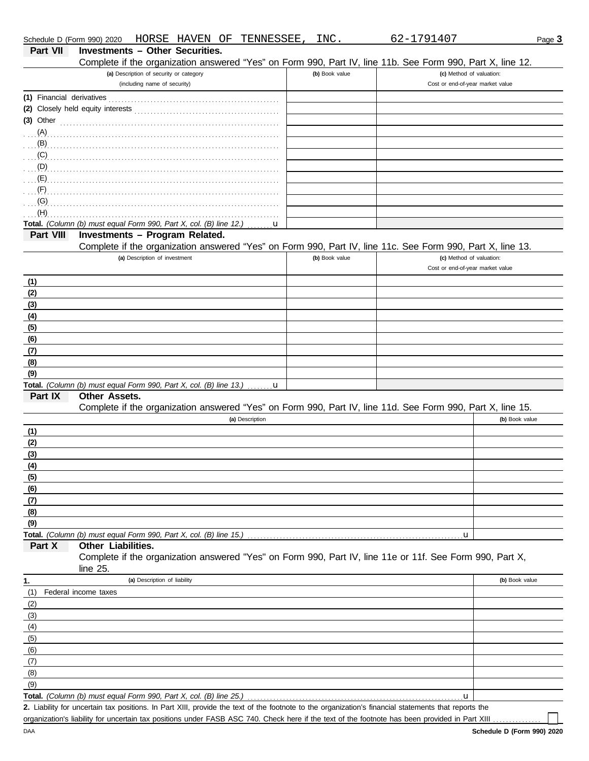| Schedule D (Form 990) 2020 | HORSE HAVEN OF TENNESSEE,                                                                                                                            | INC.           | 62-1791407                       | Page 3         |
|----------------------------|------------------------------------------------------------------------------------------------------------------------------------------------------|----------------|----------------------------------|----------------|
| <b>Part VII</b>            | <b>Investments - Other Securities.</b>                                                                                                               |                |                                  |                |
|                            | Complete if the organization answered "Yes" on Form 990, Part IV, line 11b. See Form 990, Part X, line 12.                                           |                |                                  |                |
|                            | (a) Description of security or category                                                                                                              | (b) Book value | (c) Method of valuation:         |                |
|                            | (including name of security)                                                                                                                         |                | Cost or end-of-year market value |                |
|                            |                                                                                                                                                      |                |                                  |                |
|                            |                                                                                                                                                      |                |                                  |                |
| $(3)$ Other                |                                                                                                                                                      |                |                                  |                |
| (A)                        |                                                                                                                                                      |                |                                  |                |
| (B)                        |                                                                                                                                                      |                |                                  |                |
| (C)                        |                                                                                                                                                      |                |                                  |                |
| (D)                        |                                                                                                                                                      |                |                                  |                |
| (E)                        |                                                                                                                                                      |                |                                  |                |
| (F)                        |                                                                                                                                                      |                |                                  |                |
|                            |                                                                                                                                                      |                |                                  |                |
| (G)                        |                                                                                                                                                      |                |                                  |                |
| (H)                        |                                                                                                                                                      |                |                                  |                |
|                            | Total. (Column (b) must equal Form 990, Part X, col. (B) line 12.)<br>u                                                                              |                |                                  |                |
| Part VIII                  | Investments - Program Related.                                                                                                                       |                |                                  |                |
|                            | Complete if the organization answered "Yes" on Form 990, Part IV, line 11c. See Form 990, Part X, line 13.                                           |                |                                  |                |
|                            | (a) Description of investment                                                                                                                        | (b) Book value | (c) Method of valuation:         |                |
|                            |                                                                                                                                                      |                | Cost or end-of-year market value |                |
| (1)                        |                                                                                                                                                      |                |                                  |                |
| (2)                        |                                                                                                                                                      |                |                                  |                |
| (3)                        |                                                                                                                                                      |                |                                  |                |
| (4)                        |                                                                                                                                                      |                |                                  |                |
| (5)                        |                                                                                                                                                      |                |                                  |                |
| (6)                        |                                                                                                                                                      |                |                                  |                |
| (7)                        |                                                                                                                                                      |                |                                  |                |
| (8)                        |                                                                                                                                                      |                |                                  |                |
| (9)                        |                                                                                                                                                      |                |                                  |                |
|                            | Total. (Column (b) must equal Form 990, Part X, col. (B) line 13.) $\ldots \ldots \mathbf{u}$                                                        |                |                                  |                |
| Part IX                    | <b>Other Assets.</b>                                                                                                                                 |                |                                  |                |
|                            | Complete if the organization answered "Yes" on Form 990, Part IV, line 11d. See Form 990, Part X, line 15.                                           |                |                                  |                |
|                            | (a) Description                                                                                                                                      |                |                                  | (b) Book value |
|                            |                                                                                                                                                      |                |                                  |                |
| (1)                        |                                                                                                                                                      |                |                                  |                |
| (2)                        |                                                                                                                                                      |                |                                  |                |
| (3)                        |                                                                                                                                                      |                |                                  |                |
| (4)                        |                                                                                                                                                      |                |                                  |                |
| (5)                        |                                                                                                                                                      |                |                                  |                |
| (6)                        |                                                                                                                                                      |                |                                  |                |
| (7)                        |                                                                                                                                                      |                |                                  |                |
| (8)                        |                                                                                                                                                      |                |                                  |                |
| (9)                        |                                                                                                                                                      |                |                                  |                |
|                            |                                                                                                                                                      |                | .u                               |                |
| Part X                     | Other Liabilities.                                                                                                                                   |                |                                  |                |
|                            | Complete if the organization answered "Yes" on Form 990, Part IV, line 11e or 11f. See Form 990, Part X,                                             |                |                                  |                |
|                            | line $25$ .                                                                                                                                          |                |                                  |                |
| 1.                         | (a) Description of liability                                                                                                                         |                |                                  | (b) Book value |
| (1)                        | Federal income taxes                                                                                                                                 |                |                                  |                |
| (2)                        |                                                                                                                                                      |                |                                  |                |
| (3)                        |                                                                                                                                                      |                |                                  |                |
| (4)                        |                                                                                                                                                      |                |                                  |                |
|                            |                                                                                                                                                      |                |                                  |                |
| (5)                        |                                                                                                                                                      |                |                                  |                |
| (6)                        |                                                                                                                                                      |                |                                  |                |
| (7)                        |                                                                                                                                                      |                |                                  |                |
| (8)                        |                                                                                                                                                      |                |                                  |                |
| (9)                        |                                                                                                                                                      |                |                                  |                |
|                            | Total. (Column (b) must equal Form 990, Part X, col. (B) line 25.)                                                                                   |                | u                                |                |
|                            | 2. Liability for uncertain tax positions. In Part XIII, provide the text of the footnote to the organization's financial statements that reports the |                |                                  |                |
|                            | organization's liability for uncertain tax positions under FASB ASC 740. Check here if the text of the footnote has been provided in Part XIII       |                |                                  |                |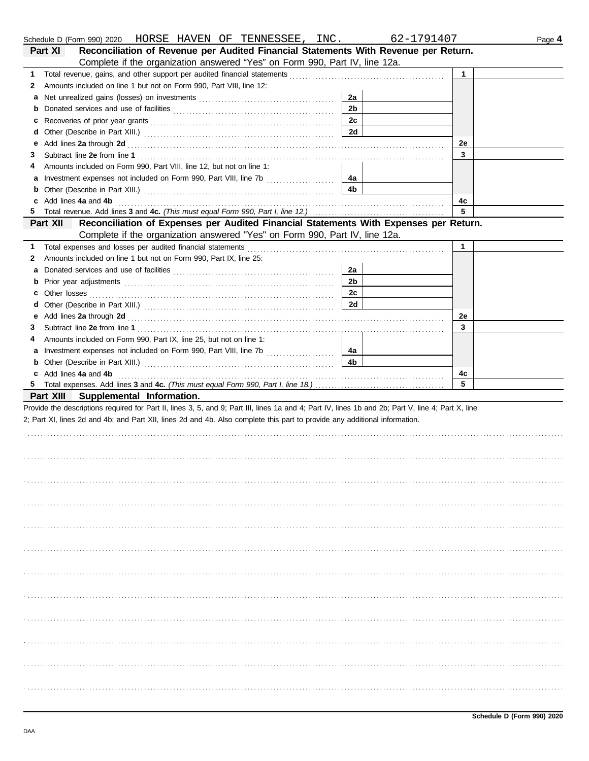|    | Schedule D (Form 990) 2020 HORSE HAVEN OF TENNESSEE, INC.                                                                                                                                                                      |                | 62-1791407 |              | Page 4 |
|----|--------------------------------------------------------------------------------------------------------------------------------------------------------------------------------------------------------------------------------|----------------|------------|--------------|--------|
|    | Reconciliation of Revenue per Audited Financial Statements With Revenue per Return.<br>Part XI                                                                                                                                 |                |            |              |        |
|    | Complete if the organization answered "Yes" on Form 990, Part IV, line 12a.                                                                                                                                                    |                |            |              |        |
| 1. |                                                                                                                                                                                                                                |                |            | $\mathbf{1}$ |        |
| 2  | Amounts included on line 1 but not on Form 990, Part VIII, line 12:                                                                                                                                                            |                |            |              |        |
| а  |                                                                                                                                                                                                                                | 2a             |            |              |        |
| b  |                                                                                                                                                                                                                                | 2 <sub>b</sub> |            |              |        |
| c  |                                                                                                                                                                                                                                | 2c             |            |              |        |
| d  |                                                                                                                                                                                                                                | 2d             |            |              |        |
| е  | Add lines 2a through 2d [11] Add [12] Add [12] Add lines 2a through 2d [12] Add lines 2a through 2d [12] Add [12] Add [12] Add [12] Add [12] Add [12] Add [12] Add [12] Add [12] Add [12] Add [12] Add [12] Add [12] Add [12]  |                |            | 2e           |        |
| З  |                                                                                                                                                                                                                                |                |            | 3            |        |
| 4  | Amounts included on Form 990, Part VIII, line 12, but not on line 1:                                                                                                                                                           |                |            |              |        |
| а  | Investment expenses not included on Form 990, Part VIII, line 7b [                                                                                                                                                             | 4a             |            |              |        |
| b  |                                                                                                                                                                                                                                | 4b             |            |              |        |
| c  | Add lines 4a and 4b                                                                                                                                                                                                            |                |            | 4c           |        |
| 5  |                                                                                                                                                                                                                                |                |            | 5            |        |
|    | Reconciliation of Expenses per Audited Financial Statements With Expenses per Return.<br>Part XII                                                                                                                              |                |            |              |        |
|    | Complete if the organization answered "Yes" on Form 990, Part IV, line 12a.                                                                                                                                                    |                |            |              |        |
| 1  |                                                                                                                                                                                                                                |                |            | $\mathbf{1}$ |        |
| 2  | Amounts included on line 1 but not on Form 990, Part IX, line 25:                                                                                                                                                              |                |            |              |        |
| a  |                                                                                                                                                                                                                                | 2a             |            |              |        |
| b  |                                                                                                                                                                                                                                | 2 <sub>b</sub> |            |              |        |
| c  |                                                                                                                                                                                                                                | 2c             |            |              |        |
| d  |                                                                                                                                                                                                                                | 2d             |            |              |        |
| е  | Add lines 2a through 2d [11] Add [12] Add lines 2a through 2d [12] Add lines 2a through 2d [12] Add lines 2a through 2d [12] Additional Additional Additional Additional Additional Additional Additional Additional Additiona |                |            | 2e           |        |
| З  |                                                                                                                                                                                                                                |                |            | 3            |        |
| 4  | Amounts included on Form 990, Part IX, line 25, but not on line 1:                                                                                                                                                             |                |            |              |        |
| а  | Investment expenses not included on Form 990, Part VIII, line 7b [100] [100] [100] [100] [100] [100] [100] [100] [100] [100] [100] [100] [100] [100] [100] [100] [100] [100] [100] [100] [100] [100] [100] [100] [100] [100] [ | 4a             |            |              |        |
| b  |                                                                                                                                                                                                                                | 4 <sub>b</sub> |            |              |        |
| c  | Add lines 4a and 4b                                                                                                                                                                                                            |                |            | 4c           |        |
| 5  |                                                                                                                                                                                                                                |                |            | 5            |        |
|    | Part XIII Supplemental Information.                                                                                                                                                                                            |                |            |              |        |
|    | Provide the descriptions required for Part II, lines 3, 5, and 9; Part III, lines 1a and 4; Part IV, lines 1b and 2b; Part V, line 4; Part X, line                                                                             |                |            |              |        |
|    | 2; Part XI, lines 2d and 4b; and Part XII, lines 2d and 4b. Also complete this part to provide any additional information.                                                                                                     |                |            |              |        |
|    |                                                                                                                                                                                                                                |                |            |              |        |
|    |                                                                                                                                                                                                                                |                |            |              |        |
|    |                                                                                                                                                                                                                                |                |            |              |        |
|    |                                                                                                                                                                                                                                |                |            |              |        |
|    |                                                                                                                                                                                                                                |                |            |              |        |
|    |                                                                                                                                                                                                                                |                |            |              |        |
|    |                                                                                                                                                                                                                                |                |            |              |        |
|    |                                                                                                                                                                                                                                |                |            |              |        |
|    |                                                                                                                                                                                                                                |                |            |              |        |
|    |                                                                                                                                                                                                                                |                |            |              |        |
|    |                                                                                                                                                                                                                                |                |            |              |        |
|    |                                                                                                                                                                                                                                |                |            |              |        |
|    |                                                                                                                                                                                                                                |                |            |              |        |
|    |                                                                                                                                                                                                                                |                |            |              |        |
|    |                                                                                                                                                                                                                                |                |            |              |        |
|    |                                                                                                                                                                                                                                |                |            |              |        |
|    |                                                                                                                                                                                                                                |                |            |              |        |
|    |                                                                                                                                                                                                                                |                |            |              |        |
|    |                                                                                                                                                                                                                                |                |            |              |        |
|    |                                                                                                                                                                                                                                |                |            |              |        |
|    |                                                                                                                                                                                                                                |                |            |              |        |
|    |                                                                                                                                                                                                                                |                |            |              |        |
|    |                                                                                                                                                                                                                                |                |            |              |        |
|    |                                                                                                                                                                                                                                |                |            |              |        |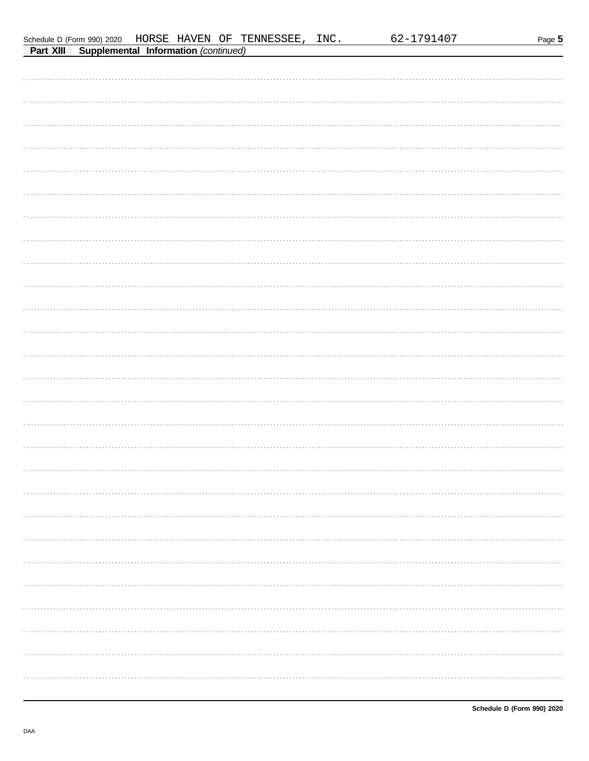|                                                |  | Schedule D (Form 990) 2020 HORSE HAVEN OF TENNESSEE, INC. | 62-1791407 | Page 5 |
|------------------------------------------------|--|-----------------------------------------------------------|------------|--------|
| Part XIII Supplemental Information (continued) |  |                                                           |            |        |
|                                                |  |                                                           |            |        |
|                                                |  |                                                           |            |        |
|                                                |  |                                                           |            |        |
|                                                |  |                                                           |            |        |
|                                                |  |                                                           |            |        |
|                                                |  |                                                           |            |        |
|                                                |  |                                                           |            |        |
|                                                |  |                                                           |            |        |
|                                                |  |                                                           |            |        |
|                                                |  |                                                           |            |        |
|                                                |  |                                                           |            |        |
|                                                |  |                                                           |            |        |
|                                                |  |                                                           |            |        |
|                                                |  |                                                           |            |        |
|                                                |  |                                                           |            |        |
|                                                |  |                                                           |            |        |
|                                                |  |                                                           |            |        |
|                                                |  |                                                           |            |        |
|                                                |  |                                                           |            |        |
|                                                |  |                                                           |            |        |
|                                                |  |                                                           |            |        |
|                                                |  |                                                           |            |        |
|                                                |  |                                                           |            |        |
|                                                |  |                                                           |            |        |
|                                                |  |                                                           |            |        |
|                                                |  |                                                           |            |        |
|                                                |  |                                                           |            |        |
|                                                |  |                                                           |            |        |
|                                                |  |                                                           |            |        |
|                                                |  |                                                           |            |        |
|                                                |  |                                                           |            |        |
|                                                |  |                                                           |            |        |
|                                                |  |                                                           |            |        |
|                                                |  |                                                           |            |        |
|                                                |  |                                                           |            |        |
|                                                |  |                                                           |            |        |
|                                                |  |                                                           |            |        |
|                                                |  |                                                           |            |        |
|                                                |  |                                                           |            |        |
|                                                |  |                                                           |            |        |
|                                                |  |                                                           |            |        |
|                                                |  |                                                           |            |        |
|                                                |  |                                                           |            |        |
|                                                |  |                                                           |            |        |
|                                                |  |                                                           |            |        |
|                                                |  |                                                           |            |        |
|                                                |  |                                                           |            |        |
|                                                |  |                                                           |            |        |
|                                                |  |                                                           |            |        |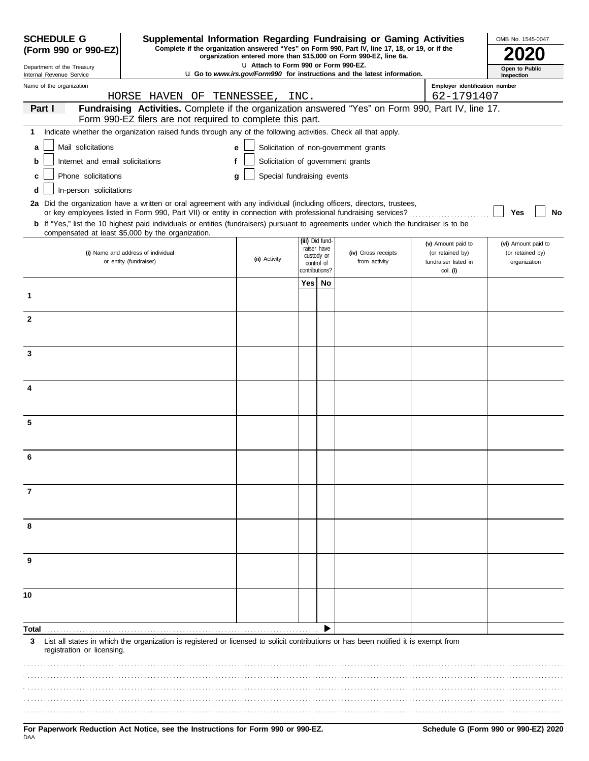| <b>SCHEDULE G</b>                                      | Supplemental Information Regarding Fundraising or Gaming Activities                                                                                                                                                                      |                                        |                       |                          |                                                                                 |                                              | OMB No. 1545-0047                |
|--------------------------------------------------------|------------------------------------------------------------------------------------------------------------------------------------------------------------------------------------------------------------------------------------------|----------------------------------------|-----------------------|--------------------------|---------------------------------------------------------------------------------|----------------------------------------------|----------------------------------|
| (Form 990 or 990-EZ)                                   | Complete if the organization answered "Yes" on Form 990, Part IV, line 17, 18, or 19, or if the                                                                                                                                          |                                        |                       |                          | organization entered more than \$15,000 on Form 990-EZ, line 6a.                |                                              |                                  |
| Department of the Treasury<br>Internal Revenue Service |                                                                                                                                                                                                                                          | LI Attach to Form 990 or Form 990-EZ.  |                       |                          | <b>u</b> Go to www.irs.gov/Form990 for instructions and the latest information. |                                              | Open to Public<br>Inspection     |
| Name of the organization                               | HORSE HAVEN OF TENNESSEE, INC.                                                                                                                                                                                                           |                                        |                       |                          |                                                                                 | Employer identification number<br>62-1791407 |                                  |
| Part I                                                 | Fundraising Activities. Complete if the organization answered "Yes" on Form 990, Part IV, line 17.                                                                                                                                       |                                        |                       |                          |                                                                                 |                                              |                                  |
|                                                        | Form 990-EZ filers are not required to complete this part.                                                                                                                                                                               |                                        |                       |                          |                                                                                 |                                              |                                  |
| 1<br>Mail solicitations                                | Indicate whether the organization raised funds through any of the following activities. Check all that apply.                                                                                                                            |                                        |                       |                          |                                                                                 |                                              |                                  |
| a<br>Internet and email solicitations<br>b             | f                                                                                                                                                                                                                                        | e<br>Solicitation of government grants |                       |                          | Solicitation of non-government grants                                           |                                              |                                  |
| Phone solicitations<br>c                               |                                                                                                                                                                                                                                          | Special fundraising events<br>a        |                       |                          |                                                                                 |                                              |                                  |
| In-person solicitations<br>d                           |                                                                                                                                                                                                                                          |                                        |                       |                          |                                                                                 |                                              |                                  |
|                                                        | 2a Did the organization have a written or oral agreement with any individual (including officers, directors, trustees,<br>or key employees listed in Form 990, Part VII) or entity in connection with professional fundraising services? |                                        |                       |                          |                                                                                 |                                              | No<br>Yes                        |
|                                                        | b If "Yes," list the 10 highest paid individuals or entities (fundraisers) pursuant to agreements under which the fundraiser is to be<br>compensated at least \$5,000 by the organization.                                               |                                        |                       |                          |                                                                                 |                                              |                                  |
|                                                        |                                                                                                                                                                                                                                          |                                        | (iii) Did fund-       | raiser have              |                                                                                 | (v) Amount paid to                           | (vi) Amount paid to              |
|                                                        | (i) Name and address of individual<br>or entity (fundraiser)                                                                                                                                                                             | (ii) Activity                          |                       | custody or<br>control of | (iv) Gross receipts<br>from activity                                            | (or retained by)<br>fundraiser listed in     | (or retained by)<br>organization |
|                                                        |                                                                                                                                                                                                                                          |                                        | contributions?<br>Yes | No                       |                                                                                 | col. (i)                                     |                                  |
| 1                                                      |                                                                                                                                                                                                                                          |                                        |                       |                          |                                                                                 |                                              |                                  |
| $\mathbf{2}$                                           |                                                                                                                                                                                                                                          |                                        |                       |                          |                                                                                 |                                              |                                  |
|                                                        |                                                                                                                                                                                                                                          |                                        |                       |                          |                                                                                 |                                              |                                  |
| 3                                                      |                                                                                                                                                                                                                                          |                                        |                       |                          |                                                                                 |                                              |                                  |
|                                                        |                                                                                                                                                                                                                                          |                                        |                       |                          |                                                                                 |                                              |                                  |
| 4                                                      |                                                                                                                                                                                                                                          |                                        |                       |                          |                                                                                 |                                              |                                  |
|                                                        |                                                                                                                                                                                                                                          |                                        |                       |                          |                                                                                 |                                              |                                  |
| 5                                                      |                                                                                                                                                                                                                                          |                                        |                       |                          |                                                                                 |                                              |                                  |
|                                                        |                                                                                                                                                                                                                                          |                                        |                       |                          |                                                                                 |                                              |                                  |
| 6                                                      |                                                                                                                                                                                                                                          |                                        |                       |                          |                                                                                 |                                              |                                  |
|                                                        |                                                                                                                                                                                                                                          |                                        |                       |                          |                                                                                 |                                              |                                  |
| 7                                                      |                                                                                                                                                                                                                                          |                                        |                       |                          |                                                                                 |                                              |                                  |
|                                                        |                                                                                                                                                                                                                                          |                                        |                       |                          |                                                                                 |                                              |                                  |
| 8                                                      |                                                                                                                                                                                                                                          |                                        |                       |                          |                                                                                 |                                              |                                  |
|                                                        |                                                                                                                                                                                                                                          |                                        |                       |                          |                                                                                 |                                              |                                  |
| 9                                                      |                                                                                                                                                                                                                                          |                                        |                       |                          |                                                                                 |                                              |                                  |
|                                                        |                                                                                                                                                                                                                                          |                                        |                       |                          |                                                                                 |                                              |                                  |
| 10                                                     |                                                                                                                                                                                                                                          |                                        |                       |                          |                                                                                 |                                              |                                  |
|                                                        |                                                                                                                                                                                                                                          |                                        |                       |                          |                                                                                 |                                              |                                  |
| Total                                                  |                                                                                                                                                                                                                                          |                                        |                       |                          |                                                                                 |                                              |                                  |
| 3<br>registration or licensing.                        | List all states in which the organization is registered or licensed to solicit contributions or has been notified it is exempt from                                                                                                      |                                        |                       |                          |                                                                                 |                                              |                                  |
|                                                        |                                                                                                                                                                                                                                          |                                        |                       |                          |                                                                                 |                                              |                                  |
|                                                        |                                                                                                                                                                                                                                          |                                        |                       |                          |                                                                                 |                                              |                                  |
|                                                        |                                                                                                                                                                                                                                          |                                        |                       |                          |                                                                                 |                                              |                                  |
|                                                        |                                                                                                                                                                                                                                          |                                        |                       |                          |                                                                                 |                                              |                                  |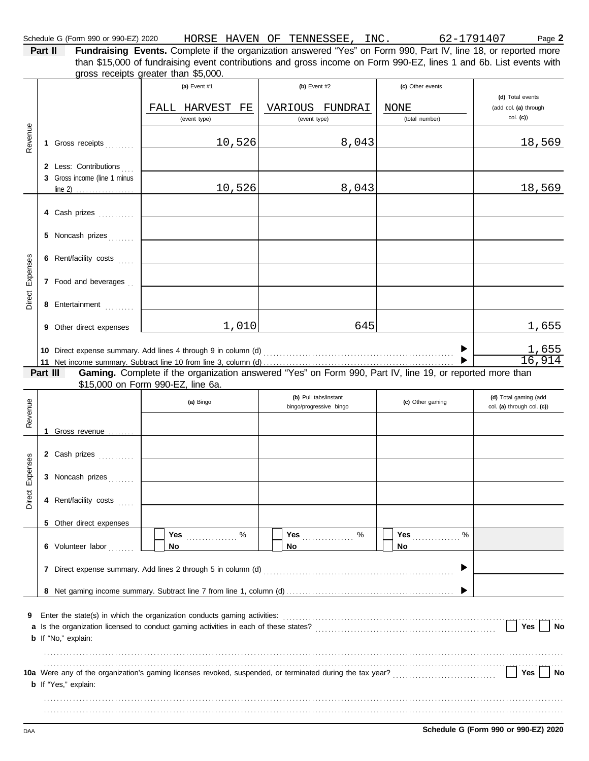Schedule G (Form 990 or 990-EZ) 2020 HORSE HAVEN OF TENNESSEE, INC. 62-1791407 Page 2

**Part II Fundraising Events.** Complete if the organization answered "Yes" on Form 990, Part IV, line 18, or reported more gross receipts greater than \$5,000. than \$15,000 of fundraising event contributions and gross income on Form 990-EZ, lines 1 and 6b. List events with

|          |          |                                                                          | (a) Event #1                      |        | (b) Event #2                                     |       | (c) Other events                                                                                         |                                                     |
|----------|----------|--------------------------------------------------------------------------|-----------------------------------|--------|--------------------------------------------------|-------|----------------------------------------------------------------------------------------------------------|-----------------------------------------------------|
|          |          |                                                                          |                                   |        |                                                  |       |                                                                                                          | (d) Total events                                    |
|          |          |                                                                          | FALL HARVEST<br>(event type)      | FE     | VARIOUS FUNDRAI<br>(event type)                  |       | NONE<br>(total number)                                                                                   | (add col. (a) through<br>$col.$ (c))                |
|          |          |                                                                          |                                   |        |                                                  |       |                                                                                                          |                                                     |
| Revenue  |          | 1 Gross receipts                                                         |                                   | 10,526 |                                                  | 8,043 |                                                                                                          | 18,569                                              |
|          |          |                                                                          |                                   |        |                                                  |       |                                                                                                          |                                                     |
|          |          | 2 Less: Contributions                                                    |                                   |        |                                                  |       |                                                                                                          |                                                     |
|          |          | 3 Gross income (line 1 minus                                             |                                   |        |                                                  |       |                                                                                                          |                                                     |
|          |          | line 2) $\ldots$                                                         |                                   | 10,526 |                                                  | 8,043 |                                                                                                          | 18,569                                              |
|          |          | 4 Cash prizes                                                            |                                   |        |                                                  |       |                                                                                                          |                                                     |
|          |          |                                                                          |                                   |        |                                                  |       |                                                                                                          |                                                     |
|          |          | 5 Noncash prizes                                                         |                                   |        |                                                  |       |                                                                                                          |                                                     |
|          |          |                                                                          |                                   |        |                                                  |       |                                                                                                          |                                                     |
| Expenses |          | 6 Rent/facility costs                                                    |                                   |        |                                                  |       |                                                                                                          |                                                     |
|          |          | 7 Food and beverages                                                     |                                   |        |                                                  |       |                                                                                                          |                                                     |
| Direct   |          |                                                                          |                                   |        |                                                  |       |                                                                                                          |                                                     |
|          |          | 8 Entertainment                                                          |                                   |        |                                                  |       |                                                                                                          |                                                     |
|          |          |                                                                          |                                   | 1,010  |                                                  | 645   |                                                                                                          | 1,655                                               |
|          |          | 9 Other direct expenses                                                  |                                   |        |                                                  |       |                                                                                                          |                                                     |
|          |          |                                                                          |                                   |        |                                                  |       |                                                                                                          | 1,655                                               |
|          |          |                                                                          |                                   |        |                                                  |       |                                                                                                          | 16,914                                              |
|          | Part III |                                                                          |                                   |        |                                                  |       | Gaming. Complete if the organization answered "Yes" on Form 990, Part IV, line 19, or reported more than |                                                     |
|          |          |                                                                          | \$15,000 on Form 990-EZ, line 6a. |        |                                                  |       |                                                                                                          |                                                     |
|          |          |                                                                          | (a) Bingo                         |        | (b) Pull tabs/instant<br>bingo/progressive bingo |       | (c) Other gaming                                                                                         | (d) Total gaming (add<br>col. (a) through col. (c)) |
| Revenue  |          |                                                                          |                                   |        |                                                  |       |                                                                                                          |                                                     |
|          |          | 1 Gross revenue                                                          |                                   |        |                                                  |       |                                                                                                          |                                                     |
|          |          |                                                                          |                                   |        |                                                  |       |                                                                                                          |                                                     |
|          |          | 2 Cash prizes                                                            |                                   |        |                                                  |       |                                                                                                          |                                                     |
| Expenses |          | 3 Noncash prizes                                                         |                                   |        |                                                  |       |                                                                                                          |                                                     |
|          |          |                                                                          |                                   |        |                                                  |       |                                                                                                          |                                                     |
| Direct   |          | 4 Rent/facility costs                                                    |                                   |        |                                                  |       |                                                                                                          |                                                     |
|          |          |                                                                          |                                   |        |                                                  |       |                                                                                                          |                                                     |
|          |          | 5 Other direct expenses                                                  |                                   |        |                                                  |       |                                                                                                          |                                                     |
|          |          | 6 Volunteer labor                                                        | Yes<br>No                         | $\%$   | Yes<br>No                                        | %     | Yes<br>$\%$<br>No                                                                                        |                                                     |
|          |          |                                                                          |                                   |        |                                                  |       |                                                                                                          |                                                     |
|          |          | 7 Direct expense summary. Add lines 2 through 5 in column (d)            |                                   |        |                                                  |       |                                                                                                          |                                                     |
|          |          |                                                                          |                                   |        |                                                  |       |                                                                                                          |                                                     |
|          |          |                                                                          |                                   |        |                                                  |       |                                                                                                          |                                                     |
| 9        |          | Enter the state(s) in which the organization conducts gaming activities: |                                   |        |                                                  |       |                                                                                                          |                                                     |
|          |          |                                                                          |                                   |        |                                                  |       |                                                                                                          | Yes<br>No                                           |
|          |          | <b>b</b> If "No," explain:                                               |                                   |        |                                                  |       |                                                                                                          |                                                     |
|          |          |                                                                          |                                   |        |                                                  |       |                                                                                                          |                                                     |
|          |          |                                                                          |                                   |        |                                                  |       |                                                                                                          | Yes                                                 |
|          |          | <b>b</b> If "Yes," explain:                                              |                                   |        |                                                  |       |                                                                                                          | No                                                  |
|          |          |                                                                          |                                   |        |                                                  |       |                                                                                                          |                                                     |
|          |          |                                                                          |                                   |        |                                                  |       |                                                                                                          |                                                     |
|          |          |                                                                          |                                   |        |                                                  |       |                                                                                                          |                                                     |
| DAA      |          |                                                                          |                                   |        |                                                  |       |                                                                                                          | Schedule G (Form 990 or 990-EZ) 2020                |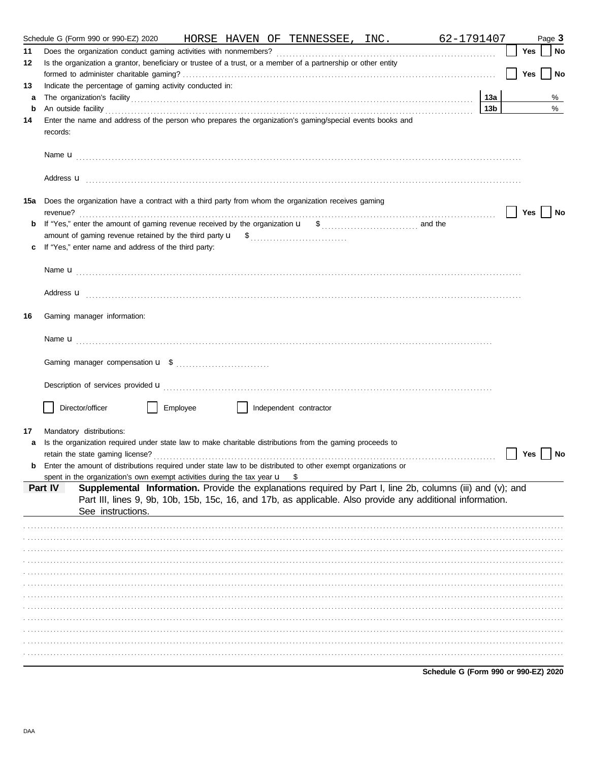|     | Schedule G (Form 990 or 990-EZ) 2020                                                                                                  |          |                        | HORSE HAVEN OF TENNESSEE, INC. | 62-1791407 |                 |     | Page 3 |
|-----|---------------------------------------------------------------------------------------------------------------------------------------|----------|------------------------|--------------------------------|------------|-----------------|-----|--------|
| 11  |                                                                                                                                       |          |                        |                                |            |                 | Yes | No     |
| 12  | Is the organization a grantor, beneficiary or trustee of a trust, or a member of a partnership or other entity                        |          |                        |                                |            |                 |     |        |
|     |                                                                                                                                       |          |                        |                                |            |                 | Yes | No     |
| 13  | Indicate the percentage of gaming activity conducted in:                                                                              |          |                        |                                |            |                 |     |        |
| a   |                                                                                                                                       |          |                        |                                |            | 13a             |     | %      |
| b   | An outside facility <i>contained a contained a contained a contained a contained a contained a contained a contained a</i>            |          |                        |                                |            | 13 <sub>b</sub> |     | $\%$   |
| 14  | Enter the name and address of the person who prepares the organization's gaming/special events books and<br>records:                  |          |                        |                                |            |                 |     |        |
|     |                                                                                                                                       |          |                        |                                |            |                 |     |        |
|     | Address <b>u</b>                                                                                                                      |          |                        |                                |            |                 |     |        |
| 15a | Does the organization have a contract with a third party from whom the organization receives gaming                                   |          |                        |                                |            |                 | Yes | ∣ No   |
|     |                                                                                                                                       |          |                        |                                |            |                 |     |        |
|     |                                                                                                                                       |          |                        |                                |            |                 |     |        |
| c   | If "Yes," enter name and address of the third party:                                                                                  |          |                        |                                |            |                 |     |        |
|     |                                                                                                                                       |          |                        |                                |            |                 |     |        |
|     |                                                                                                                                       |          |                        |                                |            |                 |     |        |
|     | Address <b>u</b>                                                                                                                      |          |                        |                                |            |                 |     |        |
| 16  | Gaming manager information:                                                                                                           |          |                        |                                |            |                 |     |        |
|     |                                                                                                                                       |          |                        |                                |            |                 |     |        |
|     |                                                                                                                                       |          |                        |                                |            |                 |     |        |
|     |                                                                                                                                       |          |                        |                                |            |                 |     |        |
|     | Description of services provided <b>u</b> electron control and a series of the series of the services provided <b>u</b>               |          |                        |                                |            |                 |     |        |
|     | Director/officer                                                                                                                      | Employee | Independent contractor |                                |            |                 |     |        |
|     |                                                                                                                                       |          |                        |                                |            |                 |     |        |
| 17  | Mandatory distributions:<br>Is the organization required under state law to make charitable distributions from the gaming proceeds to |          |                        |                                |            |                 |     |        |
| a   |                                                                                                                                       |          |                        |                                |            |                 | Yes | No     |
|     | Enter the amount of distributions required under state law to be distributed to other exempt organizations or                         |          |                        |                                |            |                 |     |        |
|     | spent in the organization's own exempt activities during the tax year u                                                               |          |                        | S                              |            |                 |     |        |
|     | Supplemental Information. Provide the explanations required by Part I, line 2b, columns (iii) and (v); and<br>Part IV                 |          |                        |                                |            |                 |     |        |
|     | Part III, lines 9, 9b, 10b, 15b, 15c, 16, and 17b, as applicable. Also provide any additional information.                            |          |                        |                                |            |                 |     |        |
|     | See instructions.                                                                                                                     |          |                        |                                |            |                 |     |        |
|     |                                                                                                                                       |          |                        |                                |            |                 |     |        |
|     |                                                                                                                                       |          |                        |                                |            |                 |     |        |
|     |                                                                                                                                       |          |                        |                                |            |                 |     |        |
|     |                                                                                                                                       |          |                        |                                |            |                 |     |        |
|     |                                                                                                                                       |          |                        |                                |            |                 |     |        |
|     |                                                                                                                                       |          |                        |                                |            |                 |     |        |
|     |                                                                                                                                       |          |                        |                                |            |                 |     |        |
|     |                                                                                                                                       |          |                        |                                |            |                 |     |        |
|     |                                                                                                                                       |          |                        |                                |            |                 |     |        |
|     |                                                                                                                                       |          |                        |                                |            |                 |     |        |
|     |                                                                                                                                       |          |                        |                                |            |                 |     |        |
|     |                                                                                                                                       |          |                        |                                |            |                 |     |        |

Schedule G (Form 990 or 990-EZ) 2020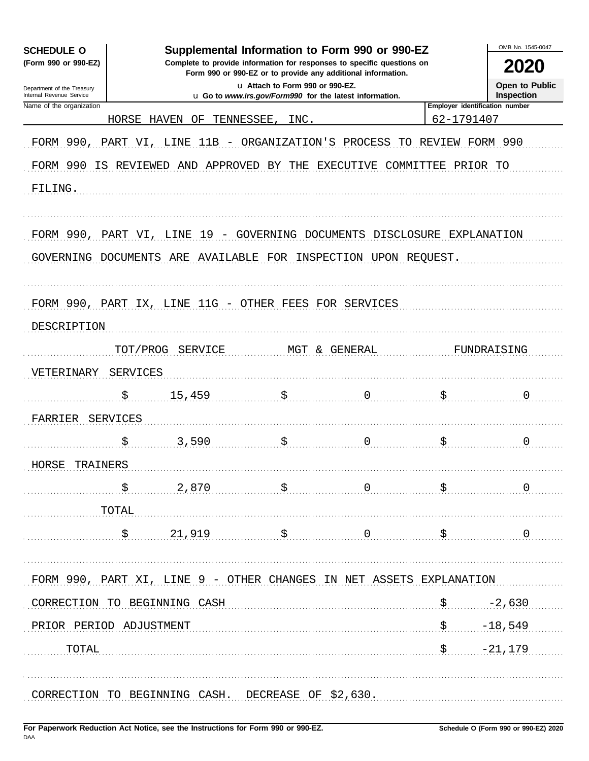| Supplemental Information to Form 990 or 990-EZ<br><b>SCHEDULE O</b><br>Complete to provide information for responses to specific questions on |                 |                                                                     |                                                                                            |                |            |                                            |  |  |
|-----------------------------------------------------------------------------------------------------------------------------------------------|-----------------|---------------------------------------------------------------------|--------------------------------------------------------------------------------------------|----------------|------------|--------------------------------------------|--|--|
| (Form 990 or 990-EZ)                                                                                                                          | 2020            |                                                                     |                                                                                            |                |            |                                            |  |  |
| Department of the Treasury<br>Internal Revenue Service                                                                                        |                 |                                                                     | u Attach to Form 990 or 990-EZ.<br>u Go to www.irs.gov/Form990 for the latest information. |                |            | <b>Open to Public</b><br><b>Inspection</b> |  |  |
| Name of the organization                                                                                                                      |                 |                                                                     |                                                                                            |                |            | Employer identification number             |  |  |
|                                                                                                                                               | HORSE           | HAVEN<br>ΟF                                                         | INC.<br>TENNESSEE                                                                          |                | 62-1791407 |                                            |  |  |
| FORM 990,                                                                                                                                     | PART VI,        | 11B<br>LINE<br>$\overline{\phantom{m}}$                             | ORGANIZATION'S                                                                             | PROCESS<br>TО  | REVIEW     | FORM 990                                   |  |  |
| FORM 990                                                                                                                                      |                 | IS REVIEWED AND                                                     | APPROVED BY THE                                                                            | EXECUTIVE      | COMMITTEE  | PRIOR TO                                   |  |  |
| FILING.                                                                                                                                       |                 |                                                                     |                                                                                            |                |            |                                            |  |  |
|                                                                                                                                               |                 |                                                                     |                                                                                            |                |            |                                            |  |  |
|                                                                                                                                               |                 |                                                                     |                                                                                            |                |            |                                            |  |  |
| FORM 990, PART VI, LINE                                                                                                                       |                 |                                                                     | 19 - GOVERNING DOCUMENTS DISCLOSURE EXPLANATION                                            |                |            |                                            |  |  |
| GOVERNING DOCUMENTS                                                                                                                           |                 | ARE                                                                 | AVAILABLE FOR INSPECTION UPON REQUEST.                                                     |                |            |                                            |  |  |
|                                                                                                                                               |                 |                                                                     |                                                                                            |                |            |                                            |  |  |
|                                                                                                                                               |                 |                                                                     |                                                                                            |                |            |                                            |  |  |
|                                                                                                                                               |                 | FORM 990, PART IX, LINE 11G - OTHER FEES FOR SERVICES               |                                                                                            |                |            |                                            |  |  |
| DESCRIPTION                                                                                                                                   |                 |                                                                     |                                                                                            |                |            |                                            |  |  |
|                                                                                                                                               | TOT/PROG        | SERVICE                                                             |                                                                                            | MGT & GENERAL  |            | FUNDRAISING                                |  |  |
| VETERINARY                                                                                                                                    | <b>SERVICES</b> |                                                                     |                                                                                            |                |            |                                            |  |  |
|                                                                                                                                               |                 |                                                                     |                                                                                            |                |            |                                            |  |  |
|                                                                                                                                               | \$              | 15,459                                                              | \$                                                                                         | $\Omega$       | \$         | 0                                          |  |  |
| FARRIER                                                                                                                                       | SERVICES        |                                                                     |                                                                                            |                |            |                                            |  |  |
|                                                                                                                                               | \$              | 3,590                                                               | \$                                                                                         | $\Omega$       | \$         | 0                                          |  |  |
| HORSE<br>TRAINERS                                                                                                                             |                 |                                                                     |                                                                                            |                |            |                                            |  |  |
|                                                                                                                                               |                 |                                                                     |                                                                                            |                |            |                                            |  |  |
|                                                                                                                                               | S               | 2,870                                                               | $\ddot{\mathbf{S}}$                                                                        | $\overline{0}$ | \$         | $\mathbf 0$                                |  |  |
|                                                                                                                                               | TOTAL           |                                                                     |                                                                                            |                |            |                                            |  |  |
|                                                                                                                                               | \$              | 21,919                                                              | \$                                                                                         | $\overline{0}$ | \$         | $\mathbf 0$                                |  |  |
|                                                                                                                                               |                 |                                                                     |                                                                                            |                |            |                                            |  |  |
|                                                                                                                                               |                 | FORM 990, PART XI, LINE 9 - OTHER CHANGES IN NET ASSETS EXPLANATION |                                                                                            |                |            |                                            |  |  |
|                                                                                                                                               |                 | CORRECTION TO BEGINNING CASH                                        |                                                                                            |                | \$         | $-2,630$                                   |  |  |
|                                                                                                                                               |                 |                                                                     |                                                                                            |                |            |                                            |  |  |
| PRIOR PERIOD ADJUSTMENT                                                                                                                       |                 |                                                                     |                                                                                            |                | \$         | $-18,549$                                  |  |  |
| TOTAL                                                                                                                                         |                 |                                                                     |                                                                                            |                | \$         | $-21,179$                                  |  |  |
|                                                                                                                                               |                 |                                                                     |                                                                                            |                |            |                                            |  |  |
|                                                                                                                                               |                 |                                                                     |                                                                                            |                |            |                                            |  |  |
|                                                                                                                                               |                 | CORRECTION TO BEGINNING CASH. DECREASE OF \$2,630.                  |                                                                                            |                |            |                                            |  |  |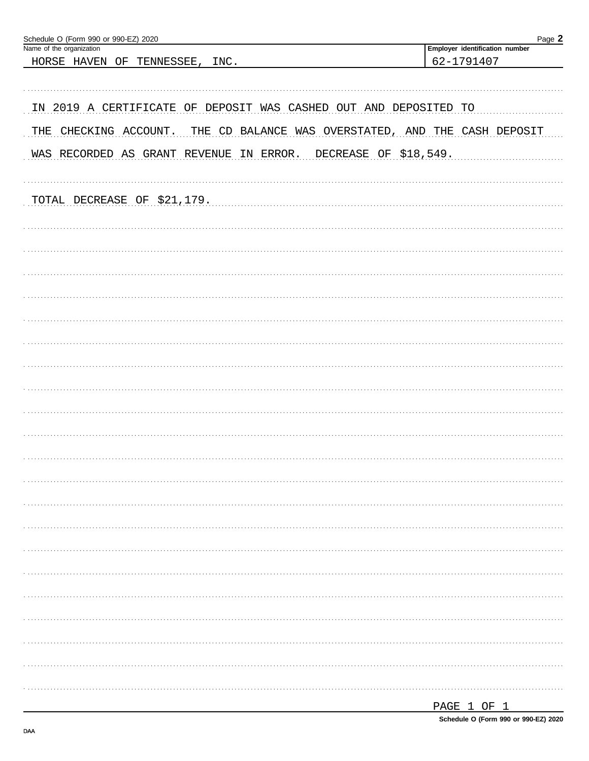| Schedule O (Form 990 or 990-EZ) 2020<br>Name of the organization | Page 2<br>Employer identification number            |
|------------------------------------------------------------------|-----------------------------------------------------|
|                                                                  | 62-1791407                                          |
| HORSE HAVEN<br>INC.<br>OF<br>TENNESSEE,                          |                                                     |
|                                                                  |                                                     |
|                                                                  |                                                     |
| IN 2019 A CERTIFICATE OF DEPOSIT WAS CASHED OUT AND DEPOSITED TO |                                                     |
|                                                                  |                                                     |
| THE CHECKING ACCOUNT.                                            | THE CD BALANCE WAS OVERSTATED, AND THE CASH DEPOSIT |
|                                                                  |                                                     |
| WAS RECORDED AS GRANT REVENUE<br>IN ERROR.                       | DECREASE OF \$18,549.                               |
|                                                                  |                                                     |
|                                                                  |                                                     |
| TOTAL DECREASE OF \$21,179.                                      |                                                     |
|                                                                  |                                                     |
|                                                                  |                                                     |
|                                                                  |                                                     |
|                                                                  |                                                     |
|                                                                  |                                                     |
|                                                                  |                                                     |
|                                                                  |                                                     |
|                                                                  |                                                     |
|                                                                  |                                                     |
|                                                                  |                                                     |
|                                                                  |                                                     |
|                                                                  |                                                     |
|                                                                  |                                                     |
|                                                                  |                                                     |
|                                                                  |                                                     |
|                                                                  |                                                     |
|                                                                  |                                                     |
|                                                                  |                                                     |
|                                                                  |                                                     |
|                                                                  |                                                     |
|                                                                  |                                                     |
|                                                                  |                                                     |
|                                                                  |                                                     |
|                                                                  |                                                     |
|                                                                  |                                                     |
|                                                                  |                                                     |
|                                                                  |                                                     |
|                                                                  |                                                     |
|                                                                  |                                                     |
|                                                                  |                                                     |
|                                                                  |                                                     |
|                                                                  |                                                     |
|                                                                  |                                                     |
|                                                                  |                                                     |
|                                                                  |                                                     |
|                                                                  |                                                     |
|                                                                  |                                                     |
|                                                                  |                                                     |
|                                                                  | 1 הר חיים הי                                        |